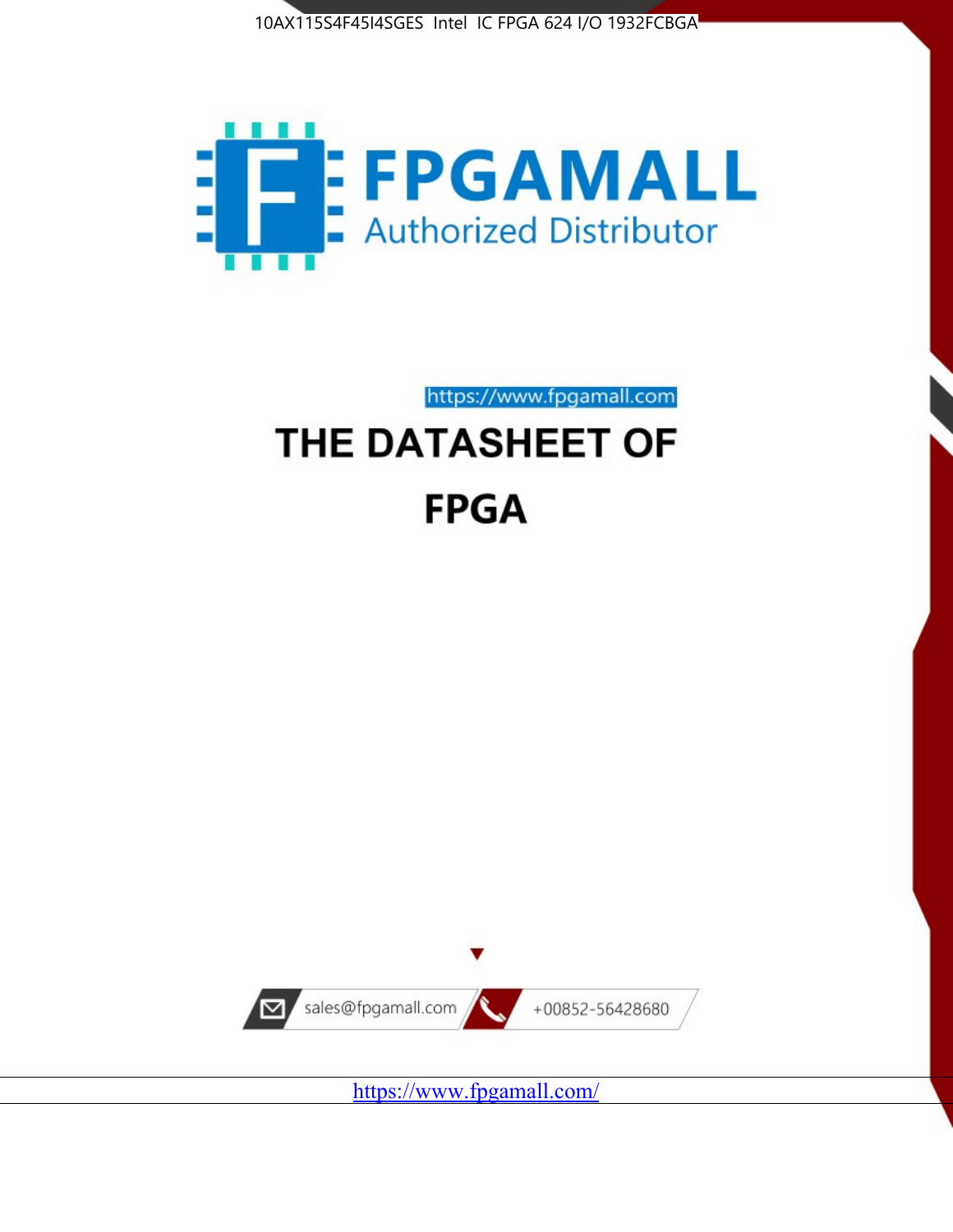



https://www.fpgamall.com

# THE DATASHEET OF **FPGA**



<https://www.fpgamall.com/>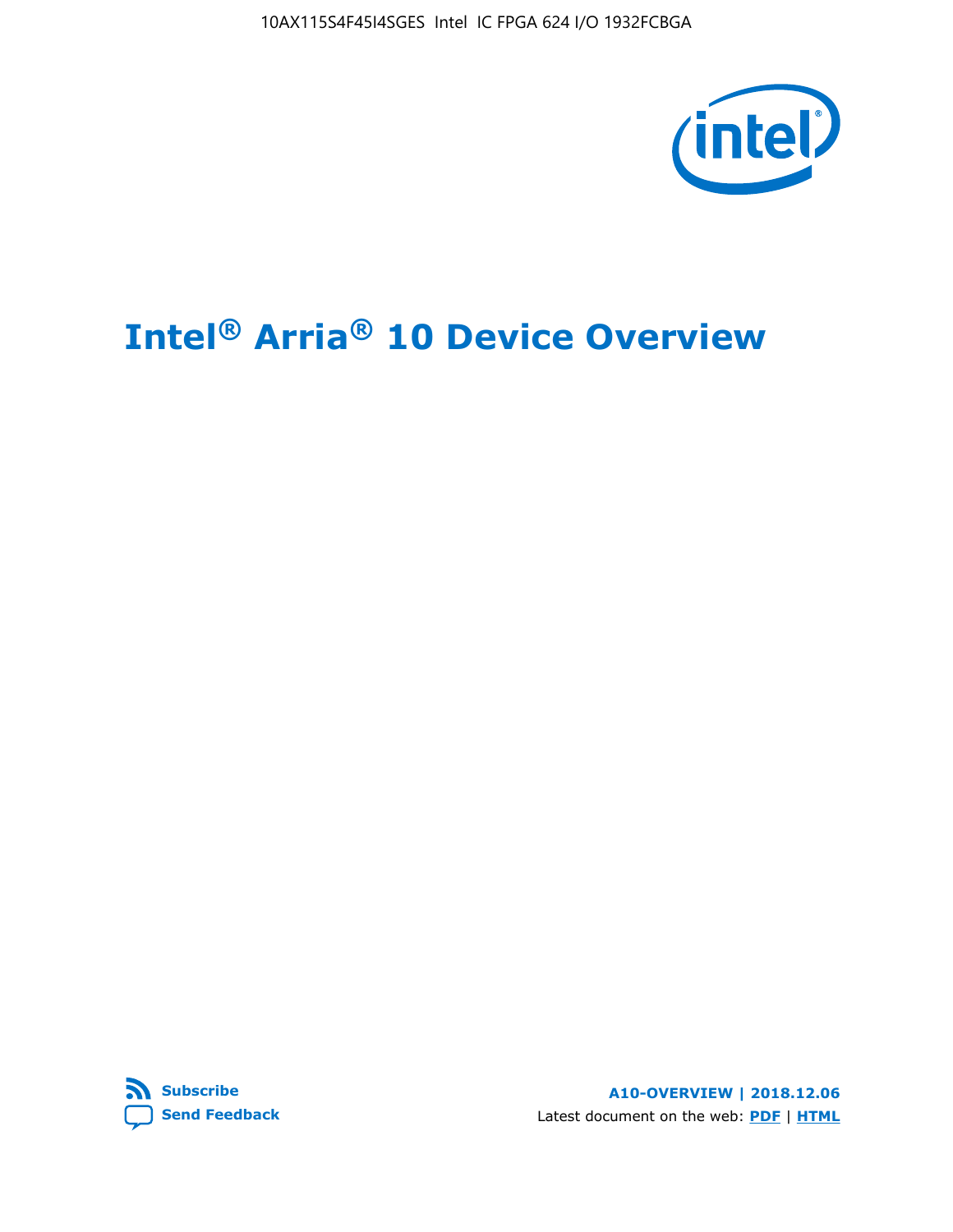10AX115S4F45I4SGES Intel IC FPGA 624 I/O 1932FCBGA



# **Intel® Arria® 10 Device Overview**



**A10-OVERVIEW | 2018.12.06** Latest document on the web: **[PDF](https://www.intel.com/content/dam/www/programmable/us/en/pdfs/literature/hb/arria-10/a10_overview.pdf)** | **[HTML](https://www.intel.com/content/www/us/en/programmable/documentation/sam1403480274650.html)**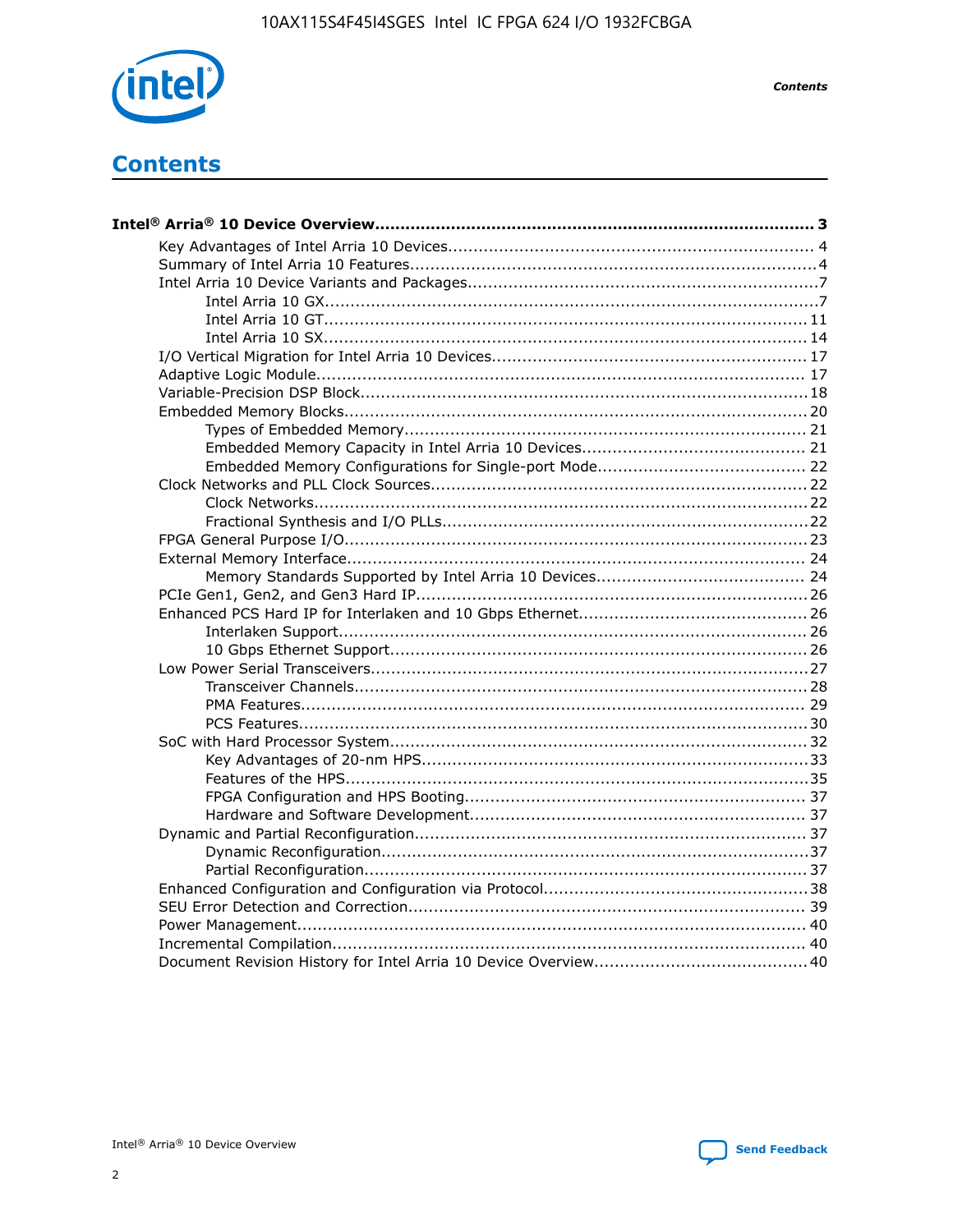

**Contents** 

# **Contents**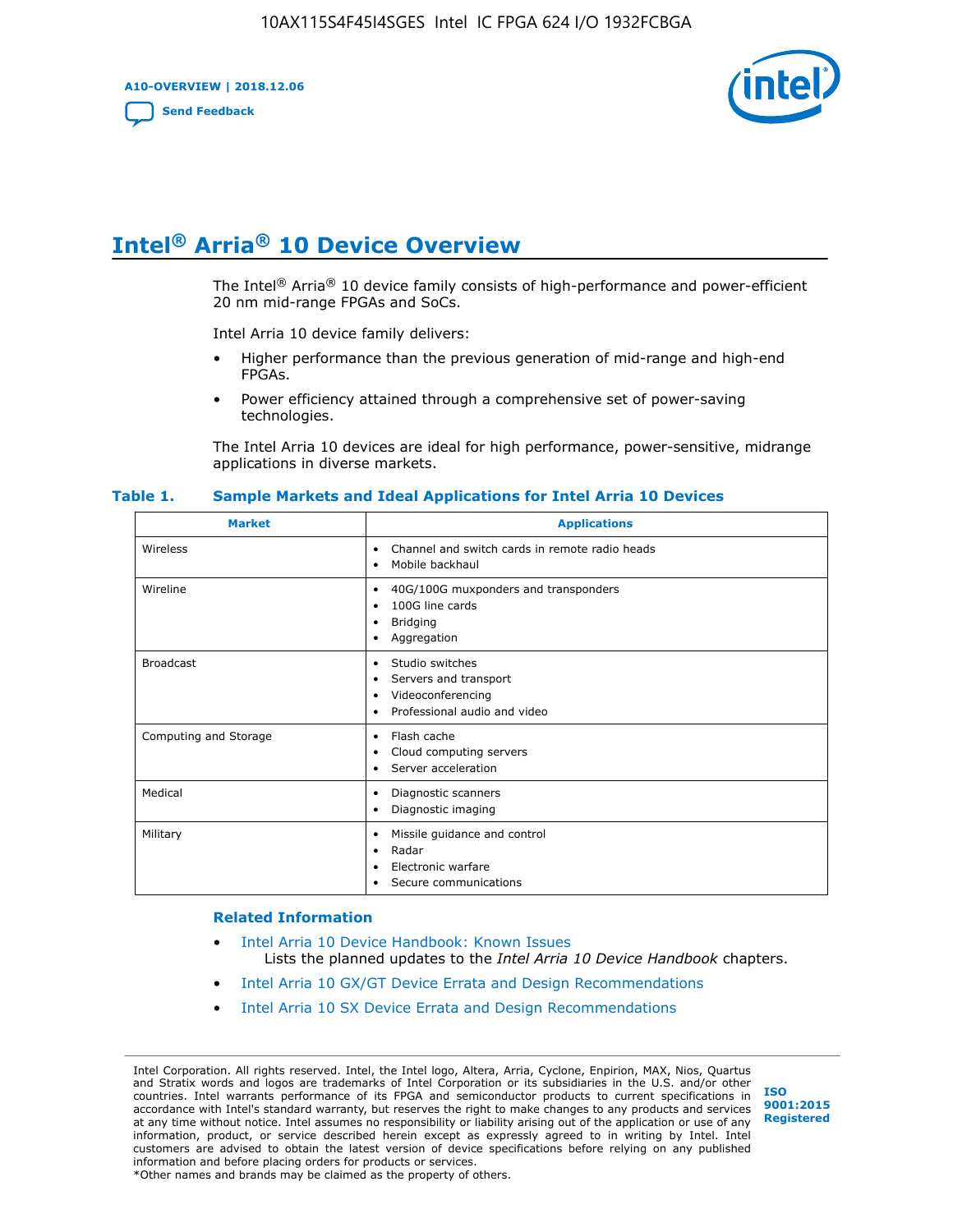**A10-OVERVIEW | 2018.12.06**

**[Send Feedback](mailto:FPGAtechdocfeedback@intel.com?subject=Feedback%20on%20Intel%20Arria%2010%20Device%20Overview%20(A10-OVERVIEW%202018.12.06)&body=We%20appreciate%20your%20feedback.%20In%20your%20comments,%20also%20specify%20the%20page%20number%20or%20paragraph.%20Thank%20you.)**



# **Intel® Arria® 10 Device Overview**

The Intel<sup>®</sup> Arria<sup>®</sup> 10 device family consists of high-performance and power-efficient 20 nm mid-range FPGAs and SoCs.

Intel Arria 10 device family delivers:

- Higher performance than the previous generation of mid-range and high-end FPGAs.
- Power efficiency attained through a comprehensive set of power-saving technologies.

The Intel Arria 10 devices are ideal for high performance, power-sensitive, midrange applications in diverse markets.

| <b>Market</b>         | <b>Applications</b>                                                                                               |
|-----------------------|-------------------------------------------------------------------------------------------------------------------|
| Wireless              | Channel and switch cards in remote radio heads<br>٠<br>Mobile backhaul<br>$\bullet$                               |
| Wireline              | 40G/100G muxponders and transponders<br>٠<br>100G line cards<br>٠<br><b>Bridging</b><br>٠<br>Aggregation<br>٠     |
| <b>Broadcast</b>      | Studio switches<br>٠<br>Servers and transport<br>٠<br>Videoconferencing<br>٠<br>Professional audio and video<br>٠ |
| Computing and Storage | Flash cache<br>٠<br>Cloud computing servers<br>٠<br>Server acceleration<br>٠                                      |
| Medical               | Diagnostic scanners<br>$\bullet$<br>Diagnostic imaging<br>٠                                                       |
| Military              | Missile guidance and control<br>٠<br>Radar<br>٠<br>Electronic warfare<br>٠<br>Secure communications<br>٠          |

#### **Table 1. Sample Markets and Ideal Applications for Intel Arria 10 Devices**

#### **Related Information**

- [Intel Arria 10 Device Handbook: Known Issues](http://www.altera.com/support/kdb/solutions/rd07302013_646.html) Lists the planned updates to the *Intel Arria 10 Device Handbook* chapters.
- [Intel Arria 10 GX/GT Device Errata and Design Recommendations](https://www.intel.com/content/www/us/en/programmable/documentation/agz1493851706374.html#yqz1494433888646)
- [Intel Arria 10 SX Device Errata and Design Recommendations](https://www.intel.com/content/www/us/en/programmable/documentation/cru1462832385668.html#cru1462832558642)

Intel Corporation. All rights reserved. Intel, the Intel logo, Altera, Arria, Cyclone, Enpirion, MAX, Nios, Quartus and Stratix words and logos are trademarks of Intel Corporation or its subsidiaries in the U.S. and/or other countries. Intel warrants performance of its FPGA and semiconductor products to current specifications in accordance with Intel's standard warranty, but reserves the right to make changes to any products and services at any time without notice. Intel assumes no responsibility or liability arising out of the application or use of any information, product, or service described herein except as expressly agreed to in writing by Intel. Intel customers are advised to obtain the latest version of device specifications before relying on any published information and before placing orders for products or services. \*Other names and brands may be claimed as the property of others.

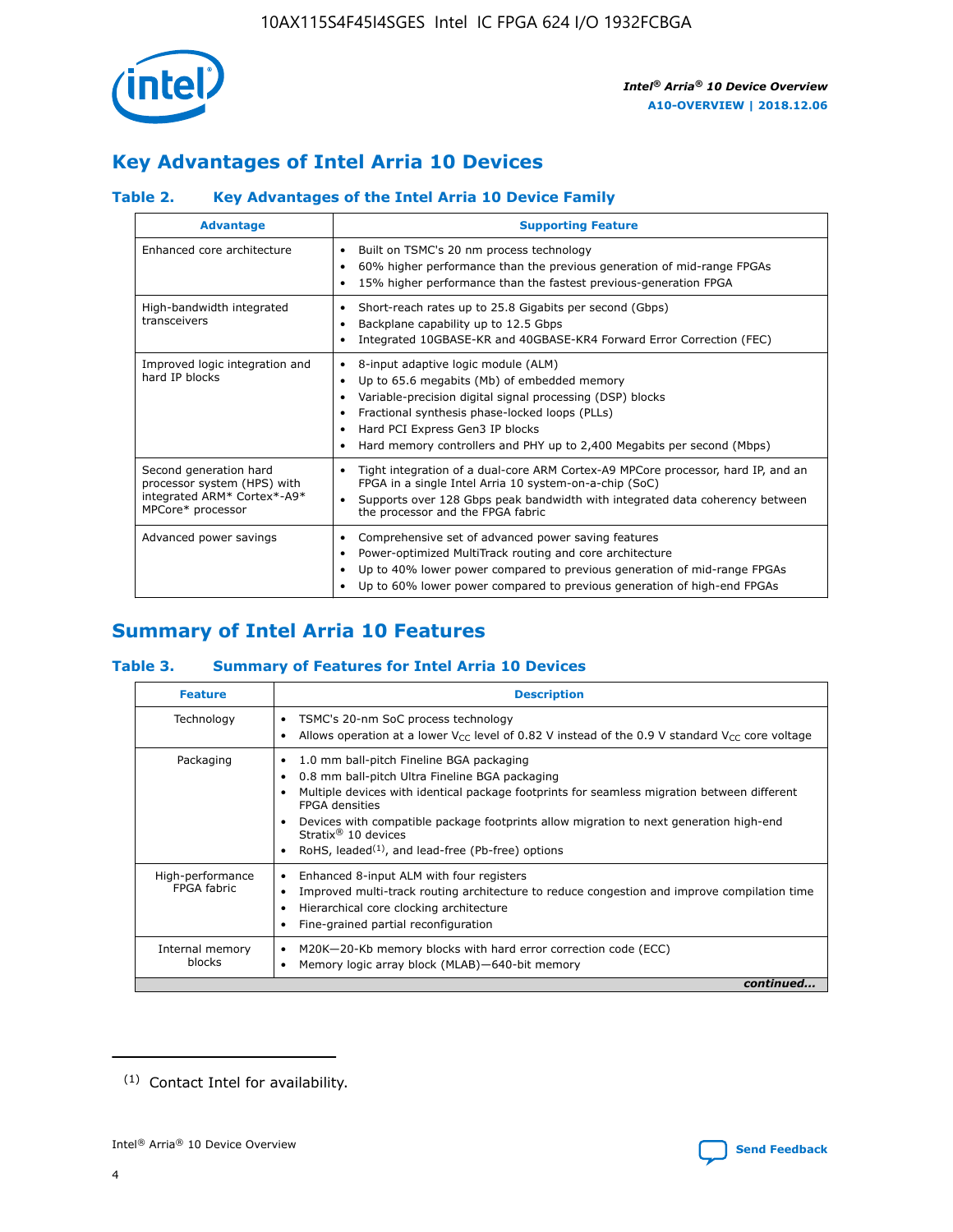

# **Key Advantages of Intel Arria 10 Devices**

## **Table 2. Key Advantages of the Intel Arria 10 Device Family**

| <b>Advantage</b>                                                                                          | <b>Supporting Feature</b>                                                                                                                                                                                                                                                                                                     |
|-----------------------------------------------------------------------------------------------------------|-------------------------------------------------------------------------------------------------------------------------------------------------------------------------------------------------------------------------------------------------------------------------------------------------------------------------------|
| Enhanced core architecture                                                                                | Built on TSMC's 20 nm process technology<br>٠<br>60% higher performance than the previous generation of mid-range FPGAs<br>٠<br>15% higher performance than the fastest previous-generation FPGA<br>٠                                                                                                                         |
| High-bandwidth integrated<br>transceivers                                                                 | Short-reach rates up to 25.8 Gigabits per second (Gbps)<br>٠<br>Backplane capability up to 12.5 Gbps<br>٠<br>Integrated 10GBASE-KR and 40GBASE-KR4 Forward Error Correction (FEC)<br>٠                                                                                                                                        |
| Improved logic integration and<br>hard IP blocks                                                          | 8-input adaptive logic module (ALM)<br>٠<br>Up to 65.6 megabits (Mb) of embedded memory<br>٠<br>Variable-precision digital signal processing (DSP) blocks<br>Fractional synthesis phase-locked loops (PLLs)<br>٠<br>Hard PCI Express Gen3 IP blocks<br>Hard memory controllers and PHY up to 2,400 Megabits per second (Mbps) |
| Second generation hard<br>processor system (HPS) with<br>integrated ARM* Cortex*-A9*<br>MPCore* processor | Tight integration of a dual-core ARM Cortex-A9 MPCore processor, hard IP, and an<br>٠<br>FPGA in a single Intel Arria 10 system-on-a-chip (SoC)<br>Supports over 128 Gbps peak bandwidth with integrated data coherency between<br>$\bullet$<br>the processor and the FPGA fabric                                             |
| Advanced power savings                                                                                    | Comprehensive set of advanced power saving features<br>٠<br>Power-optimized MultiTrack routing and core architecture<br>٠<br>Up to 40% lower power compared to previous generation of mid-range FPGAs<br>Up to 60% lower power compared to previous generation of high-end FPGAs<br>٠                                         |

# **Summary of Intel Arria 10 Features**

## **Table 3. Summary of Features for Intel Arria 10 Devices**

| <b>Feature</b>                  | <b>Description</b>                                                                                                                                                                                                                                                                                                                                                                                       |
|---------------------------------|----------------------------------------------------------------------------------------------------------------------------------------------------------------------------------------------------------------------------------------------------------------------------------------------------------------------------------------------------------------------------------------------------------|
| Technology                      | TSMC's 20-nm SoC process technology<br>٠<br>Allows operation at a lower $V_{\text{CC}}$ level of 0.82 V instead of the 0.9 V standard $V_{\text{CC}}$ core voltage                                                                                                                                                                                                                                       |
| Packaging                       | 1.0 mm ball-pitch Fineline BGA packaging<br>0.8 mm ball-pitch Ultra Fineline BGA packaging<br>Multiple devices with identical package footprints for seamless migration between different<br><b>FPGA</b> densities<br>Devices with compatible package footprints allow migration to next generation high-end<br>Stratix $\mathcal{R}$ 10 devices<br>RoHS, leaded $(1)$ , and lead-free (Pb-free) options |
| High-performance<br>FPGA fabric | Enhanced 8-input ALM with four registers<br>٠<br>Improved multi-track routing architecture to reduce congestion and improve compilation time<br>Hierarchical core clocking architecture<br>Fine-grained partial reconfiguration                                                                                                                                                                          |
| Internal memory<br>blocks       | M20K-20-Kb memory blocks with hard error correction code (ECC)<br>Memory logic array block (MLAB)-640-bit memory                                                                                                                                                                                                                                                                                         |
|                                 | continued                                                                                                                                                                                                                                                                                                                                                                                                |



<sup>(1)</sup> Contact Intel for availability.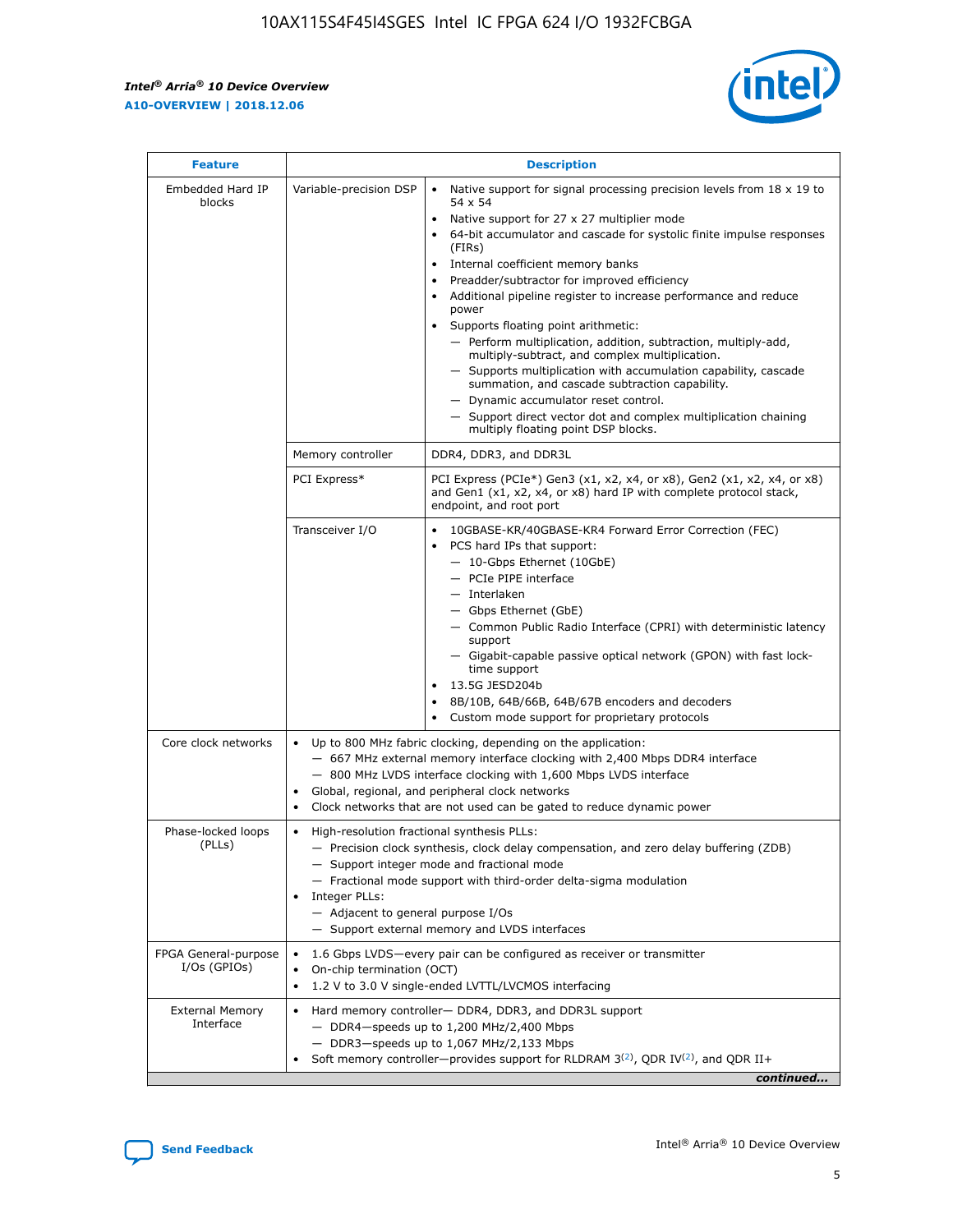r



| <b>Feature</b>                         | <b>Description</b>                                                                                             |                                                                                                                                                                                                                                                                                                                                                                                                                                                                                                                                                                                                                                                                                                                                                                                                                                        |  |  |  |  |  |
|----------------------------------------|----------------------------------------------------------------------------------------------------------------|----------------------------------------------------------------------------------------------------------------------------------------------------------------------------------------------------------------------------------------------------------------------------------------------------------------------------------------------------------------------------------------------------------------------------------------------------------------------------------------------------------------------------------------------------------------------------------------------------------------------------------------------------------------------------------------------------------------------------------------------------------------------------------------------------------------------------------------|--|--|--|--|--|
| Embedded Hard IP<br>blocks             | Variable-precision DSP                                                                                         | Native support for signal processing precision levels from $18 \times 19$ to<br>54 x 54<br>Native support for 27 x 27 multiplier mode<br>64-bit accumulator and cascade for systolic finite impulse responses<br>(FIRs)<br>Internal coefficient memory banks<br>$\bullet$<br>Preadder/subtractor for improved efficiency<br>Additional pipeline register to increase performance and reduce<br>power<br>Supports floating point arithmetic:<br>- Perform multiplication, addition, subtraction, multiply-add,<br>multiply-subtract, and complex multiplication.<br>- Supports multiplication with accumulation capability, cascade<br>summation, and cascade subtraction capability.<br>- Dynamic accumulator reset control.<br>- Support direct vector dot and complex multiplication chaining<br>multiply floating point DSP blocks. |  |  |  |  |  |
|                                        | Memory controller                                                                                              | DDR4, DDR3, and DDR3L                                                                                                                                                                                                                                                                                                                                                                                                                                                                                                                                                                                                                                                                                                                                                                                                                  |  |  |  |  |  |
|                                        | PCI Express*                                                                                                   | PCI Express (PCIe*) Gen3 (x1, x2, x4, or x8), Gen2 (x1, x2, x4, or x8)<br>and Gen1 (x1, x2, x4, or x8) hard IP with complete protocol stack,<br>endpoint, and root port                                                                                                                                                                                                                                                                                                                                                                                                                                                                                                                                                                                                                                                                |  |  |  |  |  |
|                                        | Transceiver I/O                                                                                                | 10GBASE-KR/40GBASE-KR4 Forward Error Correction (FEC)<br>PCS hard IPs that support:<br>$\bullet$<br>- 10-Gbps Ethernet (10GbE)<br>- PCIe PIPE interface<br>$-$ Interlaken<br>- Gbps Ethernet (GbE)<br>- Common Public Radio Interface (CPRI) with deterministic latency<br>support<br>- Gigabit-capable passive optical network (GPON) with fast lock-<br>time support<br>13.5G JESD204b<br>$\bullet$<br>8B/10B, 64B/66B, 64B/67B encoders and decoders<br>Custom mode support for proprietary protocols                                                                                                                                                                                                                                                                                                                               |  |  |  |  |  |
| Core clock networks                    | $\bullet$<br>$\bullet$                                                                                         | Up to 800 MHz fabric clocking, depending on the application:<br>- 667 MHz external memory interface clocking with 2,400 Mbps DDR4 interface<br>- 800 MHz LVDS interface clocking with 1,600 Mbps LVDS interface<br>Global, regional, and peripheral clock networks<br>Clock networks that are not used can be gated to reduce dynamic power                                                                                                                                                                                                                                                                                                                                                                                                                                                                                            |  |  |  |  |  |
| Phase-locked loops<br>(PLLs)           | High-resolution fractional synthesis PLLs:<br>$\bullet$<br>Integer PLLs:<br>- Adjacent to general purpose I/Os | - Precision clock synthesis, clock delay compensation, and zero delay buffering (ZDB)<br>- Support integer mode and fractional mode<br>- Fractional mode support with third-order delta-sigma modulation<br>- Support external memory and LVDS interfaces                                                                                                                                                                                                                                                                                                                                                                                                                                                                                                                                                                              |  |  |  |  |  |
| FPGA General-purpose<br>$I/Os$ (GPIOs) | On-chip termination (OCT)                                                                                      | 1.6 Gbps LVDS-every pair can be configured as receiver or transmitter<br>1.2 V to 3.0 V single-ended LVTTL/LVCMOS interfacing                                                                                                                                                                                                                                                                                                                                                                                                                                                                                                                                                                                                                                                                                                          |  |  |  |  |  |
| <b>External Memory</b><br>Interface    |                                                                                                                | Hard memory controller- DDR4, DDR3, and DDR3L support<br>$-$ DDR4-speeds up to 1,200 MHz/2,400 Mbps<br>- DDR3-speeds up to 1,067 MHz/2,133 Mbps<br>Soft memory controller—provides support for RLDRAM $3^{(2)}$ , QDR IV $^{(2)}$ , and QDR II+<br>continued                                                                                                                                                                                                                                                                                                                                                                                                                                                                                                                                                                           |  |  |  |  |  |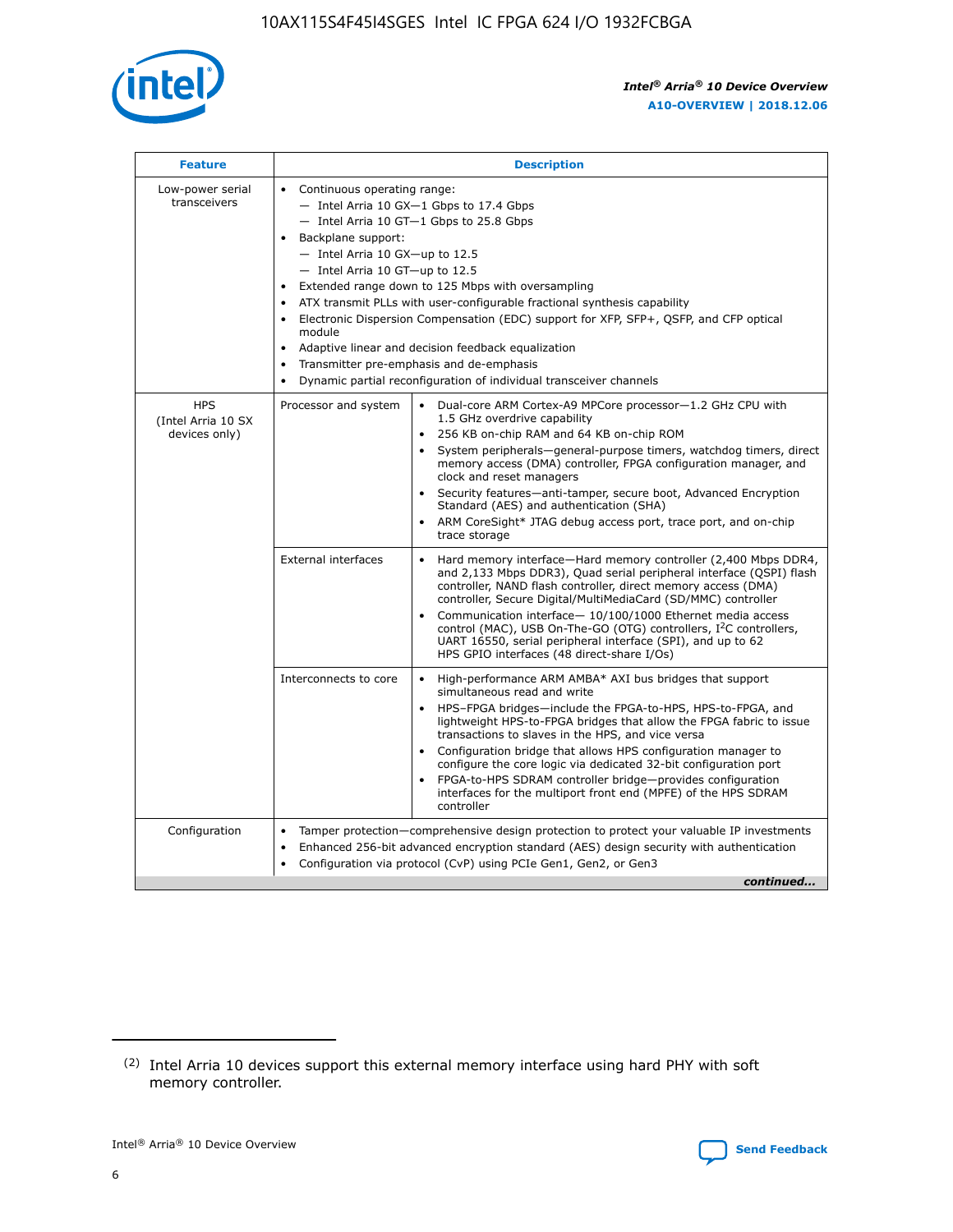

| <b>Feature</b>                                    | <b>Description</b>                                                                                                                                                                                                                                                                                                                                                                                                                                                                                                                                                                                                                                  |  |  |  |  |  |  |  |
|---------------------------------------------------|-----------------------------------------------------------------------------------------------------------------------------------------------------------------------------------------------------------------------------------------------------------------------------------------------------------------------------------------------------------------------------------------------------------------------------------------------------------------------------------------------------------------------------------------------------------------------------------------------------------------------------------------------------|--|--|--|--|--|--|--|
| Low-power serial<br>transceivers                  | • Continuous operating range:<br>- Intel Arria 10 GX-1 Gbps to 17.4 Gbps<br>- Intel Arria 10 GT-1 Gbps to 25.8 Gbps<br>Backplane support:<br>- Intel Arria 10 GX-up to 12.5<br>- Intel Arria 10 GT-up to 12.5<br>Extended range down to 125 Mbps with oversampling<br>ATX transmit PLLs with user-configurable fractional synthesis capability<br>Electronic Dispersion Compensation (EDC) support for XFP, SFP+, QSFP, and CFP optical<br>module<br>Adaptive linear and decision feedback equalization<br>$\bullet$<br>Transmitter pre-emphasis and de-emphasis<br>$\bullet$<br>Dynamic partial reconfiguration of individual transceiver channels |  |  |  |  |  |  |  |
| <b>HPS</b><br>(Intel Arria 10 SX<br>devices only) | Dual-core ARM Cortex-A9 MPCore processor-1.2 GHz CPU with<br>Processor and system<br>$\bullet$<br>1.5 GHz overdrive capability<br>256 KB on-chip RAM and 64 KB on-chip ROM<br>System peripherals—general-purpose timers, watchdog timers, direct<br>memory access (DMA) controller, FPGA configuration manager, and<br>clock and reset managers<br>Security features-anti-tamper, secure boot, Advanced Encryption<br>Standard (AES) and authentication (SHA)<br>ARM CoreSight* JTAG debug access port, trace port, and on-chip<br>trace storage                                                                                                    |  |  |  |  |  |  |  |
|                                                   | <b>External interfaces</b><br>Hard memory interface-Hard memory controller (2,400 Mbps DDR4,<br>$\bullet$<br>and 2,133 Mbps DDR3), Quad serial peripheral interface (QSPI) flash<br>controller, NAND flash controller, direct memory access (DMA)<br>controller, Secure Digital/MultiMediaCard (SD/MMC) controller<br>Communication interface-10/100/1000 Ethernet media access<br>control (MAC), USB On-The-GO (OTG) controllers, I <sup>2</sup> C controllers,<br>UART 16550, serial peripheral interface (SPI), and up to 62<br>HPS GPIO interfaces (48 direct-share I/Os)                                                                       |  |  |  |  |  |  |  |
|                                                   | High-performance ARM AMBA* AXI bus bridges that support<br>Interconnects to core<br>$\bullet$<br>simultaneous read and write<br>HPS-FPGA bridges-include the FPGA-to-HPS, HPS-to-FPGA, and<br>$\bullet$<br>lightweight HPS-to-FPGA bridges that allow the FPGA fabric to issue<br>transactions to slaves in the HPS, and vice versa<br>Configuration bridge that allows HPS configuration manager to<br>configure the core logic via dedicated 32-bit configuration port<br>FPGA-to-HPS SDRAM controller bridge-provides configuration<br>interfaces for the multiport front end (MPFE) of the HPS SDRAM<br>controller                              |  |  |  |  |  |  |  |
| Configuration                                     | Tamper protection—comprehensive design protection to protect your valuable IP investments<br>Enhanced 256-bit advanced encryption standard (AES) design security with authentication<br>٠<br>Configuration via protocol (CvP) using PCIe Gen1, Gen2, or Gen3<br>continued                                                                                                                                                                                                                                                                                                                                                                           |  |  |  |  |  |  |  |

<sup>(2)</sup> Intel Arria 10 devices support this external memory interface using hard PHY with soft memory controller.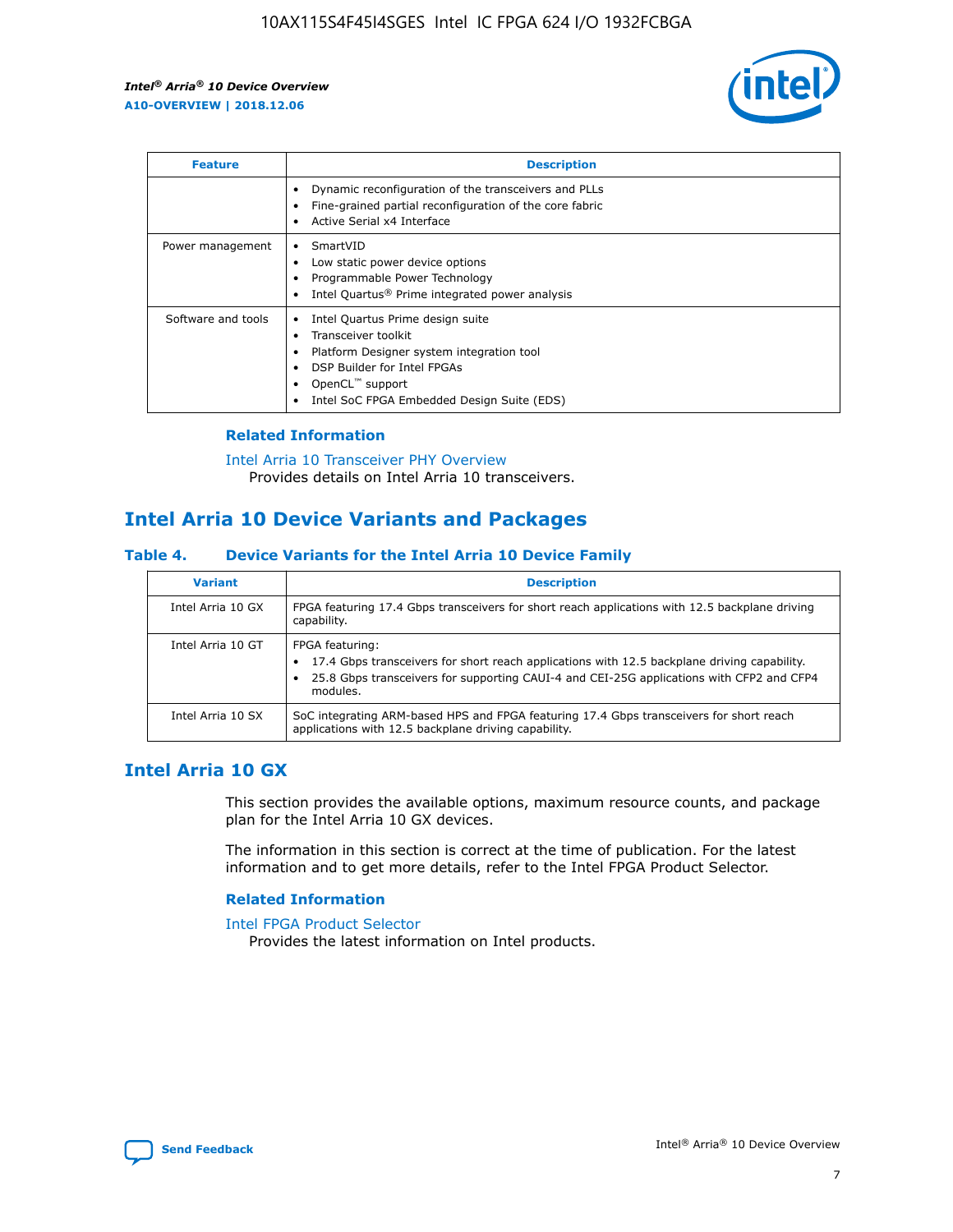

| <b>Feature</b>     | <b>Description</b>                                                                                                                                                                                               |
|--------------------|------------------------------------------------------------------------------------------------------------------------------------------------------------------------------------------------------------------|
|                    | Dynamic reconfiguration of the transceivers and PLLs<br>Fine-grained partial reconfiguration of the core fabric<br>Active Serial x4 Interface<br>$\bullet$                                                       |
| Power management   | SmartVID<br>Low static power device options<br>Programmable Power Technology<br>Intel Quartus <sup>®</sup> Prime integrated power analysis                                                                       |
| Software and tools | Intel Quartus Prime design suite<br>Transceiver toolkit<br>Platform Designer system integration tool<br>DSP Builder for Intel FPGAs<br>OpenCL <sup>™</sup> support<br>Intel SoC FPGA Embedded Design Suite (EDS) |

## **Related Information**

[Intel Arria 10 Transceiver PHY Overview](https://www.intel.com/content/www/us/en/programmable/documentation/nik1398707230472.html#nik1398706768037) Provides details on Intel Arria 10 transceivers.

## **Intel Arria 10 Device Variants and Packages**

#### **Table 4. Device Variants for the Intel Arria 10 Device Family**

| <b>Variant</b>    | <b>Description</b>                                                                                                                                                                                                     |
|-------------------|------------------------------------------------------------------------------------------------------------------------------------------------------------------------------------------------------------------------|
| Intel Arria 10 GX | FPGA featuring 17.4 Gbps transceivers for short reach applications with 12.5 backplane driving<br>capability.                                                                                                          |
| Intel Arria 10 GT | FPGA featuring:<br>17.4 Gbps transceivers for short reach applications with 12.5 backplane driving capability.<br>25.8 Gbps transceivers for supporting CAUI-4 and CEI-25G applications with CFP2 and CFP4<br>modules. |
| Intel Arria 10 SX | SoC integrating ARM-based HPS and FPGA featuring 17.4 Gbps transceivers for short reach<br>applications with 12.5 backplane driving capability.                                                                        |

## **Intel Arria 10 GX**

This section provides the available options, maximum resource counts, and package plan for the Intel Arria 10 GX devices.

The information in this section is correct at the time of publication. For the latest information and to get more details, refer to the Intel FPGA Product Selector.

#### **Related Information**

#### [Intel FPGA Product Selector](http://www.altera.com/products/selector/psg-selector.html) Provides the latest information on Intel products.

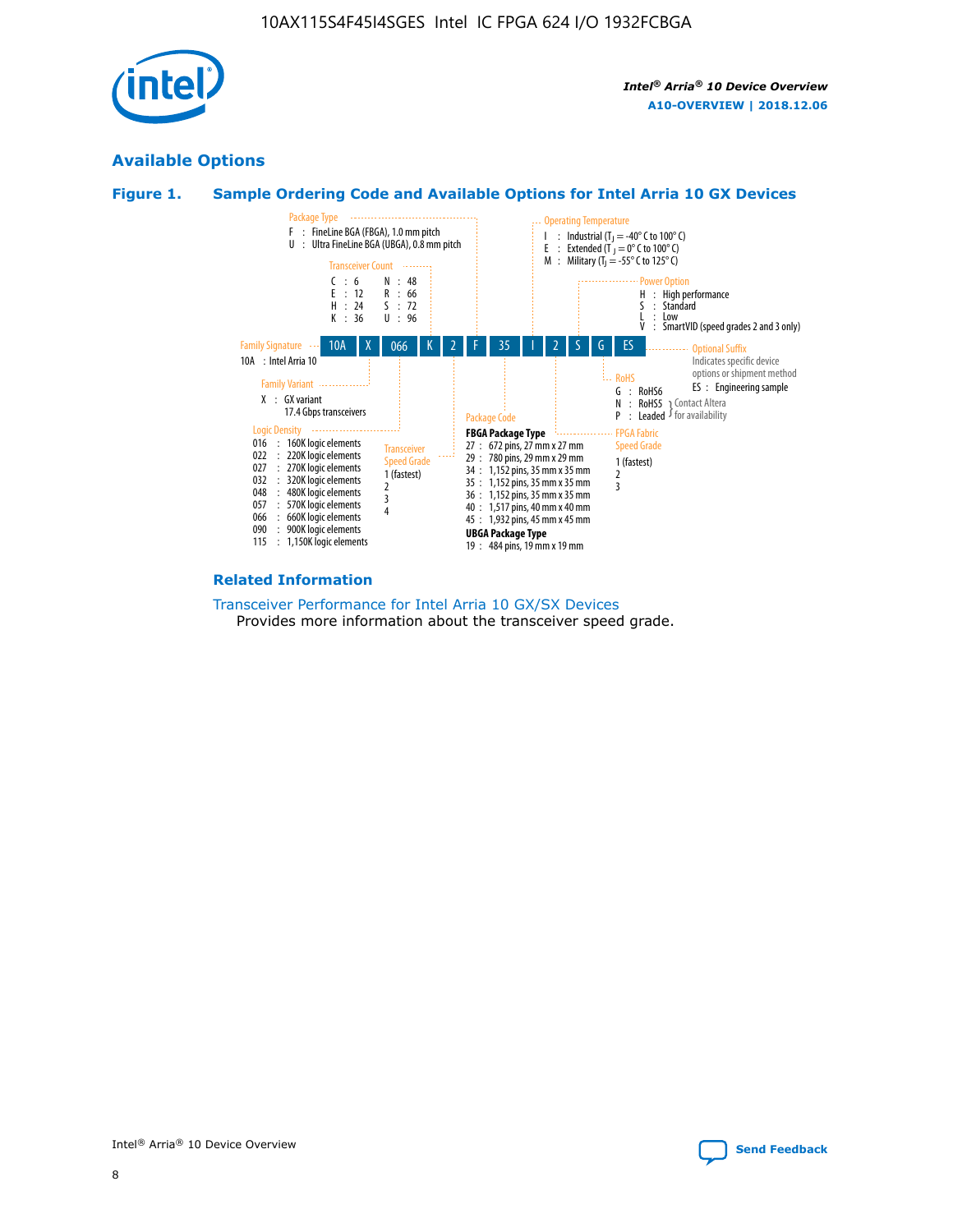

## **Available Options**





#### **Related Information**

[Transceiver Performance for Intel Arria 10 GX/SX Devices](https://www.intel.com/content/www/us/en/programmable/documentation/mcn1413182292568.html#mcn1413213965502) Provides more information about the transceiver speed grade.

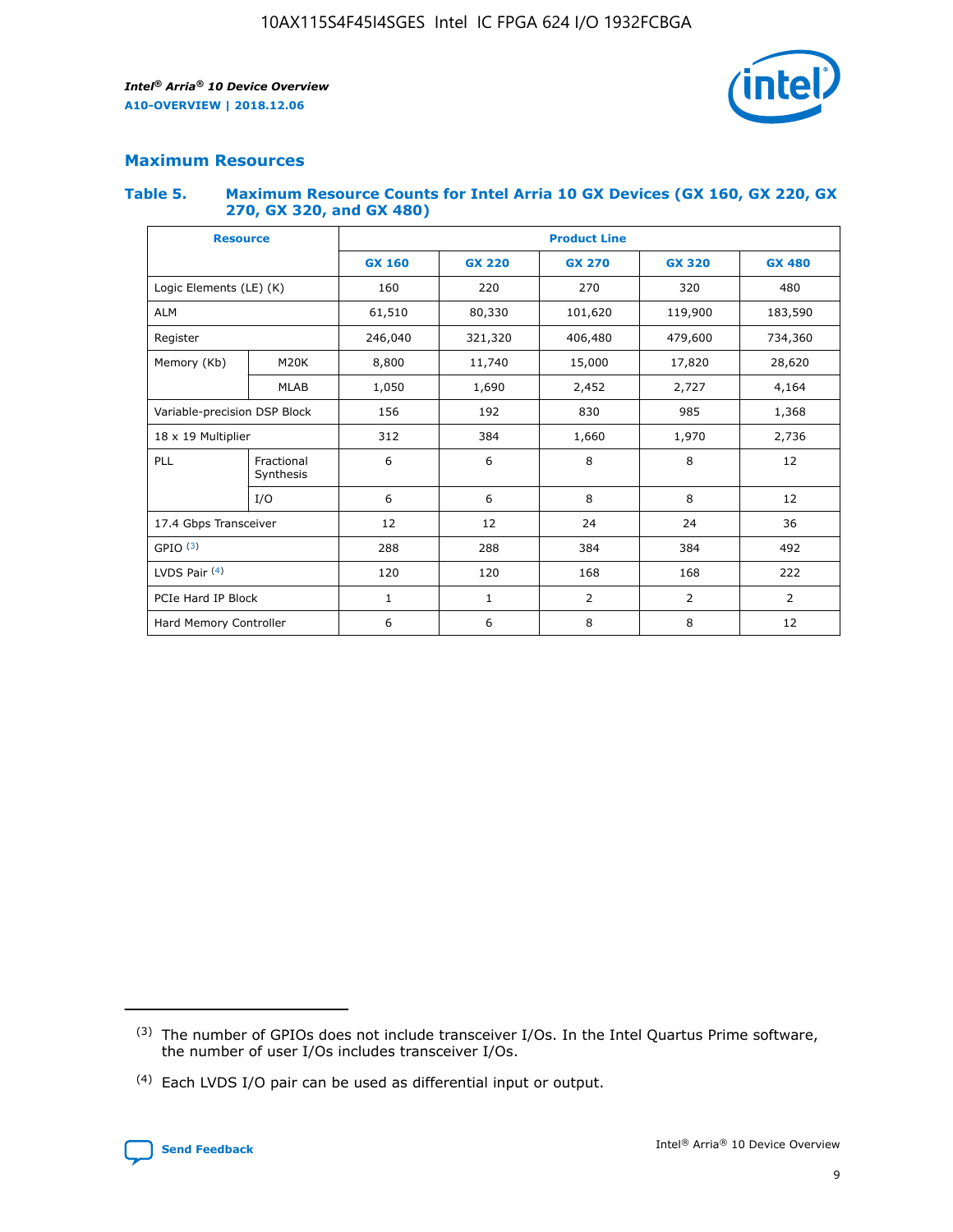

## **Maximum Resources**

#### **Table 5. Maximum Resource Counts for Intel Arria 10 GX Devices (GX 160, GX 220, GX 270, GX 320, and GX 480)**

| <b>Resource</b>              |                         | <b>Product Line</b> |                                |                |                |                |  |  |  |
|------------------------------|-------------------------|---------------------|--------------------------------|----------------|----------------|----------------|--|--|--|
|                              |                         | <b>GX 160</b>       | <b>GX 220</b><br><b>GX 270</b> |                | <b>GX 320</b>  | <b>GX 480</b>  |  |  |  |
| Logic Elements (LE) (K)      |                         | 160                 | 220                            | 270            | 320            | 480            |  |  |  |
| <b>ALM</b>                   |                         | 61,510              | 80,330                         | 101,620        | 119,900        | 183,590        |  |  |  |
| Register                     |                         | 246,040             | 406,480<br>321,320             |                | 479,600        | 734,360        |  |  |  |
| Memory (Kb)                  | M <sub>20</sub> K       | 8,800               | 11,740                         |                | 17,820         | 28,620         |  |  |  |
|                              | <b>MLAB</b>             | 1,050               | 1,690                          | 2,452          | 2,727          | 4,164          |  |  |  |
| Variable-precision DSP Block |                         | 156                 | 192                            | 830            | 985            | 1,368          |  |  |  |
| 18 x 19 Multiplier           |                         | 312                 | 384                            | 1,970<br>1,660 |                | 2,736          |  |  |  |
| PLL                          | Fractional<br>Synthesis | 6                   | 6                              | 8              | 8              | 12             |  |  |  |
|                              | I/O                     | 6                   | 6                              | 8              | 8              | 12             |  |  |  |
| 17.4 Gbps Transceiver        |                         | 12                  | 12                             | 24             | 24             | 36             |  |  |  |
| GPIO <sup>(3)</sup>          |                         | 288                 | 288                            | 384            | 384            | 492            |  |  |  |
| LVDS Pair $(4)$              |                         | 120                 | 120                            | 168            | 168            | 222            |  |  |  |
| PCIe Hard IP Block           |                         | 1                   | 1                              | 2              | $\overline{2}$ | $\overline{2}$ |  |  |  |
| Hard Memory Controller       |                         | 6                   | 6                              | 8              | 8              |                |  |  |  |

<sup>(4)</sup> Each LVDS I/O pair can be used as differential input or output.



<sup>(3)</sup> The number of GPIOs does not include transceiver I/Os. In the Intel Quartus Prime software, the number of user I/Os includes transceiver I/Os.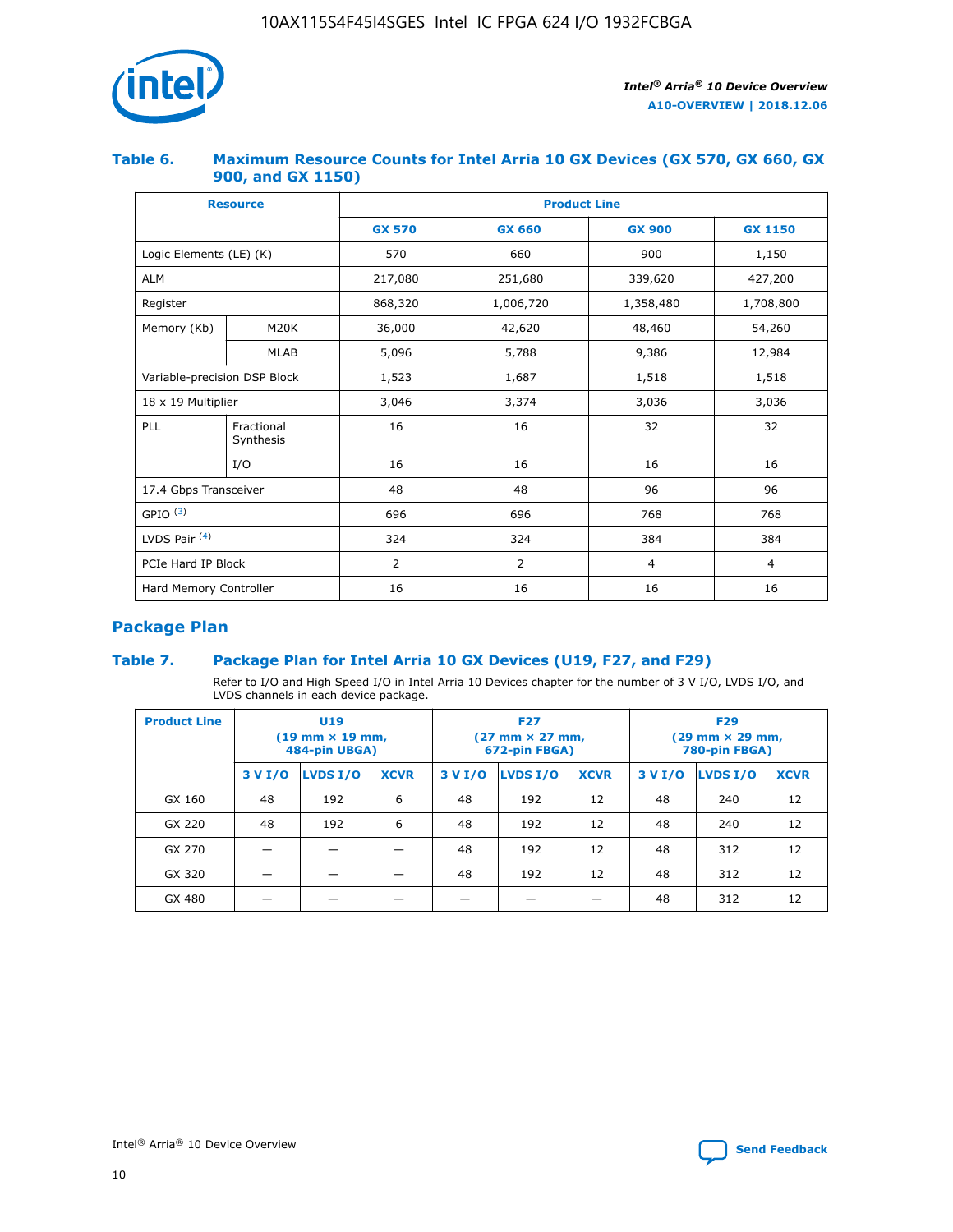

## **Table 6. Maximum Resource Counts for Intel Arria 10 GX Devices (GX 570, GX 660, GX 900, and GX 1150)**

|                              | <b>Resource</b>         | <b>Product Line</b> |                |                |                |  |  |  |
|------------------------------|-------------------------|---------------------|----------------|----------------|----------------|--|--|--|
|                              |                         | <b>GX 570</b>       | <b>GX 660</b>  | <b>GX 900</b>  | <b>GX 1150</b> |  |  |  |
| Logic Elements (LE) (K)      |                         | 570                 | 660            | 900            | 1,150          |  |  |  |
| <b>ALM</b>                   |                         | 217,080             | 251,680        | 339,620        | 427,200        |  |  |  |
| Register                     |                         | 868,320             | 1,006,720      |                | 1,708,800      |  |  |  |
| Memory (Kb)                  | <b>M20K</b>             | 36,000              | 42,620         | 48,460         | 54,260         |  |  |  |
|                              | <b>MLAB</b>             | 5,096               | 5,788          | 9,386          | 12,984         |  |  |  |
| Variable-precision DSP Block |                         | 1,523               | 1,687          | 1,518          | 1,518          |  |  |  |
| $18 \times 19$ Multiplier    |                         | 3,046               | 3,374          | 3,036          | 3,036          |  |  |  |
| PLL                          | Fractional<br>Synthesis | 16                  | 16             | 32             | 32             |  |  |  |
|                              | I/O                     | 16                  | 16             | 16             | 16             |  |  |  |
| 17.4 Gbps Transceiver        |                         | 48                  | 48             | 96             | 96             |  |  |  |
| GPIO <sup>(3)</sup>          |                         | 696                 | 696            | 768            | 768            |  |  |  |
| LVDS Pair $(4)$              |                         | 324                 | 324            | 384            | 384            |  |  |  |
| PCIe Hard IP Block           |                         | 2                   | $\overline{2}$ | $\overline{4}$ | 4              |  |  |  |
| Hard Memory Controller       |                         | 16                  | 16             | 16             | 16             |  |  |  |

## **Package Plan**

## **Table 7. Package Plan for Intel Arria 10 GX Devices (U19, F27, and F29)**

Refer to I/O and High Speed I/O in Intel Arria 10 Devices chapter for the number of 3 V I/O, LVDS I/O, and LVDS channels in each device package.

| <b>Product Line</b> | U <sub>19</sub><br>$(19 \text{ mm} \times 19 \text{ mm})$<br>484-pin UBGA) |          |             |         | <b>F27</b><br>(27 mm × 27 mm,<br>672-pin FBGA) |             | <b>F29</b><br>(29 mm × 29 mm,<br>780-pin FBGA) |          |             |  |
|---------------------|----------------------------------------------------------------------------|----------|-------------|---------|------------------------------------------------|-------------|------------------------------------------------|----------|-------------|--|
|                     | 3 V I/O                                                                    | LVDS I/O | <b>XCVR</b> | 3 V I/O | LVDS I/O                                       | <b>XCVR</b> | 3 V I/O                                        | LVDS I/O | <b>XCVR</b> |  |
| GX 160              | 48                                                                         | 192      | 6           | 48      | 192                                            | 12          | 48                                             | 240      | 12          |  |
| GX 220              | 48                                                                         | 192      | 6           | 48      | 192                                            | 12          | 48                                             | 240      | 12          |  |
| GX 270              |                                                                            |          |             | 48      | 192                                            | 12          | 48                                             | 312      | 12          |  |
| GX 320              |                                                                            |          |             | 48      | 192                                            | 12          | 48                                             | 312      | 12          |  |
| GX 480              |                                                                            |          |             |         |                                                |             | 48                                             | 312      | 12          |  |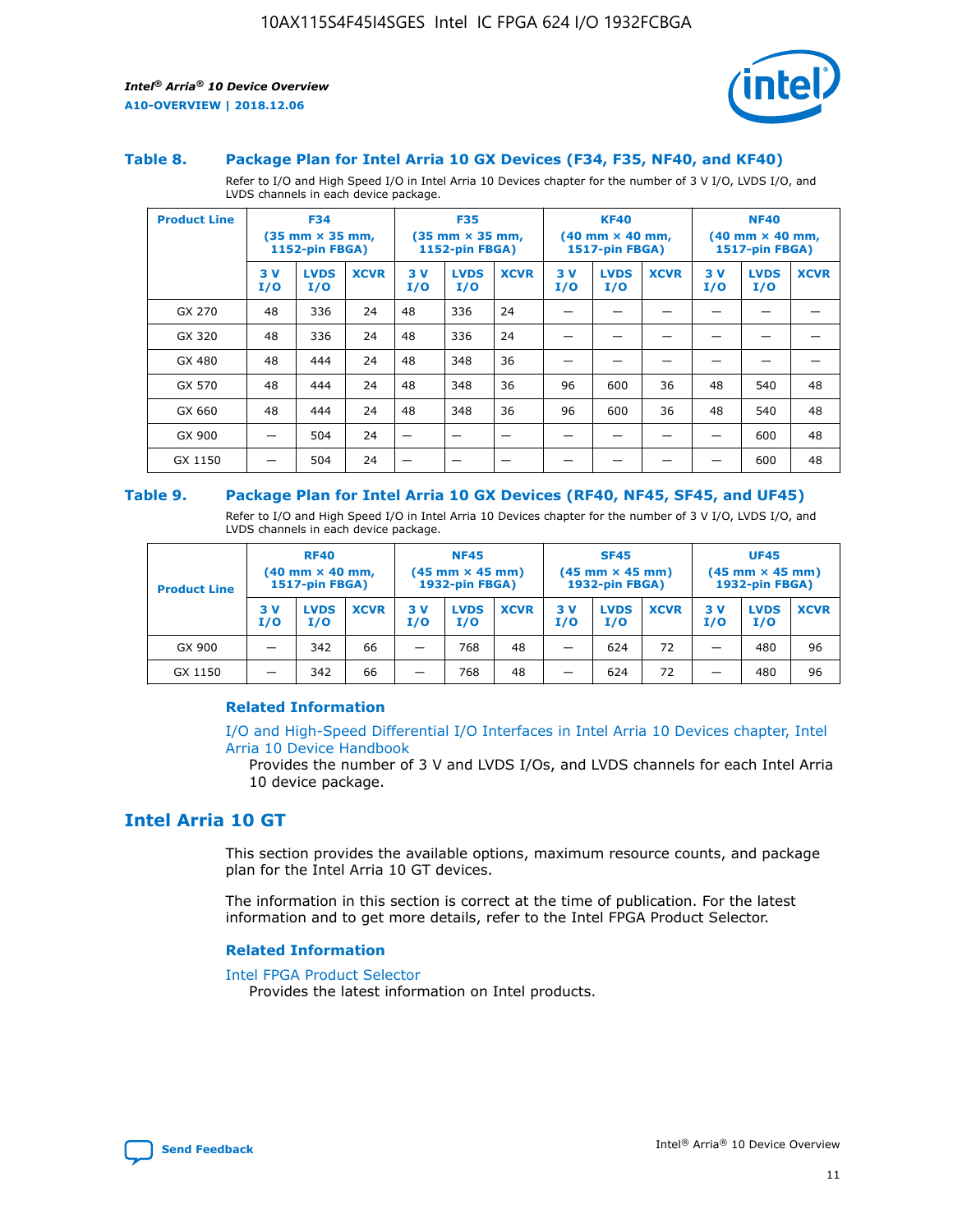

#### **Table 8. Package Plan for Intel Arria 10 GX Devices (F34, F35, NF40, and KF40)**

Refer to I/O and High Speed I/O in Intel Arria 10 Devices chapter for the number of 3 V I/O, LVDS I/O, and LVDS channels in each device package.

| <b>Product Line</b> | <b>F34</b><br>$(35 \text{ mm} \times 35 \text{ mm})$<br>1152-pin FBGA) |                    | <b>F35</b><br>$(35 \text{ mm} \times 35 \text{ mm})$<br><b>1152-pin FBGA)</b> |           | <b>KF40</b><br>$(40$ mm $\times$ 40 mm,<br>1517-pin FBGA) |             |           | <b>NF40</b><br>$(40$ mm $\times$ 40 mm,<br><b>1517-pin FBGA)</b> |             |            |                    |             |
|---------------------|------------------------------------------------------------------------|--------------------|-------------------------------------------------------------------------------|-----------|-----------------------------------------------------------|-------------|-----------|------------------------------------------------------------------|-------------|------------|--------------------|-------------|
|                     | 3V<br>I/O                                                              | <b>LVDS</b><br>I/O | <b>XCVR</b>                                                                   | 3V<br>I/O | <b>LVDS</b><br>I/O                                        | <b>XCVR</b> | 3V<br>I/O | <b>LVDS</b><br>I/O                                               | <b>XCVR</b> | 3 V<br>I/O | <b>LVDS</b><br>I/O | <b>XCVR</b> |
| GX 270              | 48                                                                     | 336                | 24                                                                            | 48        | 336                                                       | 24          |           |                                                                  |             |            |                    |             |
| GX 320              | 48                                                                     | 336                | 24                                                                            | 48        | 336                                                       | 24          |           |                                                                  |             |            |                    |             |
| GX 480              | 48                                                                     | 444                | 24                                                                            | 48        | 348                                                       | 36          |           |                                                                  |             |            |                    |             |
| GX 570              | 48                                                                     | 444                | 24                                                                            | 48        | 348                                                       | 36          | 96        | 600                                                              | 36          | 48         | 540                | 48          |
| GX 660              | 48                                                                     | 444                | 24                                                                            | 48        | 348                                                       | 36          | 96        | 600                                                              | 36          | 48         | 540                | 48          |
| GX 900              |                                                                        | 504                | 24                                                                            | -         |                                                           |             |           |                                                                  |             |            | 600                | 48          |
| GX 1150             |                                                                        | 504                | 24                                                                            |           |                                                           |             |           |                                                                  |             |            | 600                | 48          |

#### **Table 9. Package Plan for Intel Arria 10 GX Devices (RF40, NF45, SF45, and UF45)**

Refer to I/O and High Speed I/O in Intel Arria 10 Devices chapter for the number of 3 V I/O, LVDS I/O, and LVDS channels in each device package.

| <b>Product Line</b> | <b>RF40</b><br>$(40$ mm $\times$ 40 mm,<br>1517-pin FBGA) |                    | <b>NF45</b><br>$(45 \text{ mm} \times 45 \text{ mm})$<br><b>1932-pin FBGA)</b> |            |                    | <b>SF45</b><br>$(45 \text{ mm} \times 45 \text{ mm})$<br><b>1932-pin FBGA)</b> |            |                    | <b>UF45</b><br>$(45 \text{ mm} \times 45 \text{ mm})$<br><b>1932-pin FBGA)</b> |           |                    |             |
|---------------------|-----------------------------------------------------------|--------------------|--------------------------------------------------------------------------------|------------|--------------------|--------------------------------------------------------------------------------|------------|--------------------|--------------------------------------------------------------------------------|-----------|--------------------|-------------|
|                     | 3V<br>I/O                                                 | <b>LVDS</b><br>I/O | <b>XCVR</b>                                                                    | 3 V<br>I/O | <b>LVDS</b><br>I/O | <b>XCVR</b>                                                                    | 3 V<br>I/O | <b>LVDS</b><br>I/O | <b>XCVR</b>                                                                    | 3V<br>I/O | <b>LVDS</b><br>I/O | <b>XCVR</b> |
| GX 900              |                                                           | 342                | 66                                                                             | _          | 768                | 48                                                                             |            | 624                | 72                                                                             |           | 480                | 96          |
| GX 1150             |                                                           | 342                | 66                                                                             | _          | 768                | 48                                                                             |            | 624                | 72                                                                             |           | 480                | 96          |

#### **Related Information**

[I/O and High-Speed Differential I/O Interfaces in Intel Arria 10 Devices chapter, Intel](https://www.intel.com/content/www/us/en/programmable/documentation/sam1403482614086.html#sam1403482030321) [Arria 10 Device Handbook](https://www.intel.com/content/www/us/en/programmable/documentation/sam1403482614086.html#sam1403482030321)

Provides the number of 3 V and LVDS I/Os, and LVDS channels for each Intel Arria 10 device package.

## **Intel Arria 10 GT**

This section provides the available options, maximum resource counts, and package plan for the Intel Arria 10 GT devices.

The information in this section is correct at the time of publication. For the latest information and to get more details, refer to the Intel FPGA Product Selector.

#### **Related Information**

#### [Intel FPGA Product Selector](http://www.altera.com/products/selector/psg-selector.html)

Provides the latest information on Intel products.

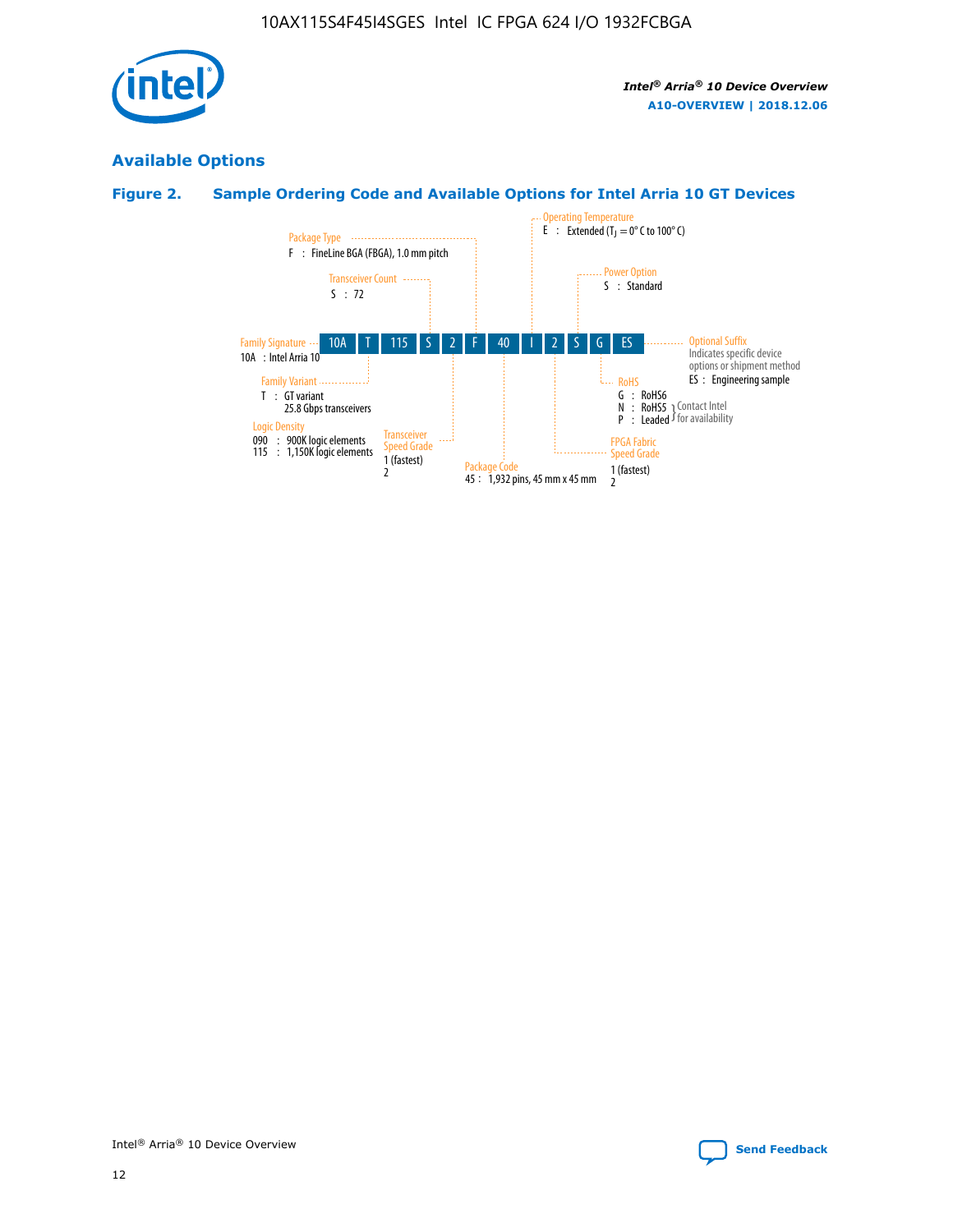

## **Available Options**

## **Figure 2. Sample Ordering Code and Available Options for Intel Arria 10 GT Devices**

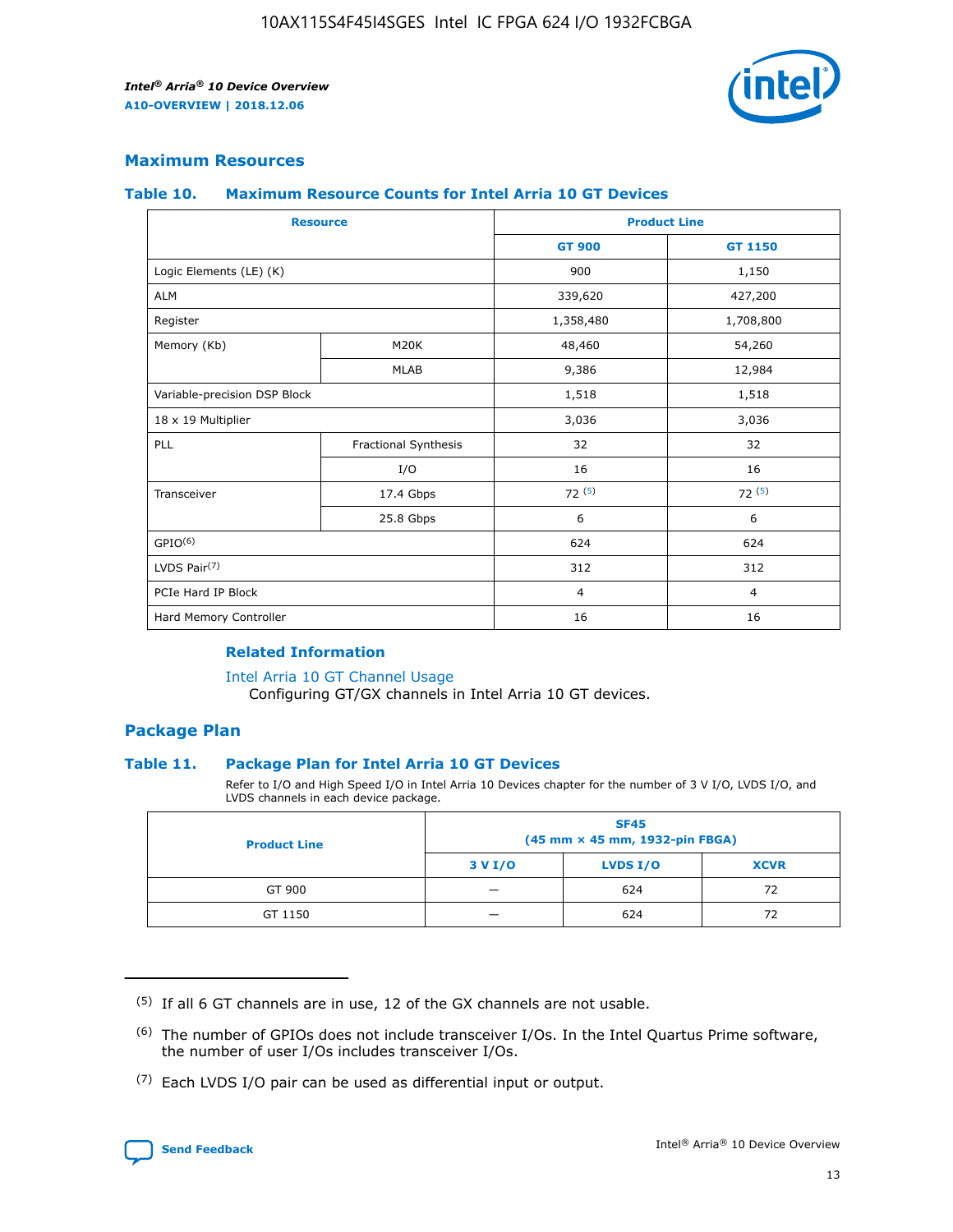

## **Maximum Resources**

#### **Table 10. Maximum Resource Counts for Intel Arria 10 GT Devices**

| <b>Resource</b>              |                      |                | <b>Product Line</b> |  |
|------------------------------|----------------------|----------------|---------------------|--|
|                              |                      | <b>GT 900</b>  | <b>GT 1150</b>      |  |
| Logic Elements (LE) (K)      |                      | 900            | 1,150               |  |
| <b>ALM</b>                   |                      | 339,620        | 427,200             |  |
| Register                     |                      | 1,358,480      | 1,708,800           |  |
| Memory (Kb)                  | M <sub>20</sub> K    | 48,460         | 54,260              |  |
|                              | <b>MLAB</b>          | 9,386          | 12,984              |  |
| Variable-precision DSP Block |                      | 1,518          | 1,518               |  |
| 18 x 19 Multiplier           |                      | 3,036          | 3,036               |  |
| PLL                          | Fractional Synthesis | 32             | 32                  |  |
|                              | I/O                  | 16             | 16                  |  |
| Transceiver                  | 17.4 Gbps            | 72(5)          | 72(5)               |  |
|                              | 25.8 Gbps            | 6              | 6                   |  |
| GPIO <sup>(6)</sup>          |                      | 624            | 624                 |  |
| LVDS Pair $(7)$              |                      | 312            | 312                 |  |
| PCIe Hard IP Block           |                      | $\overline{4}$ | $\overline{4}$      |  |
| Hard Memory Controller       |                      | 16             | 16                  |  |

#### **Related Information**

#### [Intel Arria 10 GT Channel Usage](https://www.intel.com/content/www/us/en/programmable/documentation/nik1398707230472.html#nik1398707008178)

Configuring GT/GX channels in Intel Arria 10 GT devices.

## **Package Plan**

#### **Table 11. Package Plan for Intel Arria 10 GT Devices**

Refer to I/O and High Speed I/O in Intel Arria 10 Devices chapter for the number of 3 V I/O, LVDS I/O, and LVDS channels in each device package.

| <b>Product Line</b> | <b>SF45</b><br>(45 mm × 45 mm, 1932-pin FBGA) |                 |             |  |  |  |
|---------------------|-----------------------------------------------|-----------------|-------------|--|--|--|
|                     | 3 V I/O                                       | <b>LVDS I/O</b> | <b>XCVR</b> |  |  |  |
| GT 900              |                                               | 624             | 72          |  |  |  |
| GT 1150             |                                               | 624             | 72          |  |  |  |

<sup>(7)</sup> Each LVDS I/O pair can be used as differential input or output.



 $(5)$  If all 6 GT channels are in use, 12 of the GX channels are not usable.

<sup>(6)</sup> The number of GPIOs does not include transceiver I/Os. In the Intel Quartus Prime software, the number of user I/Os includes transceiver I/Os.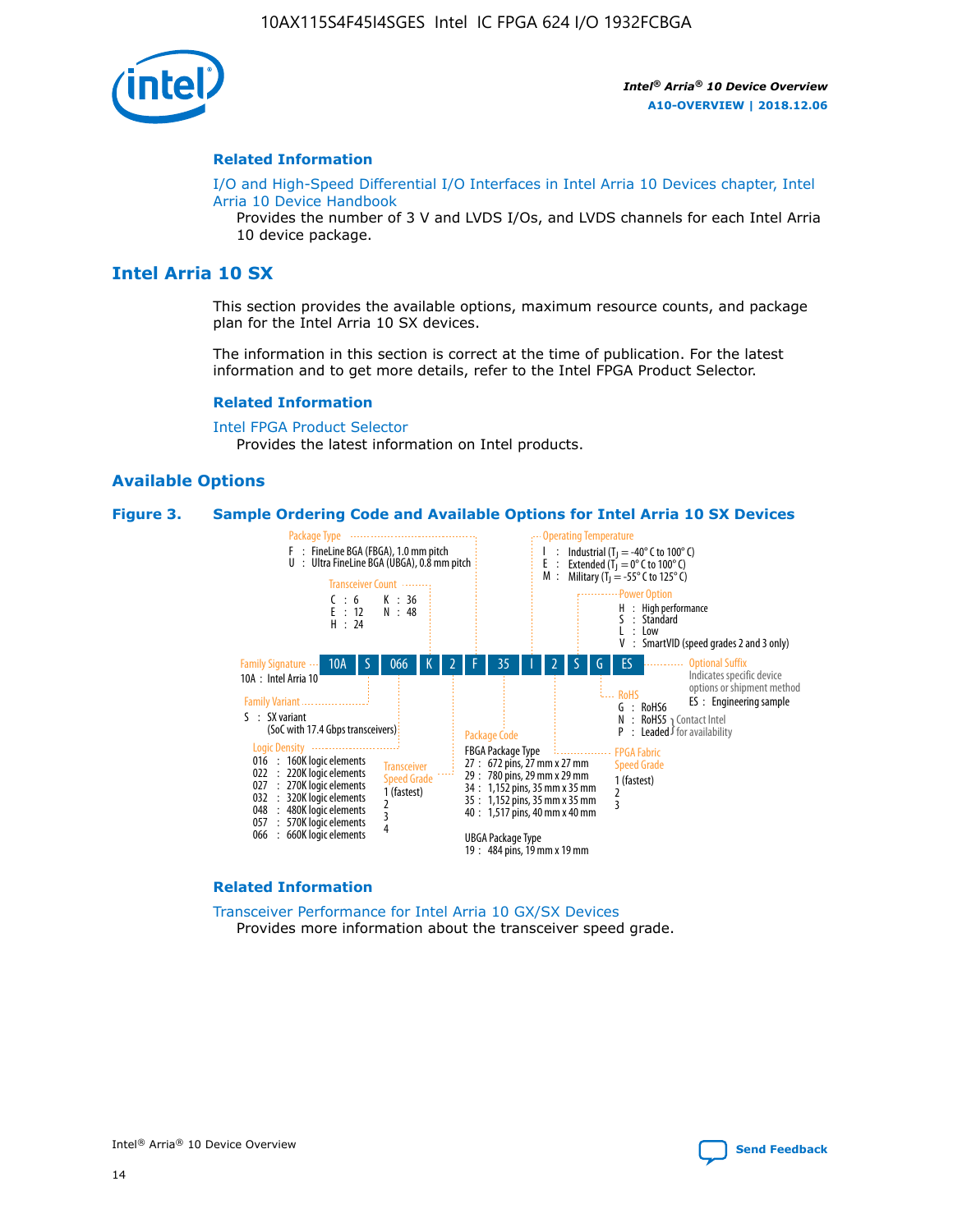

#### **Related Information**

[I/O and High-Speed Differential I/O Interfaces in Intel Arria 10 Devices chapter, Intel](https://www.intel.com/content/www/us/en/programmable/documentation/sam1403482614086.html#sam1403482030321) [Arria 10 Device Handbook](https://www.intel.com/content/www/us/en/programmable/documentation/sam1403482614086.html#sam1403482030321)

Provides the number of 3 V and LVDS I/Os, and LVDS channels for each Intel Arria 10 device package.

## **Intel Arria 10 SX**

This section provides the available options, maximum resource counts, and package plan for the Intel Arria 10 SX devices.

The information in this section is correct at the time of publication. For the latest information and to get more details, refer to the Intel FPGA Product Selector.

#### **Related Information**

[Intel FPGA Product Selector](http://www.altera.com/products/selector/psg-selector.html) Provides the latest information on Intel products.

#### **Available Options**

#### **Figure 3. Sample Ordering Code and Available Options for Intel Arria 10 SX Devices**



#### **Related Information**

[Transceiver Performance for Intel Arria 10 GX/SX Devices](https://www.intel.com/content/www/us/en/programmable/documentation/mcn1413182292568.html#mcn1413213965502) Provides more information about the transceiver speed grade.

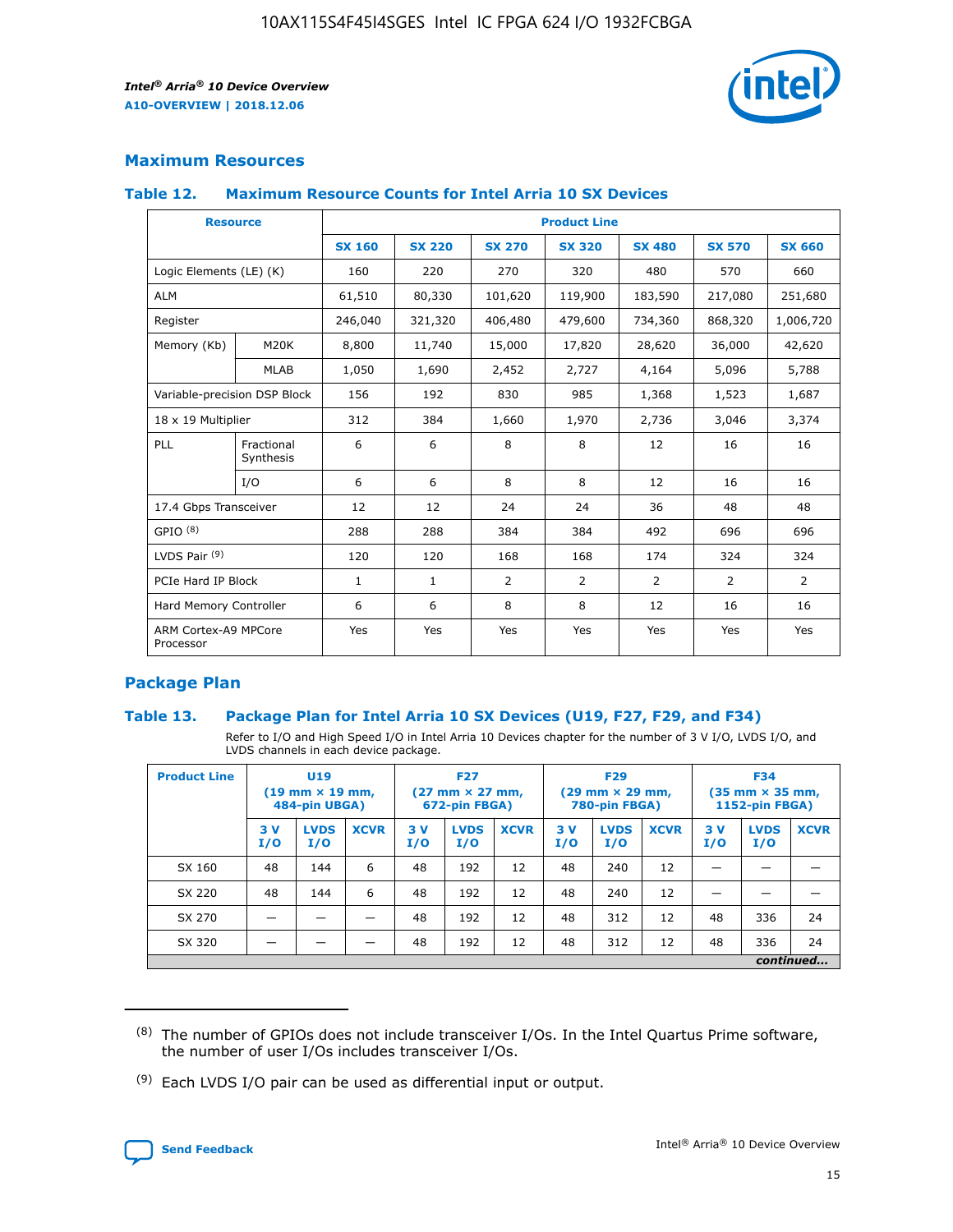

## **Maximum Resources**

#### **Table 12. Maximum Resource Counts for Intel Arria 10 SX Devices**

| <b>Resource</b>                   |                         | <b>Product Line</b> |               |               |                |               |               |               |  |  |  |
|-----------------------------------|-------------------------|---------------------|---------------|---------------|----------------|---------------|---------------|---------------|--|--|--|
|                                   |                         | <b>SX 160</b>       | <b>SX 220</b> | <b>SX 270</b> | <b>SX 320</b>  | <b>SX 480</b> | <b>SX 570</b> | <b>SX 660</b> |  |  |  |
| Logic Elements (LE) (K)           |                         | 160                 | 220           | 270           | 320            | 480           | 570           | 660           |  |  |  |
| <b>ALM</b>                        |                         | 61,510              | 80,330        | 101,620       | 119,900        | 183,590       | 217,080       | 251,680       |  |  |  |
| Register                          |                         | 246,040             | 321,320       | 406,480       | 479,600        | 734,360       | 868,320       | 1,006,720     |  |  |  |
| Memory (Kb)                       | M20K                    | 8,800               | 11,740        | 15,000        | 17,820         | 28,620        | 36,000        | 42,620        |  |  |  |
|                                   | <b>MLAB</b>             | 1,050               | 1,690         | 2,452         | 2,727          | 4,164         | 5,096         | 5,788         |  |  |  |
| Variable-precision DSP Block      |                         | 156                 | 192           | 830           | 985            | 1,368         | 1,523         | 1,687         |  |  |  |
| 18 x 19 Multiplier                |                         | 312                 | 384           | 1,660         | 1,970          | 2,736         | 3,046         | 3,374         |  |  |  |
| PLL                               | Fractional<br>Synthesis | 6                   | 6             | 8             | 8              | 12            | 16            | 16            |  |  |  |
|                                   | I/O                     | 6                   | 6             | 8             | 8              | 12            | 16            | 16            |  |  |  |
| 17.4 Gbps Transceiver             |                         | 12                  | 12            | 24            | 24             | 36            | 48            | 48            |  |  |  |
| GPIO <sup>(8)</sup>               |                         | 288                 | 288           | 384           | 384            | 492           | 696           | 696           |  |  |  |
| LVDS Pair $(9)$                   |                         | 120                 | 120           | 168           | 168            | 174           | 324           | 324           |  |  |  |
|                                   | PCIe Hard IP Block      |                     | $\mathbf{1}$  | 2             | $\overline{2}$ | 2             | 2             | 2             |  |  |  |
| Hard Memory Controller            |                         | 6                   | 6             | 8             | 8              | 12            | 16            | 16            |  |  |  |
| ARM Cortex-A9 MPCore<br>Processor |                         | Yes                 | Yes           | Yes           | Yes            | Yes           | Yes           | Yes           |  |  |  |

## **Package Plan**

#### **Table 13. Package Plan for Intel Arria 10 SX Devices (U19, F27, F29, and F34)**

Refer to I/O and High Speed I/O in Intel Arria 10 Devices chapter for the number of 3 V I/O, LVDS I/O, and LVDS channels in each device package.

| <b>Product Line</b> | U <sub>19</sub><br>$(19 \text{ mm} \times 19 \text{ mm})$<br>484-pin UBGA) |                    | <b>F27</b><br>$(27 \text{ mm} \times 27 \text{ mm})$<br>672-pin FBGA) |           | <b>F29</b><br>$(29 \text{ mm} \times 29 \text{ mm})$<br>780-pin FBGA) |             |            | <b>F34</b><br>$(35 \text{ mm} \times 35 \text{ mm})$<br><b>1152-pin FBGA)</b> |             |           |                    |             |
|---------------------|----------------------------------------------------------------------------|--------------------|-----------------------------------------------------------------------|-----------|-----------------------------------------------------------------------|-------------|------------|-------------------------------------------------------------------------------|-------------|-----------|--------------------|-------------|
|                     | 3V<br>I/O                                                                  | <b>LVDS</b><br>I/O | <b>XCVR</b>                                                           | 3V<br>I/O | <b>LVDS</b><br>I/O                                                    | <b>XCVR</b> | 3 V<br>I/O | <b>LVDS</b><br>I/O                                                            | <b>XCVR</b> | 3V<br>I/O | <b>LVDS</b><br>I/O | <b>XCVR</b> |
| SX 160              | 48                                                                         | 144                | 6                                                                     | 48        | 192                                                                   | 12          | 48         | 240                                                                           | 12          | –         |                    |             |
| SX 220              | 48                                                                         | 144                | 6                                                                     | 48        | 192                                                                   | 12          | 48         | 240                                                                           | 12          |           |                    |             |
| SX 270              |                                                                            |                    |                                                                       | 48        | 192                                                                   | 12          | 48         | 312                                                                           | 12          | 48        | 336                | 24          |
| SX 320              |                                                                            |                    |                                                                       | 48        | 192                                                                   | 12          | 48         | 312                                                                           | 12          | 48        | 336                | 24          |
| continued           |                                                                            |                    |                                                                       |           |                                                                       |             |            |                                                                               |             |           |                    |             |

 $(8)$  The number of GPIOs does not include transceiver I/Os. In the Intel Quartus Prime software, the number of user I/Os includes transceiver I/Os.

 $(9)$  Each LVDS I/O pair can be used as differential input or output.

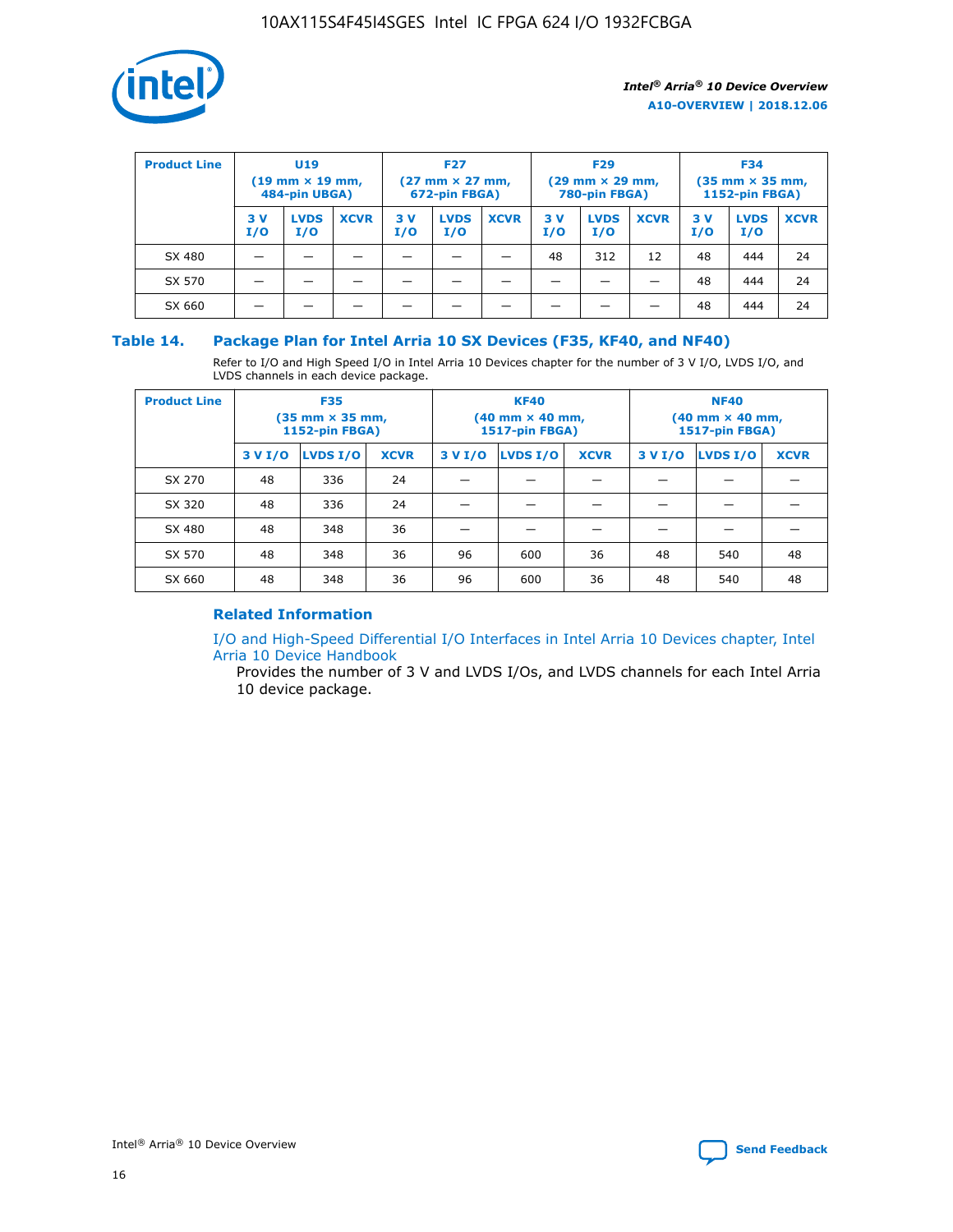

| <b>Product Line</b> | U <sub>19</sub><br>$(19 \text{ mm} \times 19 \text{ mm})$<br>484-pin UBGA) |                    | <b>F27</b><br>$(27 \text{ mm} \times 27 \text{ mm})$<br>672-pin FBGA) |           | <b>F29</b><br>$(29 \text{ mm} \times 29 \text{ mm})$<br>780-pin FBGA) |             |           | <b>F34</b><br>$(35 \text{ mm} \times 35 \text{ mm})$<br><b>1152-pin FBGA)</b> |             |           |                    |             |
|---------------------|----------------------------------------------------------------------------|--------------------|-----------------------------------------------------------------------|-----------|-----------------------------------------------------------------------|-------------|-----------|-------------------------------------------------------------------------------|-------------|-----------|--------------------|-------------|
|                     | 3 V<br>I/O                                                                 | <b>LVDS</b><br>I/O | <b>XCVR</b>                                                           | 3V<br>I/O | <b>LVDS</b><br>I/O                                                    | <b>XCVR</b> | 3V<br>I/O | <b>LVDS</b><br>I/O                                                            | <b>XCVR</b> | 3V<br>I/O | <b>LVDS</b><br>I/O | <b>XCVR</b> |
| SX 480              |                                                                            |                    |                                                                       |           |                                                                       |             | 48        | 312                                                                           | 12          | 48        | 444                | 24          |
| SX 570              |                                                                            |                    |                                                                       |           |                                                                       |             |           |                                                                               |             | 48        | 444                | 24          |
| SX 660              |                                                                            |                    |                                                                       |           |                                                                       |             |           |                                                                               |             | 48        | 444                | 24          |

## **Table 14. Package Plan for Intel Arria 10 SX Devices (F35, KF40, and NF40)**

Refer to I/O and High Speed I/O in Intel Arria 10 Devices chapter for the number of 3 V I/O, LVDS I/O, and LVDS channels in each device package.

| <b>Product Line</b> | <b>F35</b><br>$(35 \text{ mm} \times 35 \text{ mm})$<br><b>1152-pin FBGA)</b> |          |             |                                           | <b>KF40</b><br>(40 mm × 40 mm,<br>1517-pin FBGA) |    | <b>NF40</b><br>$(40 \text{ mm} \times 40 \text{ mm})$<br>1517-pin FBGA) |          |             |  |
|---------------------|-------------------------------------------------------------------------------|----------|-------------|-------------------------------------------|--------------------------------------------------|----|-------------------------------------------------------------------------|----------|-------------|--|
|                     | 3 V I/O                                                                       | LVDS I/O | <b>XCVR</b> | <b>LVDS I/O</b><br><b>XCVR</b><br>3 V I/O |                                                  |    | 3 V I/O                                                                 | LVDS I/O | <b>XCVR</b> |  |
| SX 270              | 48                                                                            | 336      | 24          |                                           |                                                  |    |                                                                         |          |             |  |
| SX 320              | 48                                                                            | 336      | 24          |                                           |                                                  |    |                                                                         |          |             |  |
| SX 480              | 48                                                                            | 348      | 36          |                                           |                                                  |    |                                                                         |          |             |  |
| SX 570              | 48                                                                            | 348      | 36          | 96                                        | 600                                              | 36 | 48                                                                      | 540      | 48          |  |
| SX 660              | 48                                                                            | 348      | 36          | 96                                        | 600                                              | 36 | 48                                                                      | 540      | 48          |  |

## **Related Information**

[I/O and High-Speed Differential I/O Interfaces in Intel Arria 10 Devices chapter, Intel](https://www.intel.com/content/www/us/en/programmable/documentation/sam1403482614086.html#sam1403482030321) [Arria 10 Device Handbook](https://www.intel.com/content/www/us/en/programmable/documentation/sam1403482614086.html#sam1403482030321)

Provides the number of 3 V and LVDS I/Os, and LVDS channels for each Intel Arria 10 device package.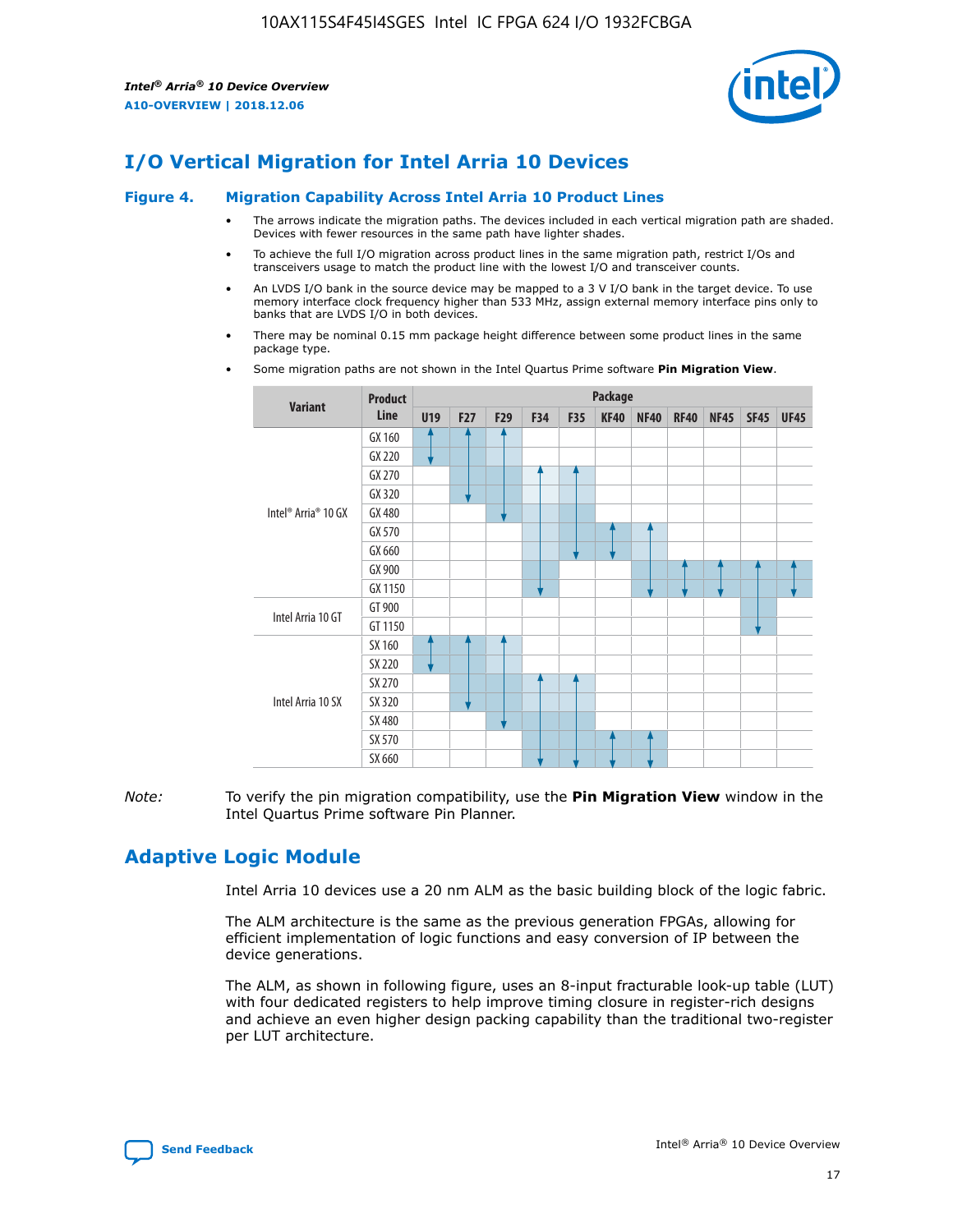

# **I/O Vertical Migration for Intel Arria 10 Devices**

#### **Figure 4. Migration Capability Across Intel Arria 10 Product Lines**

- The arrows indicate the migration paths. The devices included in each vertical migration path are shaded. Devices with fewer resources in the same path have lighter shades.
- To achieve the full I/O migration across product lines in the same migration path, restrict I/Os and transceivers usage to match the product line with the lowest I/O and transceiver counts.
- An LVDS I/O bank in the source device may be mapped to a 3 V I/O bank in the target device. To use memory interface clock frequency higher than 533 MHz, assign external memory interface pins only to banks that are LVDS I/O in both devices.
- There may be nominal 0.15 mm package height difference between some product lines in the same package type.
	- **Variant Product Line Package U19 F27 F29 F34 F35 KF40 NF40 RF40 NF45 SF45 UF45** Intel® Arria® 10 GX GX 160 GX 220 GX 270 GX 320 GX 480 GX 570 GX 660 GX 900 GX 1150 Intel Arria 10 GT GT 900 GT 1150 Intel Arria 10 SX SX 160 SX 220 SX 270 SX 320 SX 480 SX 570 SX 660
- Some migration paths are not shown in the Intel Quartus Prime software **Pin Migration View**.

*Note:* To verify the pin migration compatibility, use the **Pin Migration View** window in the Intel Quartus Prime software Pin Planner.

## **Adaptive Logic Module**

Intel Arria 10 devices use a 20 nm ALM as the basic building block of the logic fabric.

The ALM architecture is the same as the previous generation FPGAs, allowing for efficient implementation of logic functions and easy conversion of IP between the device generations.

The ALM, as shown in following figure, uses an 8-input fracturable look-up table (LUT) with four dedicated registers to help improve timing closure in register-rich designs and achieve an even higher design packing capability than the traditional two-register per LUT architecture.

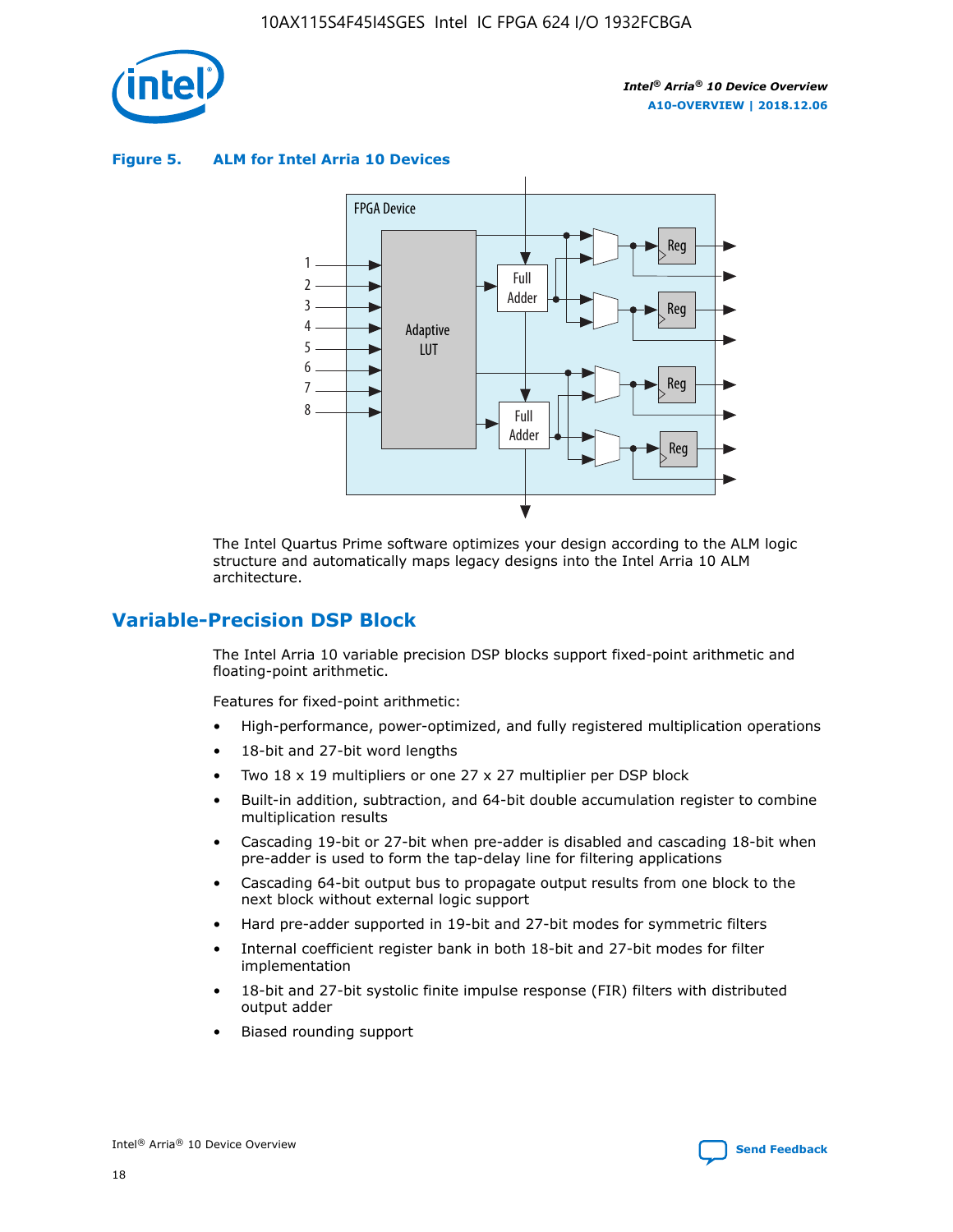

**Figure 5. ALM for Intel Arria 10 Devices**



The Intel Quartus Prime software optimizes your design according to the ALM logic structure and automatically maps legacy designs into the Intel Arria 10 ALM architecture.

## **Variable-Precision DSP Block**

The Intel Arria 10 variable precision DSP blocks support fixed-point arithmetic and floating-point arithmetic.

Features for fixed-point arithmetic:

- High-performance, power-optimized, and fully registered multiplication operations
- 18-bit and 27-bit word lengths
- Two 18 x 19 multipliers or one 27 x 27 multiplier per DSP block
- Built-in addition, subtraction, and 64-bit double accumulation register to combine multiplication results
- Cascading 19-bit or 27-bit when pre-adder is disabled and cascading 18-bit when pre-adder is used to form the tap-delay line for filtering applications
- Cascading 64-bit output bus to propagate output results from one block to the next block without external logic support
- Hard pre-adder supported in 19-bit and 27-bit modes for symmetric filters
- Internal coefficient register bank in both 18-bit and 27-bit modes for filter implementation
- 18-bit and 27-bit systolic finite impulse response (FIR) filters with distributed output adder
- Biased rounding support

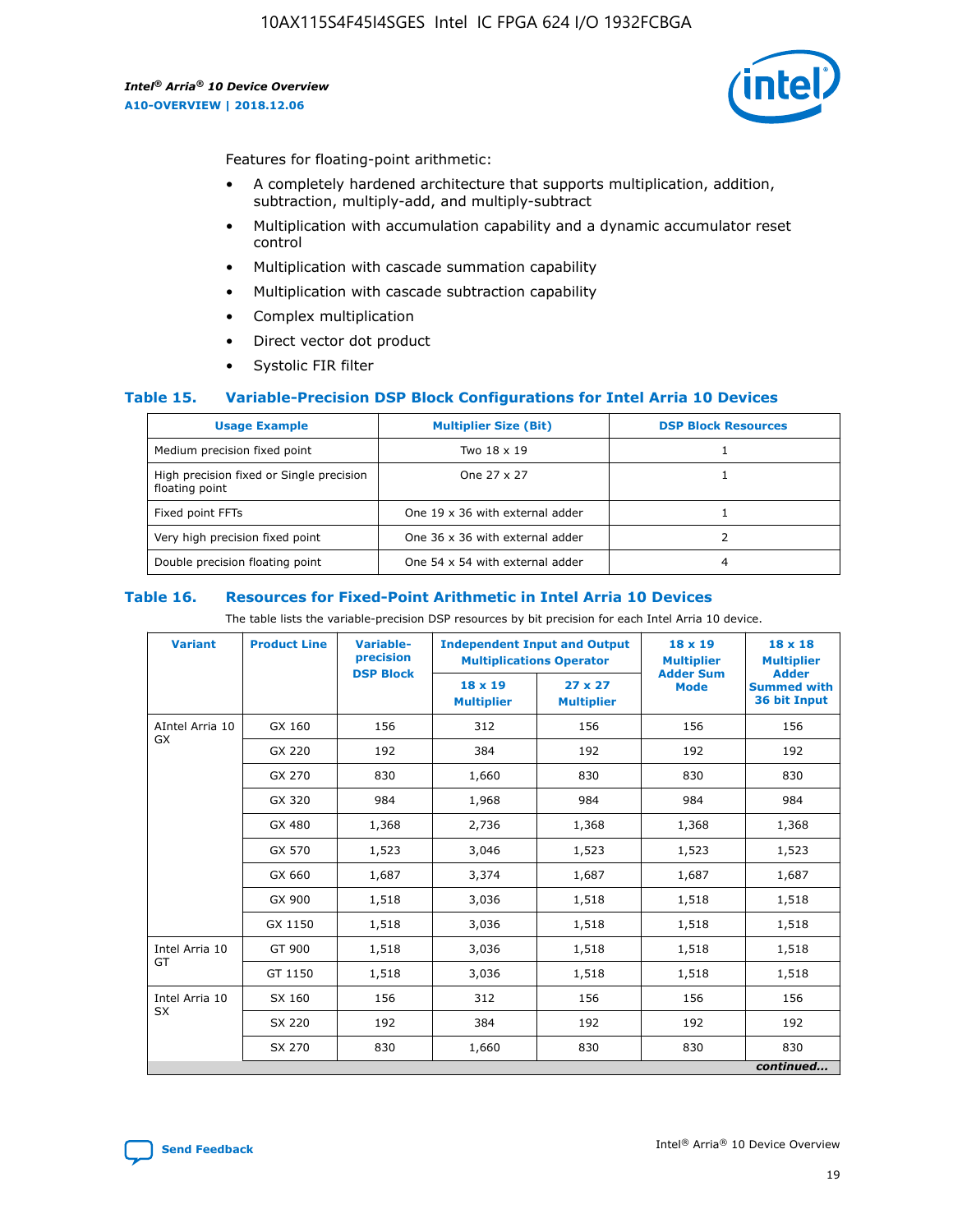

Features for floating-point arithmetic:

- A completely hardened architecture that supports multiplication, addition, subtraction, multiply-add, and multiply-subtract
- Multiplication with accumulation capability and a dynamic accumulator reset control
- Multiplication with cascade summation capability
- Multiplication with cascade subtraction capability
- Complex multiplication
- Direct vector dot product
- Systolic FIR filter

#### **Table 15. Variable-Precision DSP Block Configurations for Intel Arria 10 Devices**

| <b>Usage Example</b>                                       | <b>Multiplier Size (Bit)</b>    | <b>DSP Block Resources</b> |
|------------------------------------------------------------|---------------------------------|----------------------------|
| Medium precision fixed point                               | Two 18 x 19                     |                            |
| High precision fixed or Single precision<br>floating point | One 27 x 27                     |                            |
| Fixed point FFTs                                           | One 19 x 36 with external adder |                            |
| Very high precision fixed point                            | One 36 x 36 with external adder |                            |
| Double precision floating point                            | One 54 x 54 with external adder | 4                          |

#### **Table 16. Resources for Fixed-Point Arithmetic in Intel Arria 10 Devices**

The table lists the variable-precision DSP resources by bit precision for each Intel Arria 10 device.

| <b>Variant</b>  | <b>Product Line</b> | <b>Variable-</b><br>precision<br><b>DSP Block</b> | <b>Independent Input and Output</b><br><b>Multiplications Operator</b> |                                     | 18 x 19<br><b>Multiplier</b><br><b>Adder Sum</b> | $18 \times 18$<br><b>Multiplier</b><br><b>Adder</b> |
|-----------------|---------------------|---------------------------------------------------|------------------------------------------------------------------------|-------------------------------------|--------------------------------------------------|-----------------------------------------------------|
|                 |                     |                                                   | 18 x 19<br><b>Multiplier</b>                                           | $27 \times 27$<br><b>Multiplier</b> | <b>Mode</b>                                      | <b>Summed with</b><br>36 bit Input                  |
| AIntel Arria 10 | GX 160              | 156                                               | 312                                                                    | 156                                 | 156                                              | 156                                                 |
| GX              | GX 220              | 192                                               | 384                                                                    | 192                                 | 192                                              | 192                                                 |
|                 | GX 270              | 830                                               | 1,660                                                                  | 830                                 | 830                                              | 830                                                 |
|                 | GX 320              | 984                                               | 1,968                                                                  | 984                                 | 984                                              | 984                                                 |
|                 | GX 480              | 1,368                                             | 2,736                                                                  | 1,368                               | 1,368                                            | 1,368                                               |
|                 | GX 570              | 1,523                                             | 3,046                                                                  | 1,523                               | 1,523                                            | 1,523                                               |
|                 | GX 660              | 1,687                                             | 3,374                                                                  | 1,687                               | 1,687                                            | 1,687                                               |
|                 | GX 900              | 1,518                                             | 3,036                                                                  | 1,518                               | 1,518                                            | 1,518                                               |
|                 | GX 1150             | 1,518                                             | 3,036                                                                  | 1,518                               | 1,518                                            | 1,518                                               |
| Intel Arria 10  | GT 900              | 1,518                                             | 3,036                                                                  | 1,518                               | 1,518                                            | 1,518                                               |
| GT              | GT 1150             | 1,518                                             | 3,036                                                                  | 1,518                               | 1,518                                            | 1,518                                               |
| Intel Arria 10  | SX 160              | 156                                               | 312                                                                    | 156                                 | 156                                              | 156                                                 |
| <b>SX</b>       | SX 220              | 192                                               | 384                                                                    | 192                                 | 192                                              | 192                                                 |
|                 | SX 270              | 830                                               | 1,660                                                                  | 830                                 | 830                                              | 830                                                 |
|                 |                     |                                                   |                                                                        |                                     |                                                  | continued                                           |

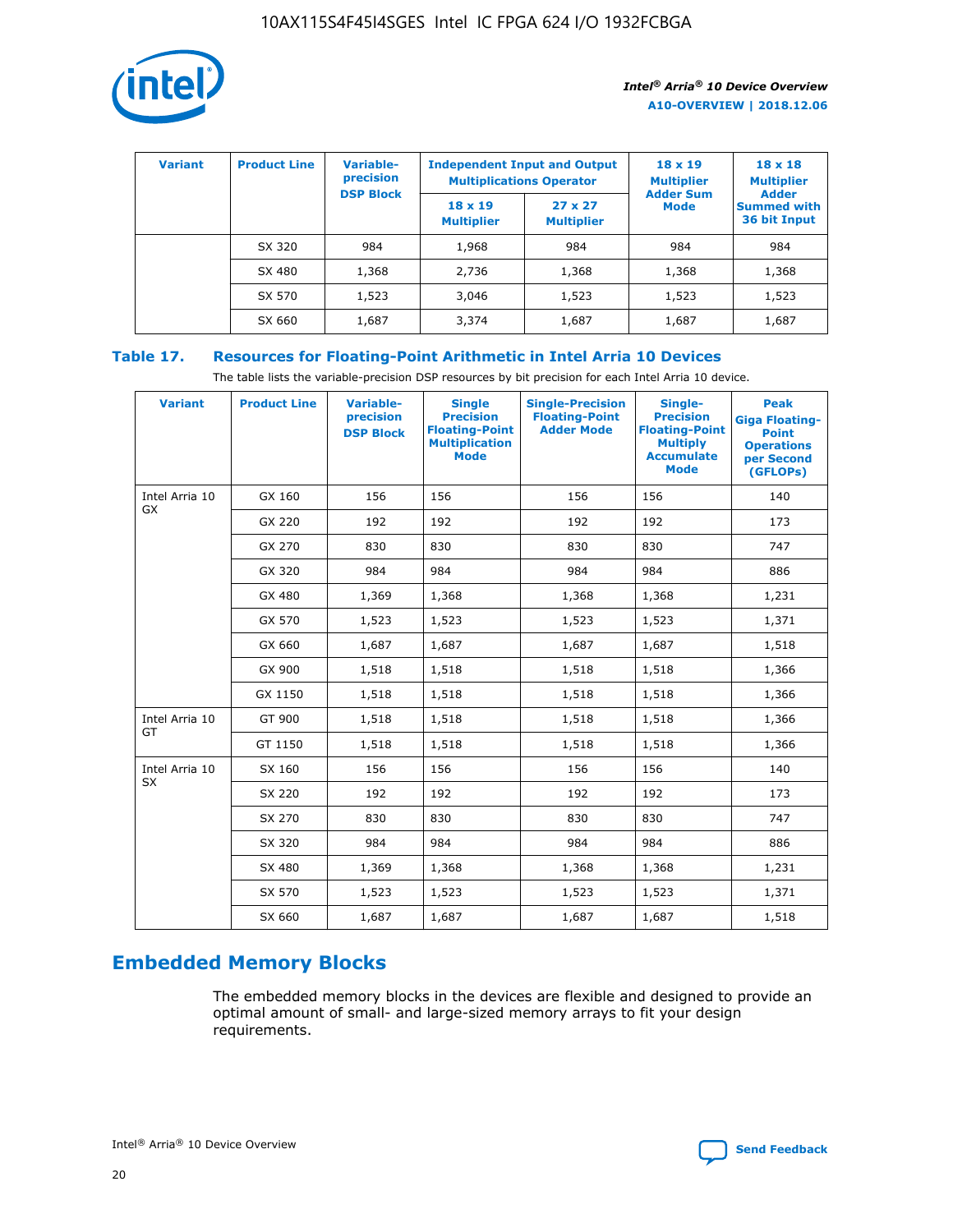

| <b>Variant</b> | <b>Product Line</b> | <b>Variable-</b><br>precision | <b>Multiplications Operator</b>     | <b>Independent Input and Output</b> | $18 \times 19$<br><b>Multiplier</b> | $18 \times 18$<br><b>Multiplier</b>                |
|----------------|---------------------|-------------------------------|-------------------------------------|-------------------------------------|-------------------------------------|----------------------------------------------------|
|                |                     | <b>DSP Block</b>              | $18 \times 19$<br><b>Multiplier</b> | $27 \times 27$<br><b>Multiplier</b> | <b>Adder Sum</b><br><b>Mode</b>     | <b>Adder</b><br><b>Summed with</b><br>36 bit Input |
|                | SX 320              | 984                           | 1,968                               | 984                                 | 984                                 | 984                                                |
|                | SX 480              | 1,368                         | 2,736                               | 1,368                               | 1,368                               | 1,368                                              |
|                | SX 570              | 1,523                         | 3,046                               | 1,523                               | 1,523                               | 1,523                                              |
|                | SX 660              | 1,687                         | 3,374                               | 1,687                               | 1,687                               | 1,687                                              |

## **Table 17. Resources for Floating-Point Arithmetic in Intel Arria 10 Devices**

The table lists the variable-precision DSP resources by bit precision for each Intel Arria 10 device.

| <b>Variant</b> | <b>Product Line</b> | <b>Variable-</b><br>precision<br><b>DSP Block</b> | <b>Single</b><br><b>Precision</b><br><b>Floating-Point</b><br><b>Multiplication</b><br><b>Mode</b> | <b>Single-Precision</b><br><b>Floating-Point</b><br><b>Adder Mode</b> | Single-<br><b>Precision</b><br><b>Floating-Point</b><br><b>Multiply</b><br><b>Accumulate</b><br><b>Mode</b> | <b>Peak</b><br><b>Giga Floating-</b><br><b>Point</b><br><b>Operations</b><br>per Second<br>(GFLOPs) |
|----------------|---------------------|---------------------------------------------------|----------------------------------------------------------------------------------------------------|-----------------------------------------------------------------------|-------------------------------------------------------------------------------------------------------------|-----------------------------------------------------------------------------------------------------|
| Intel Arria 10 | GX 160              | 156                                               | 156                                                                                                | 156                                                                   | 156                                                                                                         | 140                                                                                                 |
| GX             | GX 220              | 192                                               | 192                                                                                                | 192                                                                   | 192                                                                                                         | 173                                                                                                 |
|                | GX 270              | 830                                               | 830                                                                                                | 830                                                                   | 830                                                                                                         | 747                                                                                                 |
|                | GX 320              | 984                                               | 984                                                                                                | 984                                                                   | 984                                                                                                         | 886                                                                                                 |
|                | GX 480              | 1,369                                             | 1,368                                                                                              | 1,368                                                                 | 1,368                                                                                                       | 1,231                                                                                               |
|                | GX 570              | 1,523                                             | 1,523                                                                                              | 1,523                                                                 | 1,523                                                                                                       | 1,371                                                                                               |
|                | GX 660              | 1,687                                             | 1,687                                                                                              | 1,687                                                                 | 1,687                                                                                                       | 1,518                                                                                               |
|                | GX 900              | 1,518                                             | 1,518                                                                                              | 1,518                                                                 | 1,518                                                                                                       | 1,366                                                                                               |
|                | GX 1150             | 1,518                                             | 1,518                                                                                              | 1,518                                                                 | 1,518                                                                                                       | 1,366                                                                                               |
| Intel Arria 10 | GT 900              | 1,518                                             | 1,518                                                                                              | 1,518                                                                 | 1,518                                                                                                       | 1,366                                                                                               |
| GT             | GT 1150             | 1,518                                             | 1,518                                                                                              | 1,518                                                                 | 1,518                                                                                                       | 1,366                                                                                               |
| Intel Arria 10 | SX 160              | 156                                               | 156                                                                                                | 156                                                                   | 156                                                                                                         | 140                                                                                                 |
| <b>SX</b>      | SX 220              | 192                                               | 192                                                                                                | 192                                                                   | 192                                                                                                         | 173                                                                                                 |
|                | SX 270              | 830                                               | 830                                                                                                | 830                                                                   | 830                                                                                                         | 747                                                                                                 |
|                | SX 320              | 984                                               | 984                                                                                                | 984                                                                   | 984                                                                                                         | 886                                                                                                 |
|                | SX 480              | 1,369                                             | 1,368                                                                                              | 1,368                                                                 | 1,368                                                                                                       | 1,231                                                                                               |
|                | SX 570              | 1,523                                             | 1,523                                                                                              | 1,523                                                                 | 1,523                                                                                                       | 1,371                                                                                               |
|                | SX 660              | 1,687                                             | 1,687                                                                                              | 1,687                                                                 | 1,687                                                                                                       | 1,518                                                                                               |

# **Embedded Memory Blocks**

The embedded memory blocks in the devices are flexible and designed to provide an optimal amount of small- and large-sized memory arrays to fit your design requirements.

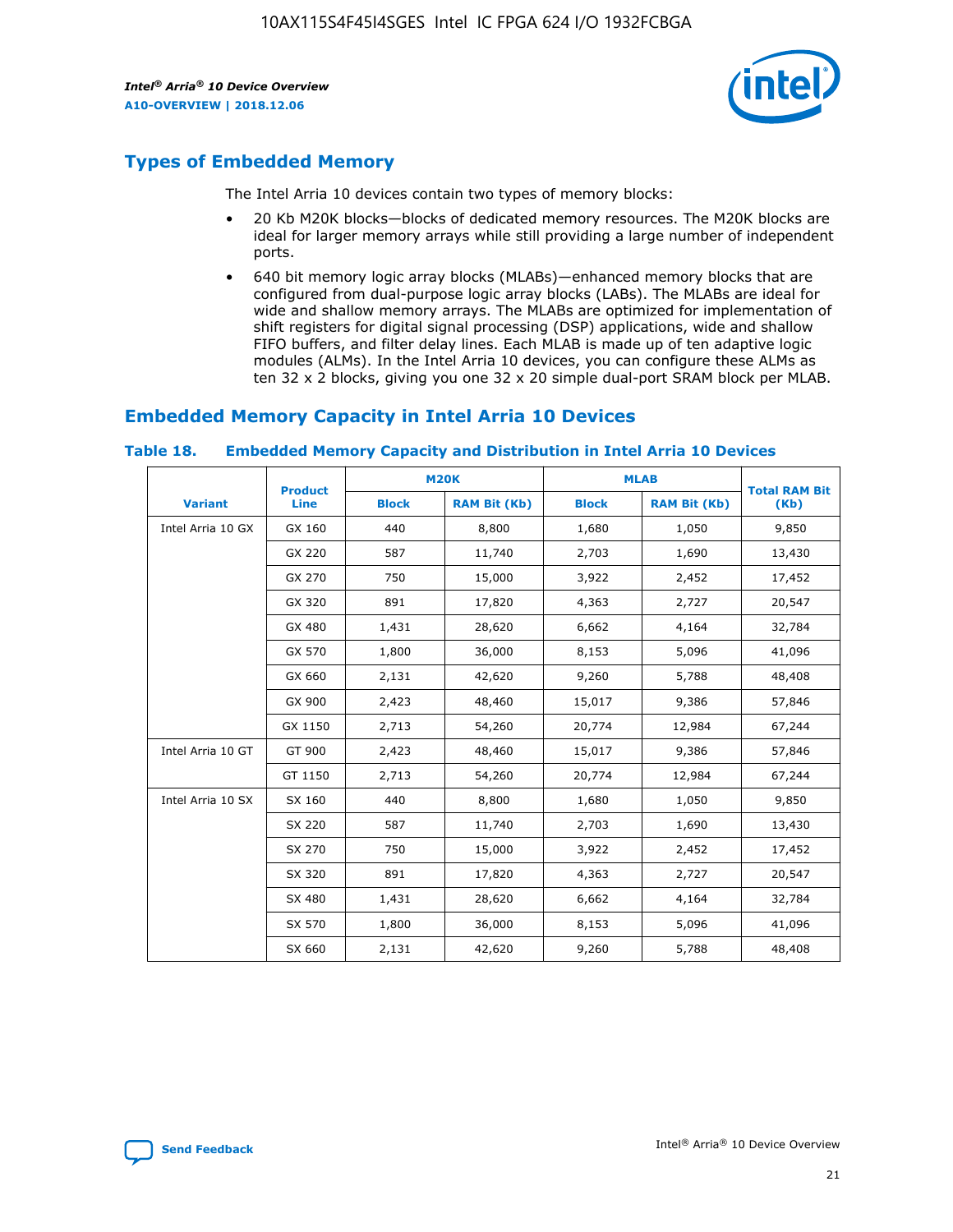

## **Types of Embedded Memory**

The Intel Arria 10 devices contain two types of memory blocks:

- 20 Kb M20K blocks—blocks of dedicated memory resources. The M20K blocks are ideal for larger memory arrays while still providing a large number of independent ports.
- 640 bit memory logic array blocks (MLABs)—enhanced memory blocks that are configured from dual-purpose logic array blocks (LABs). The MLABs are ideal for wide and shallow memory arrays. The MLABs are optimized for implementation of shift registers for digital signal processing (DSP) applications, wide and shallow FIFO buffers, and filter delay lines. Each MLAB is made up of ten adaptive logic modules (ALMs). In the Intel Arria 10 devices, you can configure these ALMs as ten 32 x 2 blocks, giving you one 32 x 20 simple dual-port SRAM block per MLAB.

## **Embedded Memory Capacity in Intel Arria 10 Devices**

|                   | <b>Product</b> |              | <b>M20K</b>         | <b>MLAB</b>  |                     | <b>Total RAM Bit</b> |
|-------------------|----------------|--------------|---------------------|--------------|---------------------|----------------------|
| <b>Variant</b>    | Line           | <b>Block</b> | <b>RAM Bit (Kb)</b> | <b>Block</b> | <b>RAM Bit (Kb)</b> | (Kb)                 |
| Intel Arria 10 GX | GX 160         | 440          | 8,800               | 1,680        | 1,050               | 9,850                |
|                   | GX 220         | 587          | 11,740              | 2,703        | 1,690               | 13,430               |
|                   | GX 270         | 750          | 15,000              | 3,922        | 2,452               | 17,452               |
|                   | GX 320         | 891          | 17,820              | 4,363        | 2,727               | 20,547               |
|                   | GX 480         | 1,431        | 28,620              | 6,662        | 4,164               | 32,784               |
|                   | GX 570         | 1,800        | 36,000              | 8,153        | 5,096               | 41,096               |
|                   | GX 660         | 2,131        | 42,620              | 9,260        | 5,788               | 48,408               |
|                   | GX 900         | 2,423        | 48,460              | 15,017       | 9,386               | 57,846               |
|                   | GX 1150        | 2,713        | 54,260              | 20,774       | 12,984              | 67,244               |
| Intel Arria 10 GT | GT 900         | 2,423        | 48,460              | 15,017       | 9,386               | 57,846               |
|                   | GT 1150        | 2,713        | 54,260              | 20,774       | 12,984              | 67,244               |
| Intel Arria 10 SX | SX 160         | 440          | 8,800               | 1,680        | 1,050               | 9,850                |
|                   | SX 220         | 587          | 11,740              | 2,703        | 1,690               | 13,430               |
|                   | SX 270         | 750          | 15,000              | 3,922        | 2,452               | 17,452               |
|                   | SX 320         | 891          | 17,820              | 4,363        | 2,727               | 20,547               |
|                   | SX 480         | 1,431        | 28,620              | 6,662        | 4,164               | 32,784               |
|                   | SX 570         | 1,800        | 36,000              | 8,153        | 5,096               | 41,096               |
|                   | SX 660         | 2,131        | 42,620              | 9,260        | 5,788               | 48,408               |

#### **Table 18. Embedded Memory Capacity and Distribution in Intel Arria 10 Devices**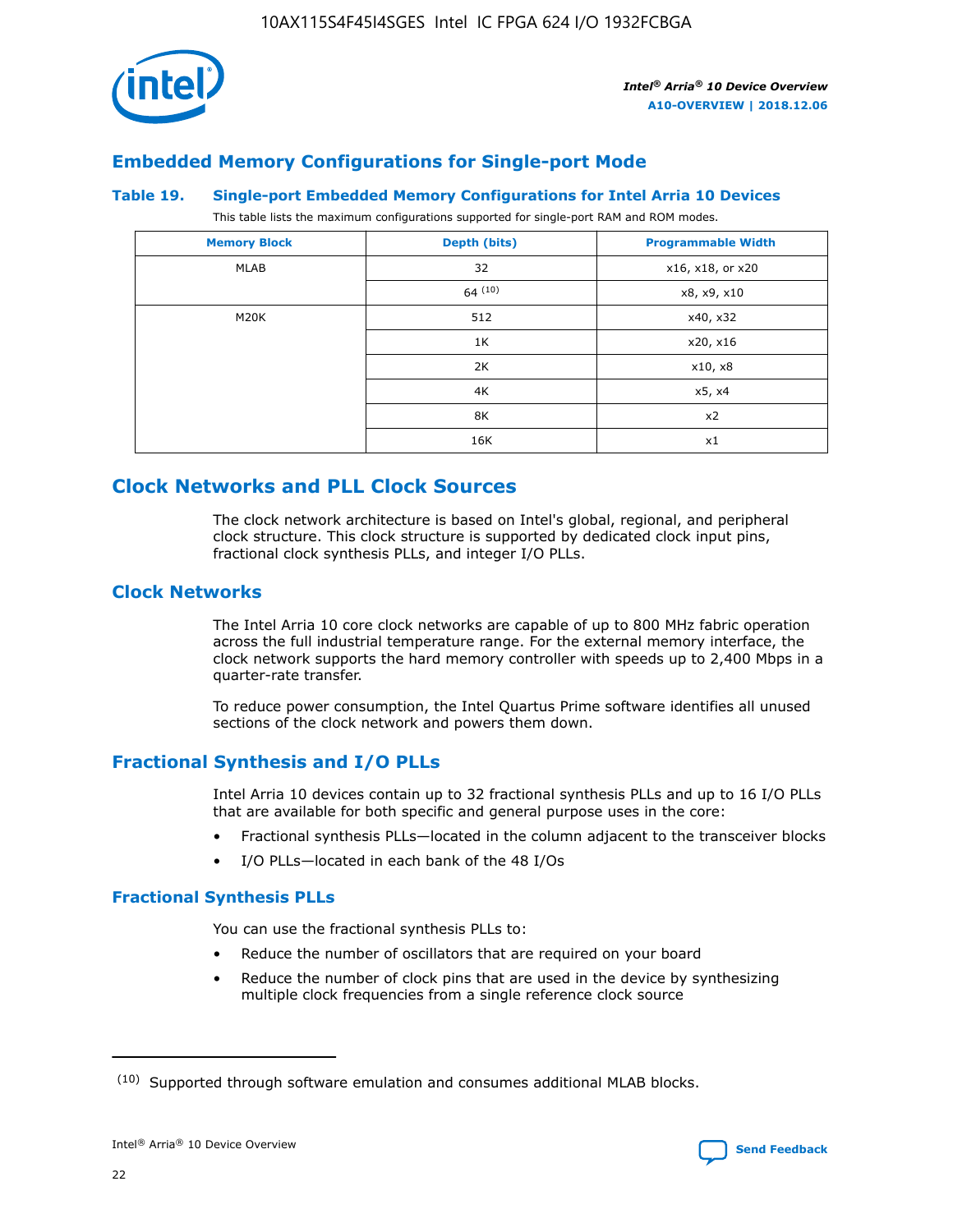

## **Embedded Memory Configurations for Single-port Mode**

#### **Table 19. Single-port Embedded Memory Configurations for Intel Arria 10 Devices**

This table lists the maximum configurations supported for single-port RAM and ROM modes.

| <b>Memory Block</b> | Depth (bits) | <b>Programmable Width</b> |
|---------------------|--------------|---------------------------|
| MLAB                | 32           | x16, x18, or x20          |
|                     | 64(10)       | x8, x9, x10               |
| M20K                | 512          | x40, x32                  |
|                     | 1K           | x20, x16                  |
|                     | 2K           | x10, x8                   |
|                     | 4K           | x5, x4                    |
|                     | 8K           | x2                        |
|                     | 16K          | x1                        |

## **Clock Networks and PLL Clock Sources**

The clock network architecture is based on Intel's global, regional, and peripheral clock structure. This clock structure is supported by dedicated clock input pins, fractional clock synthesis PLLs, and integer I/O PLLs.

## **Clock Networks**

The Intel Arria 10 core clock networks are capable of up to 800 MHz fabric operation across the full industrial temperature range. For the external memory interface, the clock network supports the hard memory controller with speeds up to 2,400 Mbps in a quarter-rate transfer.

To reduce power consumption, the Intel Quartus Prime software identifies all unused sections of the clock network and powers them down.

## **Fractional Synthesis and I/O PLLs**

Intel Arria 10 devices contain up to 32 fractional synthesis PLLs and up to 16 I/O PLLs that are available for both specific and general purpose uses in the core:

- Fractional synthesis PLLs—located in the column adjacent to the transceiver blocks
- I/O PLLs—located in each bank of the 48 I/Os

## **Fractional Synthesis PLLs**

You can use the fractional synthesis PLLs to:

- Reduce the number of oscillators that are required on your board
- Reduce the number of clock pins that are used in the device by synthesizing multiple clock frequencies from a single reference clock source

<sup>(10)</sup> Supported through software emulation and consumes additional MLAB blocks.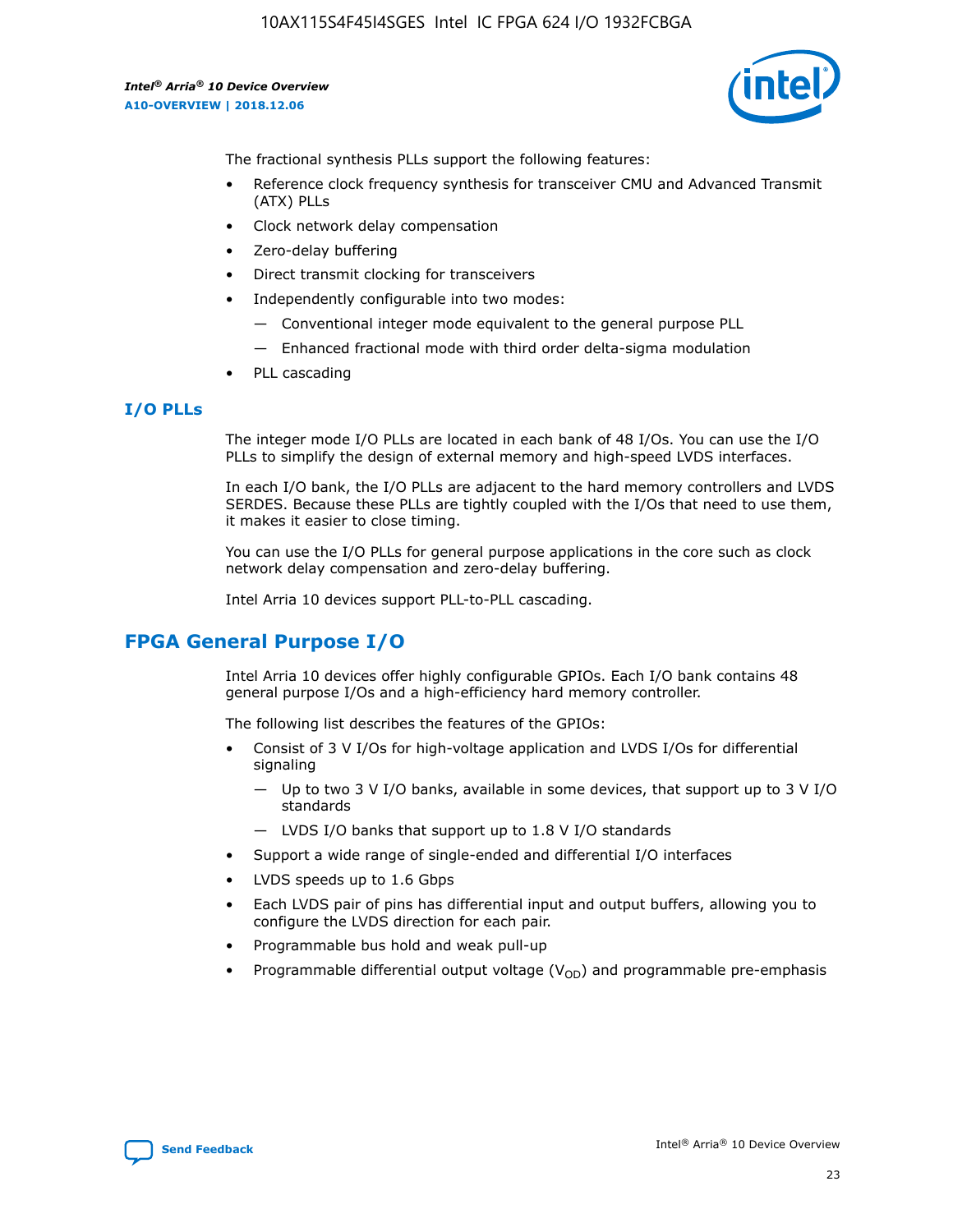

The fractional synthesis PLLs support the following features:

- Reference clock frequency synthesis for transceiver CMU and Advanced Transmit (ATX) PLLs
- Clock network delay compensation
- Zero-delay buffering
- Direct transmit clocking for transceivers
- Independently configurable into two modes:
	- Conventional integer mode equivalent to the general purpose PLL
	- Enhanced fractional mode with third order delta-sigma modulation
- PLL cascading

## **I/O PLLs**

The integer mode I/O PLLs are located in each bank of 48 I/Os. You can use the I/O PLLs to simplify the design of external memory and high-speed LVDS interfaces.

In each I/O bank, the I/O PLLs are adjacent to the hard memory controllers and LVDS SERDES. Because these PLLs are tightly coupled with the I/Os that need to use them, it makes it easier to close timing.

You can use the I/O PLLs for general purpose applications in the core such as clock network delay compensation and zero-delay buffering.

Intel Arria 10 devices support PLL-to-PLL cascading.

## **FPGA General Purpose I/O**

Intel Arria 10 devices offer highly configurable GPIOs. Each I/O bank contains 48 general purpose I/Os and a high-efficiency hard memory controller.

The following list describes the features of the GPIOs:

- Consist of 3 V I/Os for high-voltage application and LVDS I/Os for differential signaling
	- Up to two 3 V I/O banks, available in some devices, that support up to 3 V I/O standards
	- LVDS I/O banks that support up to 1.8 V I/O standards
- Support a wide range of single-ended and differential I/O interfaces
- LVDS speeds up to 1.6 Gbps
- Each LVDS pair of pins has differential input and output buffers, allowing you to configure the LVDS direction for each pair.
- Programmable bus hold and weak pull-up
- Programmable differential output voltage  $(V_{OD})$  and programmable pre-emphasis

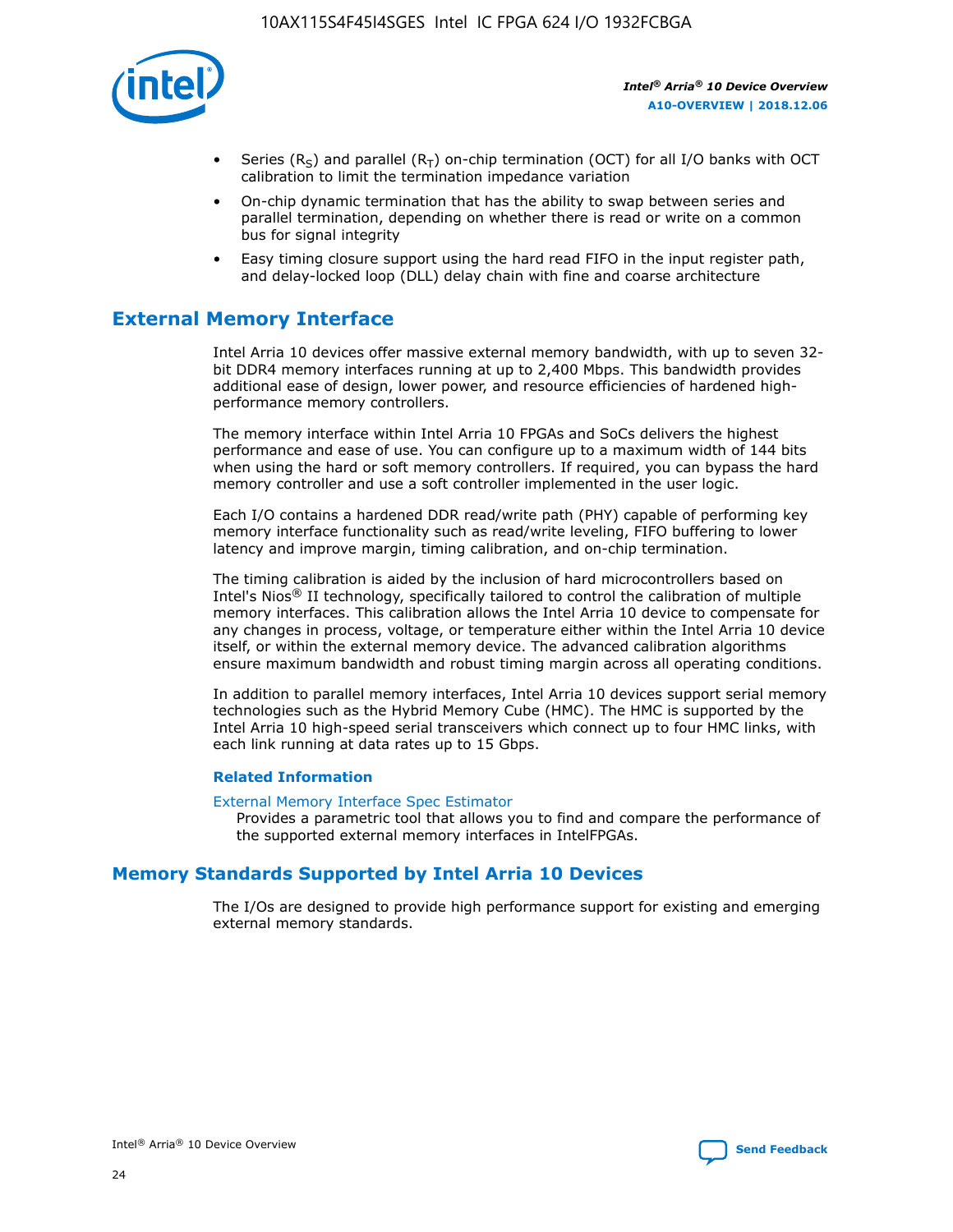

- Series (R<sub>S</sub>) and parallel (R<sub>T</sub>) on-chip termination (OCT) for all I/O banks with OCT calibration to limit the termination impedance variation
- On-chip dynamic termination that has the ability to swap between series and parallel termination, depending on whether there is read or write on a common bus for signal integrity
- Easy timing closure support using the hard read FIFO in the input register path, and delay-locked loop (DLL) delay chain with fine and coarse architecture

## **External Memory Interface**

Intel Arria 10 devices offer massive external memory bandwidth, with up to seven 32 bit DDR4 memory interfaces running at up to 2,400 Mbps. This bandwidth provides additional ease of design, lower power, and resource efficiencies of hardened highperformance memory controllers.

The memory interface within Intel Arria 10 FPGAs and SoCs delivers the highest performance and ease of use. You can configure up to a maximum width of 144 bits when using the hard or soft memory controllers. If required, you can bypass the hard memory controller and use a soft controller implemented in the user logic.

Each I/O contains a hardened DDR read/write path (PHY) capable of performing key memory interface functionality such as read/write leveling, FIFO buffering to lower latency and improve margin, timing calibration, and on-chip termination.

The timing calibration is aided by the inclusion of hard microcontrollers based on Intel's Nios® II technology, specifically tailored to control the calibration of multiple memory interfaces. This calibration allows the Intel Arria 10 device to compensate for any changes in process, voltage, or temperature either within the Intel Arria 10 device itself, or within the external memory device. The advanced calibration algorithms ensure maximum bandwidth and robust timing margin across all operating conditions.

In addition to parallel memory interfaces, Intel Arria 10 devices support serial memory technologies such as the Hybrid Memory Cube (HMC). The HMC is supported by the Intel Arria 10 high-speed serial transceivers which connect up to four HMC links, with each link running at data rates up to 15 Gbps.

#### **Related Information**

#### [External Memory Interface Spec Estimator](http://www.altera.com/technology/memory/estimator/mem-emif-index.html)

Provides a parametric tool that allows you to find and compare the performance of the supported external memory interfaces in IntelFPGAs.

## **Memory Standards Supported by Intel Arria 10 Devices**

The I/Os are designed to provide high performance support for existing and emerging external memory standards.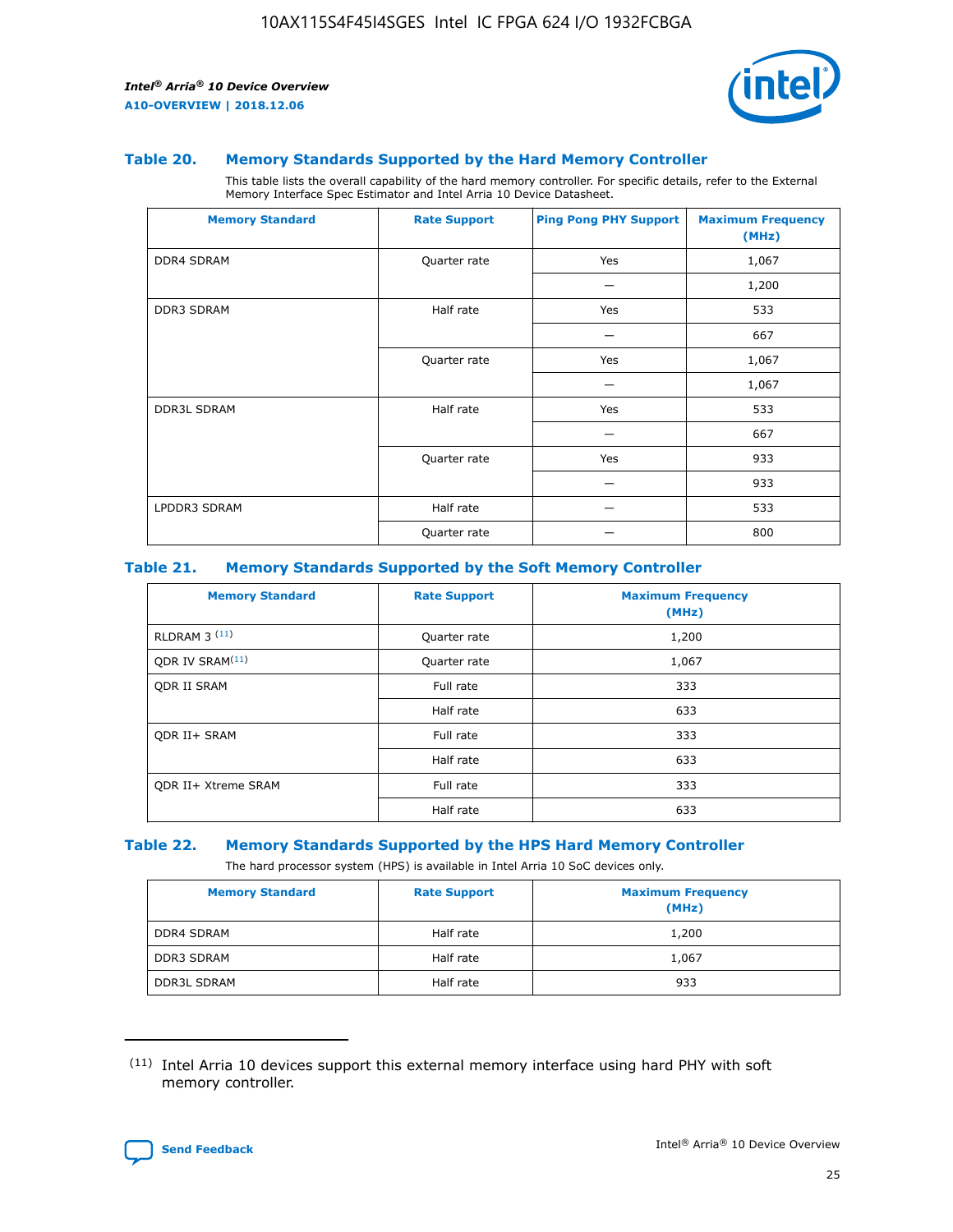

#### **Table 20. Memory Standards Supported by the Hard Memory Controller**

This table lists the overall capability of the hard memory controller. For specific details, refer to the External Memory Interface Spec Estimator and Intel Arria 10 Device Datasheet.

| <b>Memory Standard</b> | <b>Rate Support</b> | <b>Ping Pong PHY Support</b> | <b>Maximum Frequency</b><br>(MHz) |
|------------------------|---------------------|------------------------------|-----------------------------------|
| <b>DDR4 SDRAM</b>      | Quarter rate        | Yes                          | 1,067                             |
|                        |                     |                              | 1,200                             |
| DDR3 SDRAM             | Half rate           | Yes                          | 533                               |
|                        |                     |                              | 667                               |
|                        | Quarter rate        | Yes                          | 1,067                             |
|                        |                     |                              | 1,067                             |
| <b>DDR3L SDRAM</b>     | Half rate           | Yes                          | 533                               |
|                        |                     |                              | 667                               |
|                        | Quarter rate        | Yes                          | 933                               |
|                        |                     |                              | 933                               |
| LPDDR3 SDRAM           | Half rate           |                              | 533                               |
|                        | Quarter rate        |                              | 800                               |

#### **Table 21. Memory Standards Supported by the Soft Memory Controller**

| <b>Memory Standard</b>      | <b>Rate Support</b> | <b>Maximum Frequency</b><br>(MHz) |
|-----------------------------|---------------------|-----------------------------------|
| <b>RLDRAM 3 (11)</b>        | Quarter rate        | 1,200                             |
| ODR IV SRAM <sup>(11)</sup> | Quarter rate        | 1,067                             |
| <b>ODR II SRAM</b>          | Full rate           | 333                               |
|                             | Half rate           | 633                               |
| <b>ODR II+ SRAM</b>         | Full rate           | 333                               |
|                             | Half rate           | 633                               |
| <b>ODR II+ Xtreme SRAM</b>  | Full rate           | 333                               |
|                             | Half rate           | 633                               |

#### **Table 22. Memory Standards Supported by the HPS Hard Memory Controller**

The hard processor system (HPS) is available in Intel Arria 10 SoC devices only.

| <b>Memory Standard</b> | <b>Rate Support</b> | <b>Maximum Frequency</b><br>(MHz) |
|------------------------|---------------------|-----------------------------------|
| <b>DDR4 SDRAM</b>      | Half rate           | 1,200                             |
| DDR3 SDRAM             | Half rate           | 1,067                             |
| <b>DDR3L SDRAM</b>     | Half rate           | 933                               |

<sup>(11)</sup> Intel Arria 10 devices support this external memory interface using hard PHY with soft memory controller.

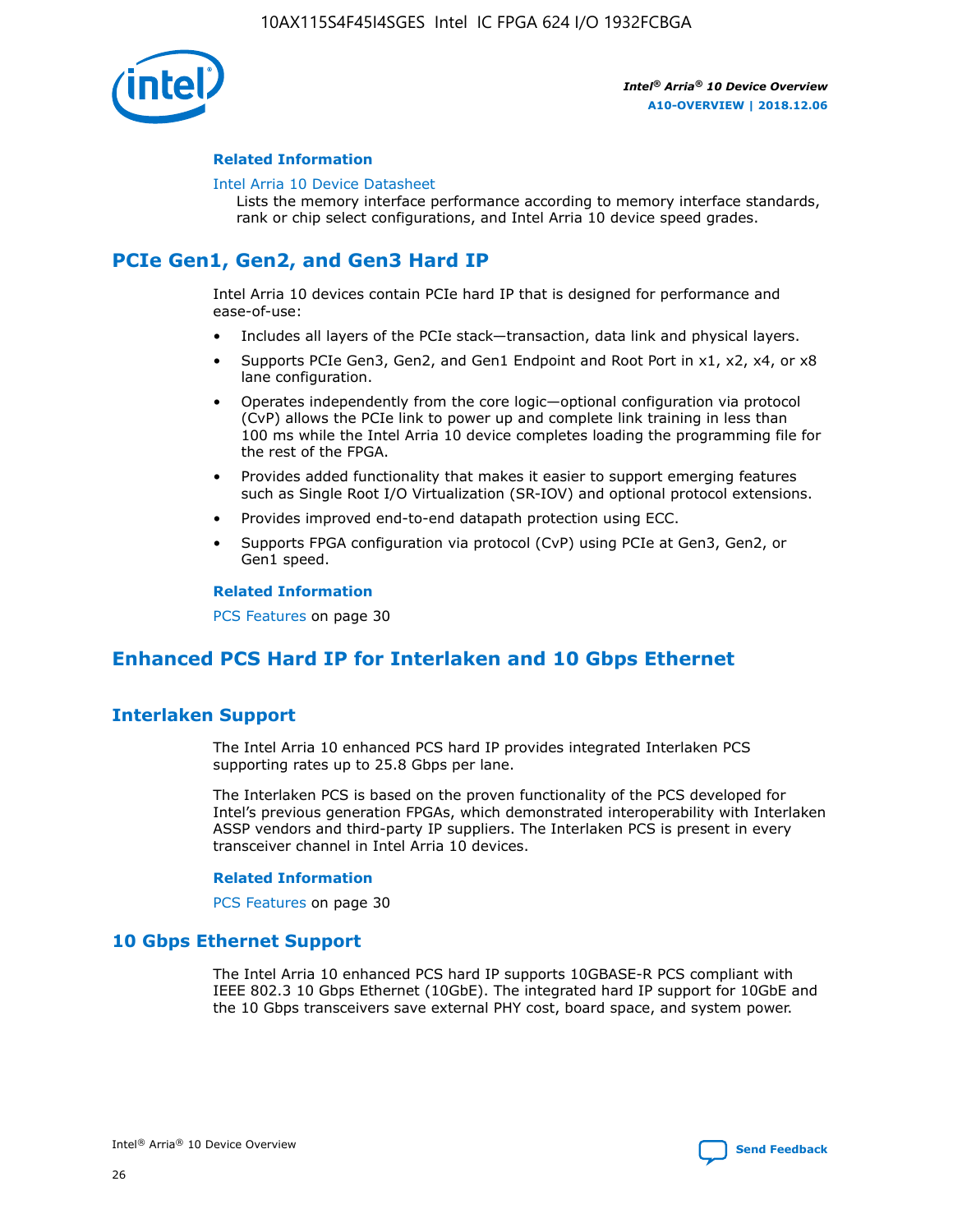

#### **Related Information**

#### [Intel Arria 10 Device Datasheet](https://www.intel.com/content/www/us/en/programmable/documentation/mcn1413182292568.html#mcn1413182153340)

Lists the memory interface performance according to memory interface standards, rank or chip select configurations, and Intel Arria 10 device speed grades.

## **PCIe Gen1, Gen2, and Gen3 Hard IP**

Intel Arria 10 devices contain PCIe hard IP that is designed for performance and ease-of-use:

- Includes all layers of the PCIe stack—transaction, data link and physical layers.
- Supports PCIe Gen3, Gen2, and Gen1 Endpoint and Root Port in x1, x2, x4, or x8 lane configuration.
- Operates independently from the core logic—optional configuration via protocol (CvP) allows the PCIe link to power up and complete link training in less than 100 ms while the Intel Arria 10 device completes loading the programming file for the rest of the FPGA.
- Provides added functionality that makes it easier to support emerging features such as Single Root I/O Virtualization (SR-IOV) and optional protocol extensions.
- Provides improved end-to-end datapath protection using ECC.
- Supports FPGA configuration via protocol (CvP) using PCIe at Gen3, Gen2, or Gen1 speed.

#### **Related Information**

PCS Features on page 30

## **Enhanced PCS Hard IP for Interlaken and 10 Gbps Ethernet**

## **Interlaken Support**

The Intel Arria 10 enhanced PCS hard IP provides integrated Interlaken PCS supporting rates up to 25.8 Gbps per lane.

The Interlaken PCS is based on the proven functionality of the PCS developed for Intel's previous generation FPGAs, which demonstrated interoperability with Interlaken ASSP vendors and third-party IP suppliers. The Interlaken PCS is present in every transceiver channel in Intel Arria 10 devices.

#### **Related Information**

PCS Features on page 30

## **10 Gbps Ethernet Support**

The Intel Arria 10 enhanced PCS hard IP supports 10GBASE-R PCS compliant with IEEE 802.3 10 Gbps Ethernet (10GbE). The integrated hard IP support for 10GbE and the 10 Gbps transceivers save external PHY cost, board space, and system power.

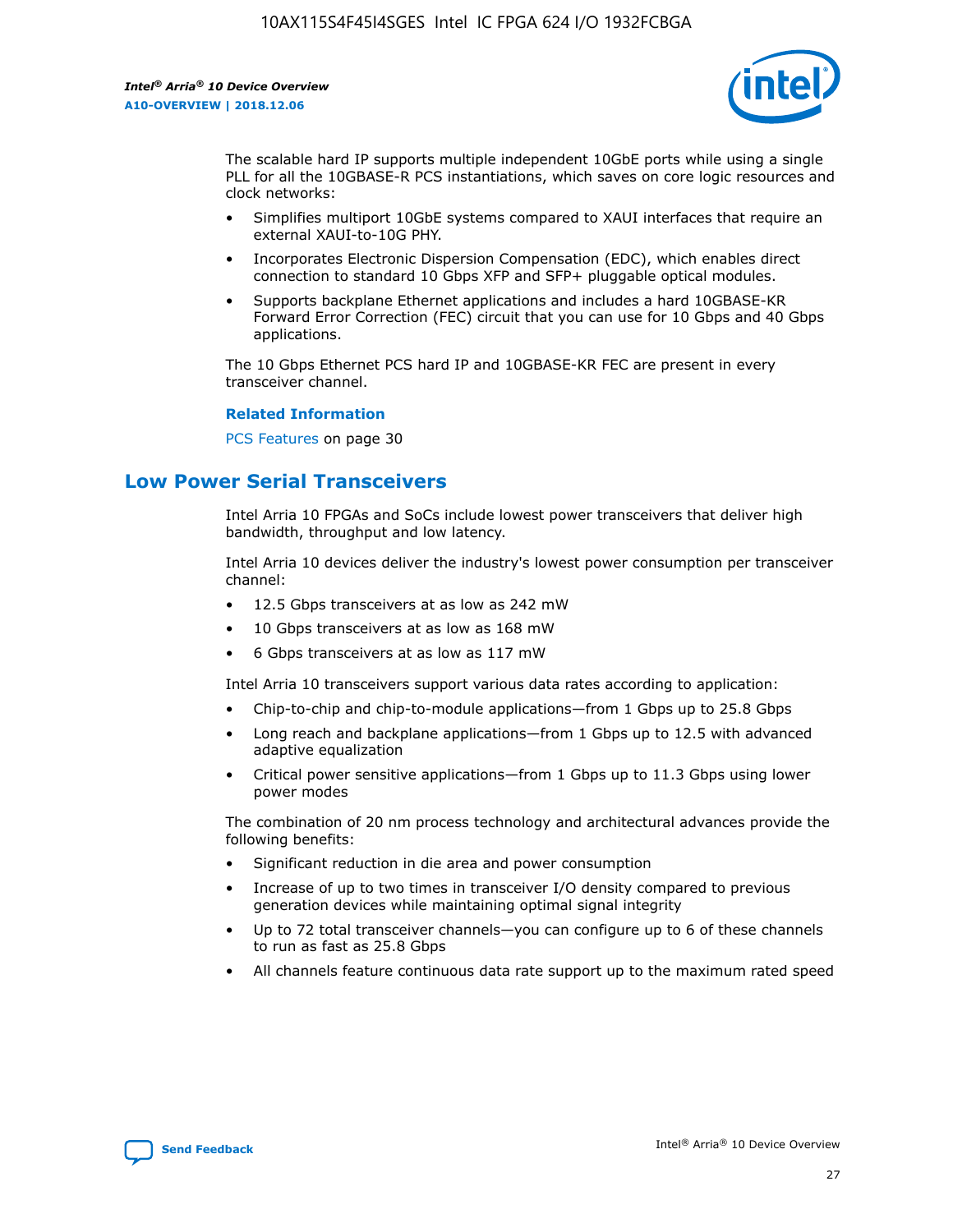

The scalable hard IP supports multiple independent 10GbE ports while using a single PLL for all the 10GBASE-R PCS instantiations, which saves on core logic resources and clock networks:

- Simplifies multiport 10GbE systems compared to XAUI interfaces that require an external XAUI-to-10G PHY.
- Incorporates Electronic Dispersion Compensation (EDC), which enables direct connection to standard 10 Gbps XFP and SFP+ pluggable optical modules.
- Supports backplane Ethernet applications and includes a hard 10GBASE-KR Forward Error Correction (FEC) circuit that you can use for 10 Gbps and 40 Gbps applications.

The 10 Gbps Ethernet PCS hard IP and 10GBASE-KR FEC are present in every transceiver channel.

#### **Related Information**

PCS Features on page 30

## **Low Power Serial Transceivers**

Intel Arria 10 FPGAs and SoCs include lowest power transceivers that deliver high bandwidth, throughput and low latency.

Intel Arria 10 devices deliver the industry's lowest power consumption per transceiver channel:

- 12.5 Gbps transceivers at as low as 242 mW
- 10 Gbps transceivers at as low as 168 mW
- 6 Gbps transceivers at as low as 117 mW

Intel Arria 10 transceivers support various data rates according to application:

- Chip-to-chip and chip-to-module applications—from 1 Gbps up to 25.8 Gbps
- Long reach and backplane applications—from 1 Gbps up to 12.5 with advanced adaptive equalization
- Critical power sensitive applications—from 1 Gbps up to 11.3 Gbps using lower power modes

The combination of 20 nm process technology and architectural advances provide the following benefits:

- Significant reduction in die area and power consumption
- Increase of up to two times in transceiver I/O density compared to previous generation devices while maintaining optimal signal integrity
- Up to 72 total transceiver channels—you can configure up to 6 of these channels to run as fast as 25.8 Gbps
- All channels feature continuous data rate support up to the maximum rated speed

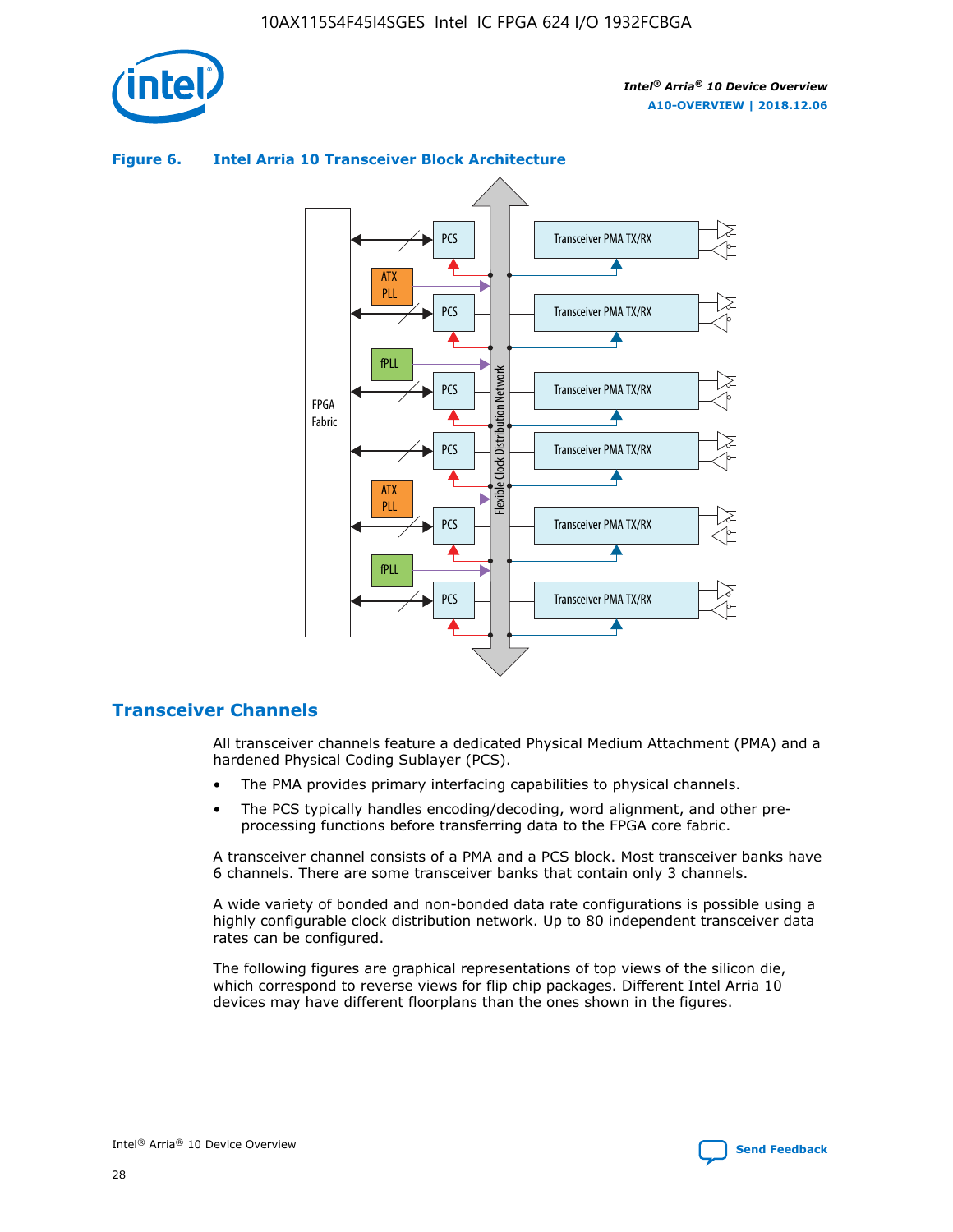

## Transceiver PMA TX/RX PCS ATX PLL Transceiver PMA TX/RX PCS fPLL Network Flexible Clock Distribution Network PCS Transceiver PMA TX/RX FPGA **Clock Distribution** Fabric PCS Transceiver PMA TX/RX ATX Flexible PLL PCS Transceiver PMA TX/RX ▲ fPLL Transceiver PMA TX/RX PCS 4

## **Figure 6. Intel Arria 10 Transceiver Block Architecture**

## **Transceiver Channels**

All transceiver channels feature a dedicated Physical Medium Attachment (PMA) and a hardened Physical Coding Sublayer (PCS).

- The PMA provides primary interfacing capabilities to physical channels.
- The PCS typically handles encoding/decoding, word alignment, and other preprocessing functions before transferring data to the FPGA core fabric.

A transceiver channel consists of a PMA and a PCS block. Most transceiver banks have 6 channels. There are some transceiver banks that contain only 3 channels.

A wide variety of bonded and non-bonded data rate configurations is possible using a highly configurable clock distribution network. Up to 80 independent transceiver data rates can be configured.

The following figures are graphical representations of top views of the silicon die, which correspond to reverse views for flip chip packages. Different Intel Arria 10 devices may have different floorplans than the ones shown in the figures.

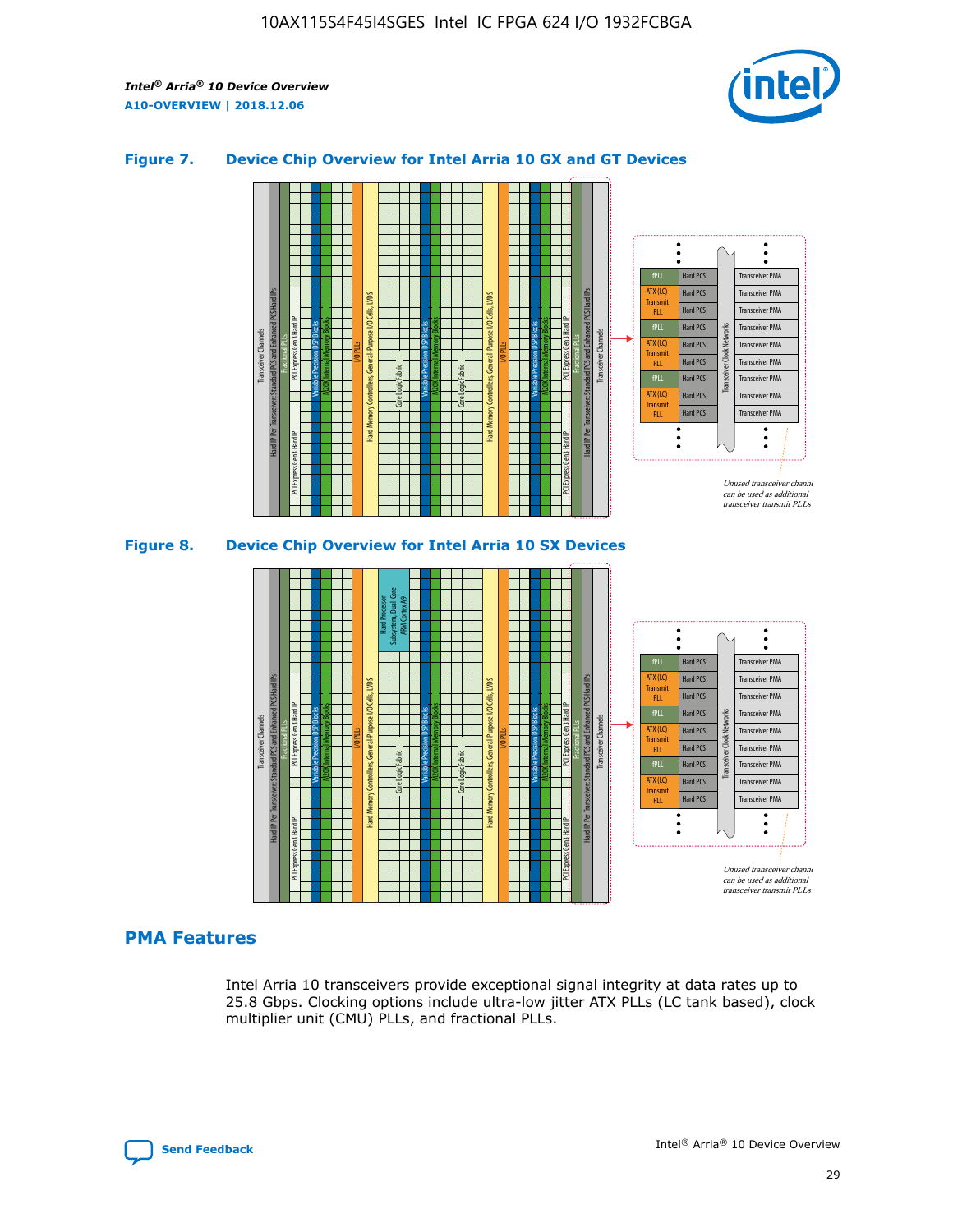

#### **Figure 7. Device Chip Overview for Intel Arria 10 GX and GT Devices**





## **PMA Features**

Intel Arria 10 transceivers provide exceptional signal integrity at data rates up to 25.8 Gbps. Clocking options include ultra-low jitter ATX PLLs (LC tank based), clock multiplier unit (CMU) PLLs, and fractional PLLs.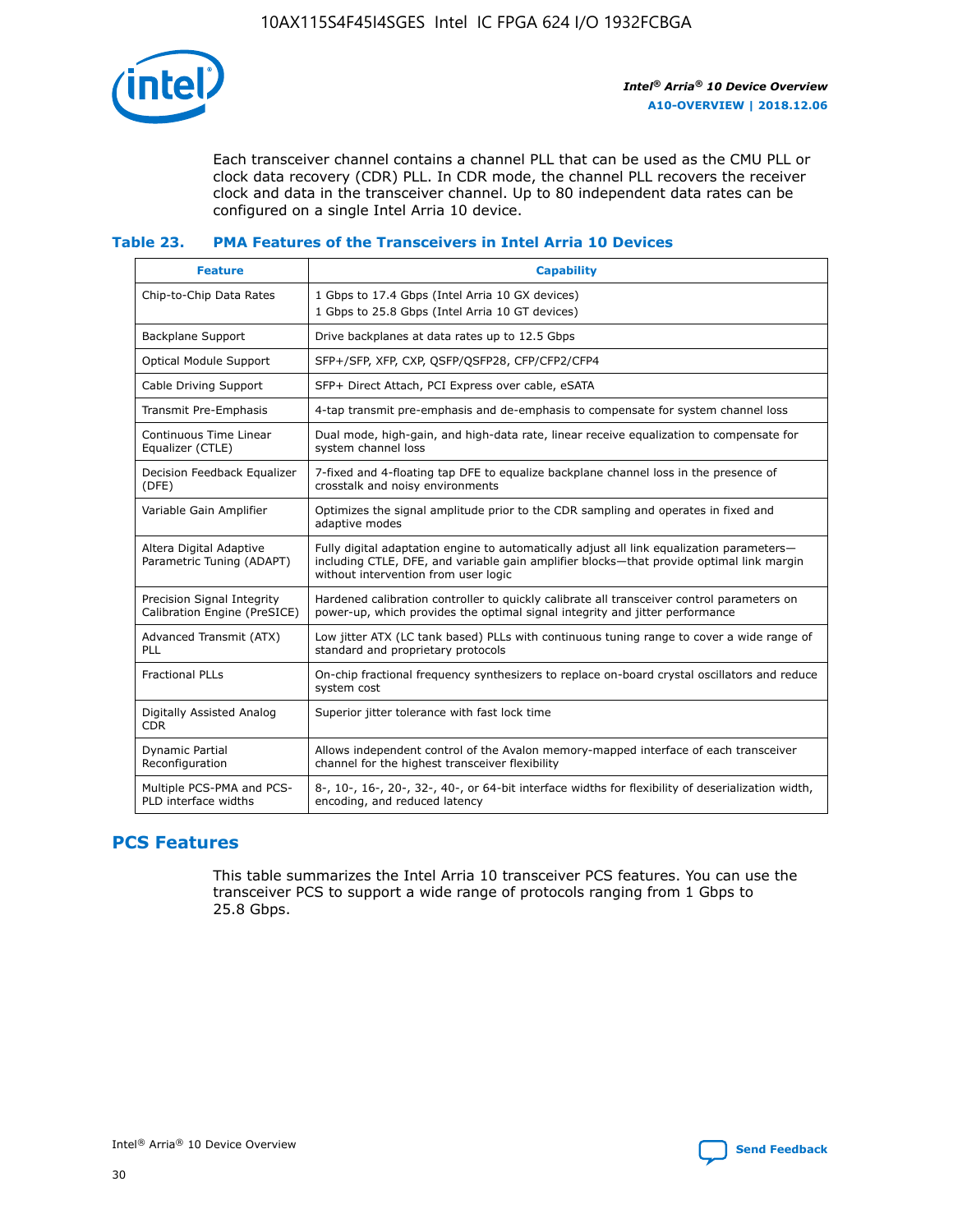

Each transceiver channel contains a channel PLL that can be used as the CMU PLL or clock data recovery (CDR) PLL. In CDR mode, the channel PLL recovers the receiver clock and data in the transceiver channel. Up to 80 independent data rates can be configured on a single Intel Arria 10 device.

## **Table 23. PMA Features of the Transceivers in Intel Arria 10 Devices**

| <b>Feature</b>                                             | <b>Capability</b>                                                                                                                                                                                                             |
|------------------------------------------------------------|-------------------------------------------------------------------------------------------------------------------------------------------------------------------------------------------------------------------------------|
| Chip-to-Chip Data Rates                                    | 1 Gbps to 17.4 Gbps (Intel Arria 10 GX devices)<br>1 Gbps to 25.8 Gbps (Intel Arria 10 GT devices)                                                                                                                            |
| Backplane Support                                          | Drive backplanes at data rates up to 12.5 Gbps                                                                                                                                                                                |
| <b>Optical Module Support</b>                              | SFP+/SFP, XFP, CXP, QSFP/QSFP28, CFP/CFP2/CFP4                                                                                                                                                                                |
| Cable Driving Support                                      | SFP+ Direct Attach, PCI Express over cable, eSATA                                                                                                                                                                             |
| Transmit Pre-Emphasis                                      | 4-tap transmit pre-emphasis and de-emphasis to compensate for system channel loss                                                                                                                                             |
| Continuous Time Linear<br>Equalizer (CTLE)                 | Dual mode, high-gain, and high-data rate, linear receive equalization to compensate for<br>system channel loss                                                                                                                |
| Decision Feedback Equalizer<br>(DFE)                       | 7-fixed and 4-floating tap DFE to equalize backplane channel loss in the presence of<br>crosstalk and noisy environments                                                                                                      |
| Variable Gain Amplifier                                    | Optimizes the signal amplitude prior to the CDR sampling and operates in fixed and<br>adaptive modes                                                                                                                          |
| Altera Digital Adaptive<br>Parametric Tuning (ADAPT)       | Fully digital adaptation engine to automatically adjust all link equalization parameters-<br>including CTLE, DFE, and variable gain amplifier blocks—that provide optimal link margin<br>without intervention from user logic |
| Precision Signal Integrity<br>Calibration Engine (PreSICE) | Hardened calibration controller to quickly calibrate all transceiver control parameters on<br>power-up, which provides the optimal signal integrity and jitter performance                                                    |
| Advanced Transmit (ATX)<br><b>PLL</b>                      | Low jitter ATX (LC tank based) PLLs with continuous tuning range to cover a wide range of<br>standard and proprietary protocols                                                                                               |
| <b>Fractional PLLs</b>                                     | On-chip fractional frequency synthesizers to replace on-board crystal oscillators and reduce<br>system cost                                                                                                                   |
| Digitally Assisted Analog<br><b>CDR</b>                    | Superior jitter tolerance with fast lock time                                                                                                                                                                                 |
| Dynamic Partial<br>Reconfiguration                         | Allows independent control of the Avalon memory-mapped interface of each transceiver<br>channel for the highest transceiver flexibility                                                                                       |
| Multiple PCS-PMA and PCS-<br>PLD interface widths          | 8-, 10-, 16-, 20-, 32-, 40-, or 64-bit interface widths for flexibility of deserialization width,<br>encoding, and reduced latency                                                                                            |

## **PCS Features**

This table summarizes the Intel Arria 10 transceiver PCS features. You can use the transceiver PCS to support a wide range of protocols ranging from 1 Gbps to 25.8 Gbps.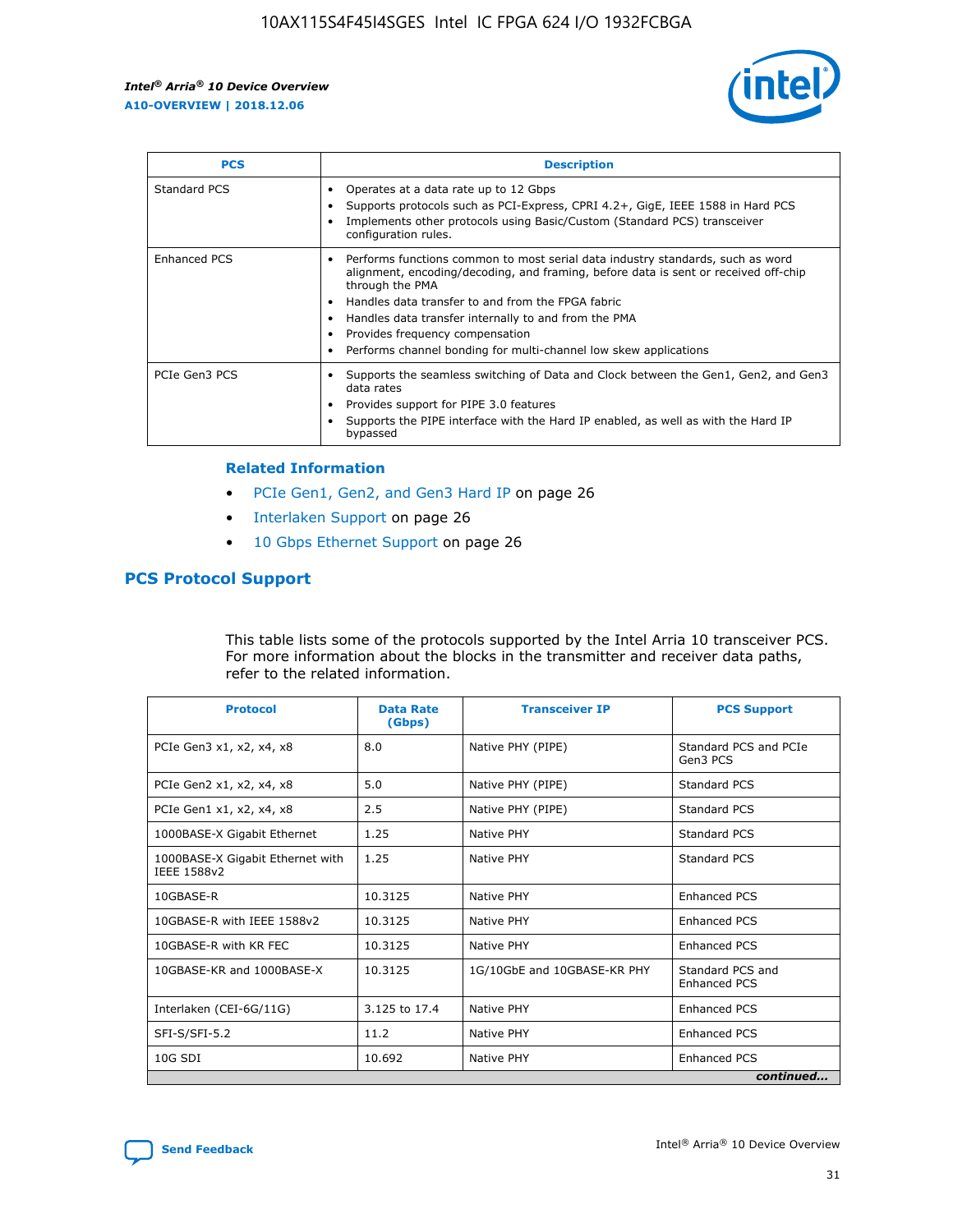

| <b>PCS</b>    | <b>Description</b>                                                                                                                                                                                                                                                                                                                                                                                             |
|---------------|----------------------------------------------------------------------------------------------------------------------------------------------------------------------------------------------------------------------------------------------------------------------------------------------------------------------------------------------------------------------------------------------------------------|
| Standard PCS  | Operates at a data rate up to 12 Gbps<br>Supports protocols such as PCI-Express, CPRI 4.2+, GigE, IEEE 1588 in Hard PCS<br>Implements other protocols using Basic/Custom (Standard PCS) transceiver<br>configuration rules.                                                                                                                                                                                    |
| Enhanced PCS  | Performs functions common to most serial data industry standards, such as word<br>alignment, encoding/decoding, and framing, before data is sent or received off-chip<br>through the PMA<br>• Handles data transfer to and from the FPGA fabric<br>Handles data transfer internally to and from the PMA<br>Provides frequency compensation<br>Performs channel bonding for multi-channel low skew applications |
| PCIe Gen3 PCS | Supports the seamless switching of Data and Clock between the Gen1, Gen2, and Gen3<br>data rates<br>Provides support for PIPE 3.0 features<br>Supports the PIPE interface with the Hard IP enabled, as well as with the Hard IP<br>bypassed                                                                                                                                                                    |

#### **Related Information**

- PCIe Gen1, Gen2, and Gen3 Hard IP on page 26
- Interlaken Support on page 26
- 10 Gbps Ethernet Support on page 26

## **PCS Protocol Support**

This table lists some of the protocols supported by the Intel Arria 10 transceiver PCS. For more information about the blocks in the transmitter and receiver data paths, refer to the related information.

| <b>Protocol</b>                                 | <b>Data Rate</b><br>(Gbps) | <b>Transceiver IP</b>       | <b>PCS Support</b>                      |
|-------------------------------------------------|----------------------------|-----------------------------|-----------------------------------------|
| PCIe Gen3 x1, x2, x4, x8                        | 8.0                        | Native PHY (PIPE)           | Standard PCS and PCIe<br>Gen3 PCS       |
| PCIe Gen2 x1, x2, x4, x8                        | 5.0                        | Native PHY (PIPE)           | <b>Standard PCS</b>                     |
| PCIe Gen1 x1, x2, x4, x8                        | 2.5                        | Native PHY (PIPE)           | Standard PCS                            |
| 1000BASE-X Gigabit Ethernet                     | 1.25                       | Native PHY                  | <b>Standard PCS</b>                     |
| 1000BASE-X Gigabit Ethernet with<br>IEEE 1588v2 | 1.25                       | Native PHY                  | Standard PCS                            |
| 10GBASE-R                                       | 10.3125                    | Native PHY                  | <b>Enhanced PCS</b>                     |
| 10GBASE-R with IEEE 1588v2                      | 10.3125                    | Native PHY                  | <b>Enhanced PCS</b>                     |
| 10GBASE-R with KR FEC                           | 10.3125                    | Native PHY                  | <b>Enhanced PCS</b>                     |
| 10GBASE-KR and 1000BASE-X                       | 10.3125                    | 1G/10GbE and 10GBASE-KR PHY | Standard PCS and<br><b>Enhanced PCS</b> |
| Interlaken (CEI-6G/11G)                         | 3.125 to 17.4              | Native PHY                  | <b>Enhanced PCS</b>                     |
| SFI-S/SFI-5.2                                   | 11.2                       | Native PHY                  | <b>Enhanced PCS</b>                     |
| $10G$ SDI                                       | 10.692                     | Native PHY                  | <b>Enhanced PCS</b>                     |
|                                                 |                            |                             | continued                               |

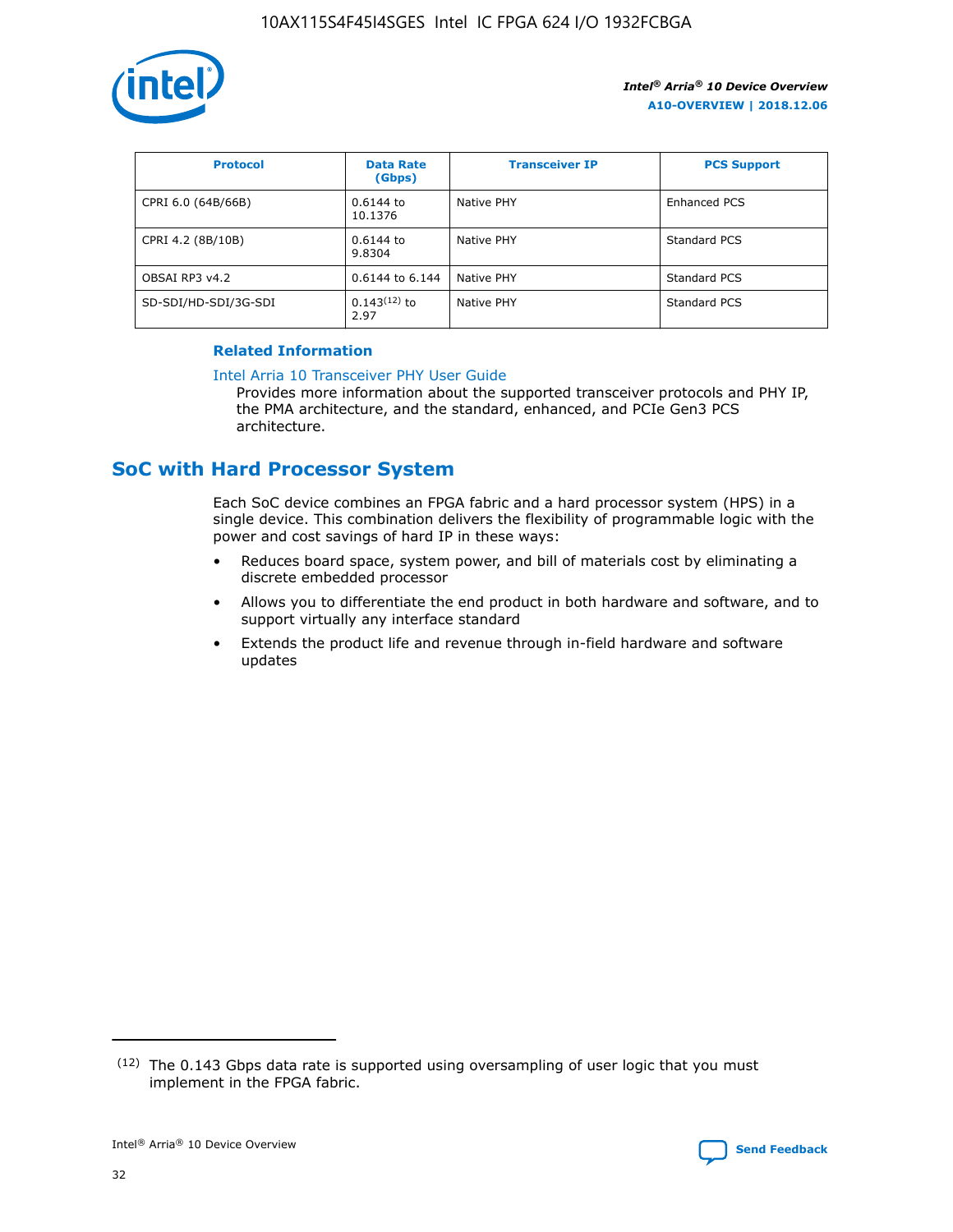

| <b>Protocol</b>      | <b>Data Rate</b><br>(Gbps) | <b>Transceiver IP</b> | <b>PCS Support</b> |
|----------------------|----------------------------|-----------------------|--------------------|
| CPRI 6.0 (64B/66B)   | 0.6144 to<br>10.1376       | Native PHY            | Enhanced PCS       |
| CPRI 4.2 (8B/10B)    | 0.6144 to<br>9.8304        | Native PHY            | Standard PCS       |
| OBSAI RP3 v4.2       | 0.6144 to 6.144            | Native PHY            | Standard PCS       |
| SD-SDI/HD-SDI/3G-SDI | $0.143(12)$ to<br>2.97     | Native PHY            | Standard PCS       |

## **Related Information**

#### [Intel Arria 10 Transceiver PHY User Guide](https://www.intel.com/content/www/us/en/programmable/documentation/nik1398707230472.html#nik1398707091164)

Provides more information about the supported transceiver protocols and PHY IP, the PMA architecture, and the standard, enhanced, and PCIe Gen3 PCS architecture.

## **SoC with Hard Processor System**

Each SoC device combines an FPGA fabric and a hard processor system (HPS) in a single device. This combination delivers the flexibility of programmable logic with the power and cost savings of hard IP in these ways:

- Reduces board space, system power, and bill of materials cost by eliminating a discrete embedded processor
- Allows you to differentiate the end product in both hardware and software, and to support virtually any interface standard
- Extends the product life and revenue through in-field hardware and software updates

 $(12)$  The 0.143 Gbps data rate is supported using oversampling of user logic that you must implement in the FPGA fabric.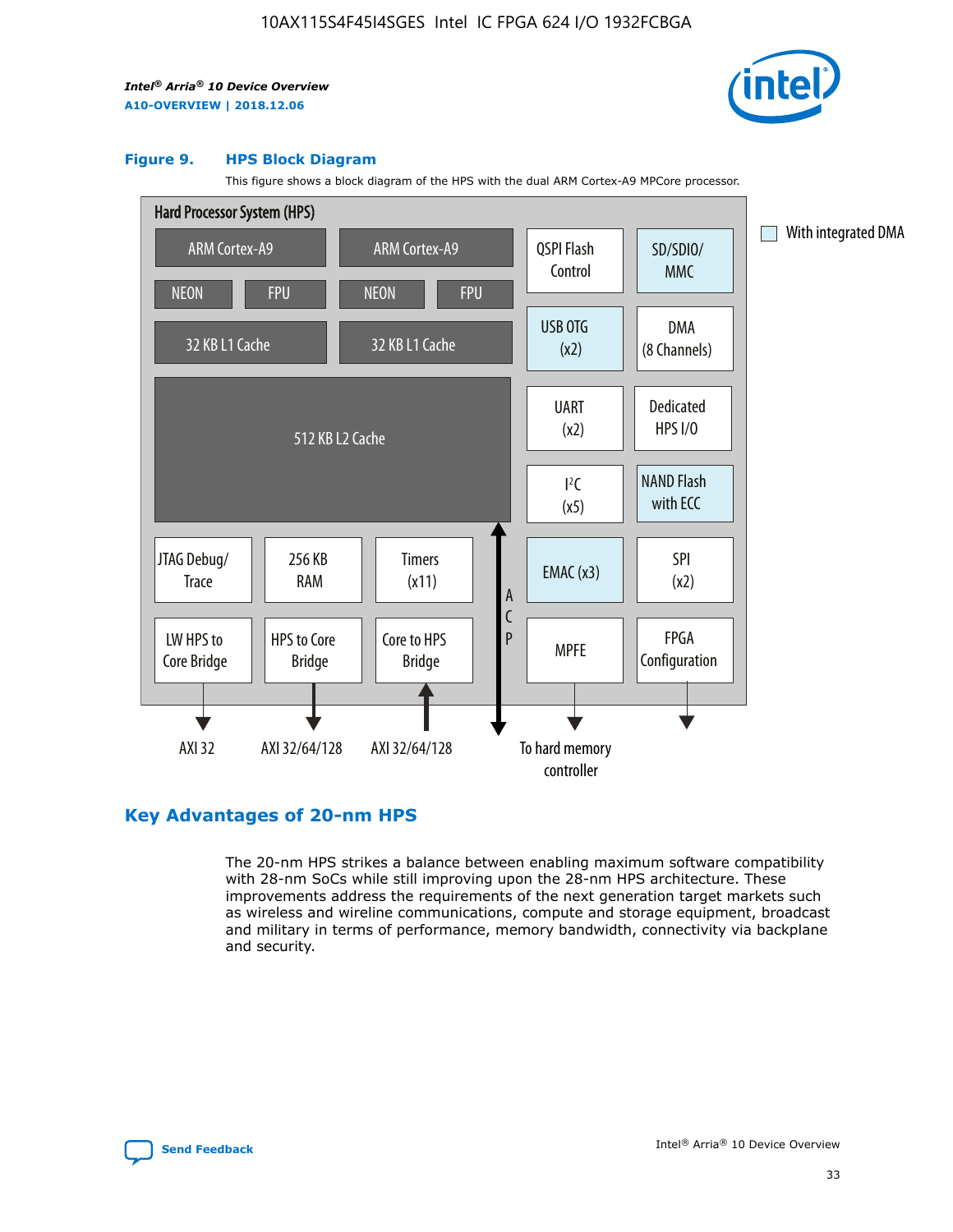

#### **Figure 9. HPS Block Diagram**

This figure shows a block diagram of the HPS with the dual ARM Cortex-A9 MPCore processor.



## **Key Advantages of 20-nm HPS**

The 20-nm HPS strikes a balance between enabling maximum software compatibility with 28-nm SoCs while still improving upon the 28-nm HPS architecture. These improvements address the requirements of the next generation target markets such as wireless and wireline communications, compute and storage equipment, broadcast and military in terms of performance, memory bandwidth, connectivity via backplane and security.

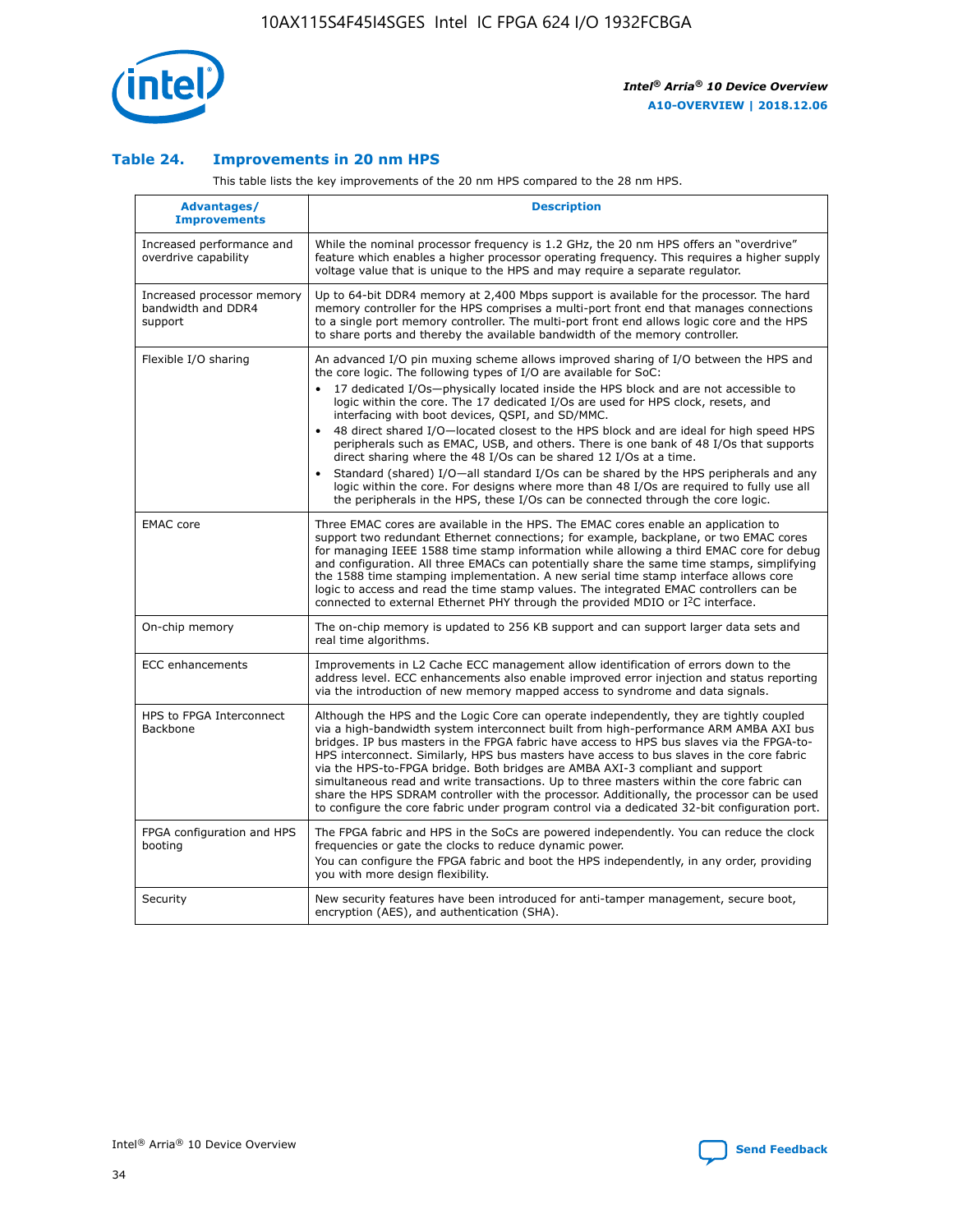

## **Table 24. Improvements in 20 nm HPS**

This table lists the key improvements of the 20 nm HPS compared to the 28 nm HPS.

| Advantages/<br><b>Improvements</b>                          | <b>Description</b>                                                                                                                                                                                                                                                                                                                                                                                                                                                                                                                                                                                                                                                                                                                                                                                                                                                                                                                   |
|-------------------------------------------------------------|--------------------------------------------------------------------------------------------------------------------------------------------------------------------------------------------------------------------------------------------------------------------------------------------------------------------------------------------------------------------------------------------------------------------------------------------------------------------------------------------------------------------------------------------------------------------------------------------------------------------------------------------------------------------------------------------------------------------------------------------------------------------------------------------------------------------------------------------------------------------------------------------------------------------------------------|
| Increased performance and<br>overdrive capability           | While the nominal processor frequency is 1.2 GHz, the 20 nm HPS offers an "overdrive"<br>feature which enables a higher processor operating frequency. This requires a higher supply<br>voltage value that is unique to the HPS and may require a separate regulator.                                                                                                                                                                                                                                                                                                                                                                                                                                                                                                                                                                                                                                                                |
| Increased processor memory<br>bandwidth and DDR4<br>support | Up to 64-bit DDR4 memory at 2,400 Mbps support is available for the processor. The hard<br>memory controller for the HPS comprises a multi-port front end that manages connections<br>to a single port memory controller. The multi-port front end allows logic core and the HPS<br>to share ports and thereby the available bandwidth of the memory controller.                                                                                                                                                                                                                                                                                                                                                                                                                                                                                                                                                                     |
| Flexible I/O sharing                                        | An advanced I/O pin muxing scheme allows improved sharing of I/O between the HPS and<br>the core logic. The following types of I/O are available for SoC:<br>17 dedicated I/Os-physically located inside the HPS block and are not accessible to<br>logic within the core. The 17 dedicated I/Os are used for HPS clock, resets, and<br>interfacing with boot devices, QSPI, and SD/MMC.<br>48 direct shared I/O-located closest to the HPS block and are ideal for high speed HPS<br>$\bullet$<br>peripherals such as EMAC, USB, and others. There is one bank of 48 I/Os that supports<br>direct sharing where the 48 I/Os can be shared 12 I/Os at a time.<br>Standard (shared) I/O-all standard I/Os can be shared by the HPS peripherals and any<br>logic within the core. For designs where more than 48 I/Os are reguired to fully use all<br>the peripherals in the HPS, these I/Os can be connected through the core logic. |
| <b>EMAC</b> core                                            | Three EMAC cores are available in the HPS. The EMAC cores enable an application to<br>support two redundant Ethernet connections; for example, backplane, or two EMAC cores<br>for managing IEEE 1588 time stamp information while allowing a third EMAC core for debug<br>and configuration. All three EMACs can potentially share the same time stamps, simplifying<br>the 1588 time stamping implementation. A new serial time stamp interface allows core<br>logic to access and read the time stamp values. The integrated EMAC controllers can be<br>connected to external Ethernet PHY through the provided MDIO or I <sup>2</sup> C interface.                                                                                                                                                                                                                                                                               |
| On-chip memory                                              | The on-chip memory is updated to 256 KB support and can support larger data sets and<br>real time algorithms.                                                                                                                                                                                                                                                                                                                                                                                                                                                                                                                                                                                                                                                                                                                                                                                                                        |
| <b>ECC</b> enhancements                                     | Improvements in L2 Cache ECC management allow identification of errors down to the<br>address level. ECC enhancements also enable improved error injection and status reporting<br>via the introduction of new memory mapped access to syndrome and data signals.                                                                                                                                                                                                                                                                                                                                                                                                                                                                                                                                                                                                                                                                    |
| HPS to FPGA Interconnect<br>Backbone                        | Although the HPS and the Logic Core can operate independently, they are tightly coupled<br>via a high-bandwidth system interconnect built from high-performance ARM AMBA AXI bus<br>bridges. IP bus masters in the FPGA fabric have access to HPS bus slaves via the FPGA-to-<br>HPS interconnect. Similarly, HPS bus masters have access to bus slaves in the core fabric<br>via the HPS-to-FPGA bridge. Both bridges are AMBA AXI-3 compliant and support<br>simultaneous read and write transactions. Up to three masters within the core fabric can<br>share the HPS SDRAM controller with the processor. Additionally, the processor can be used<br>to configure the core fabric under program control via a dedicated 32-bit configuration port.                                                                                                                                                                               |
| FPGA configuration and HPS<br>booting                       | The FPGA fabric and HPS in the SoCs are powered independently. You can reduce the clock<br>frequencies or gate the clocks to reduce dynamic power.<br>You can configure the FPGA fabric and boot the HPS independently, in any order, providing<br>you with more design flexibility.                                                                                                                                                                                                                                                                                                                                                                                                                                                                                                                                                                                                                                                 |
| Security                                                    | New security features have been introduced for anti-tamper management, secure boot,<br>encryption (AES), and authentication (SHA).                                                                                                                                                                                                                                                                                                                                                                                                                                                                                                                                                                                                                                                                                                                                                                                                   |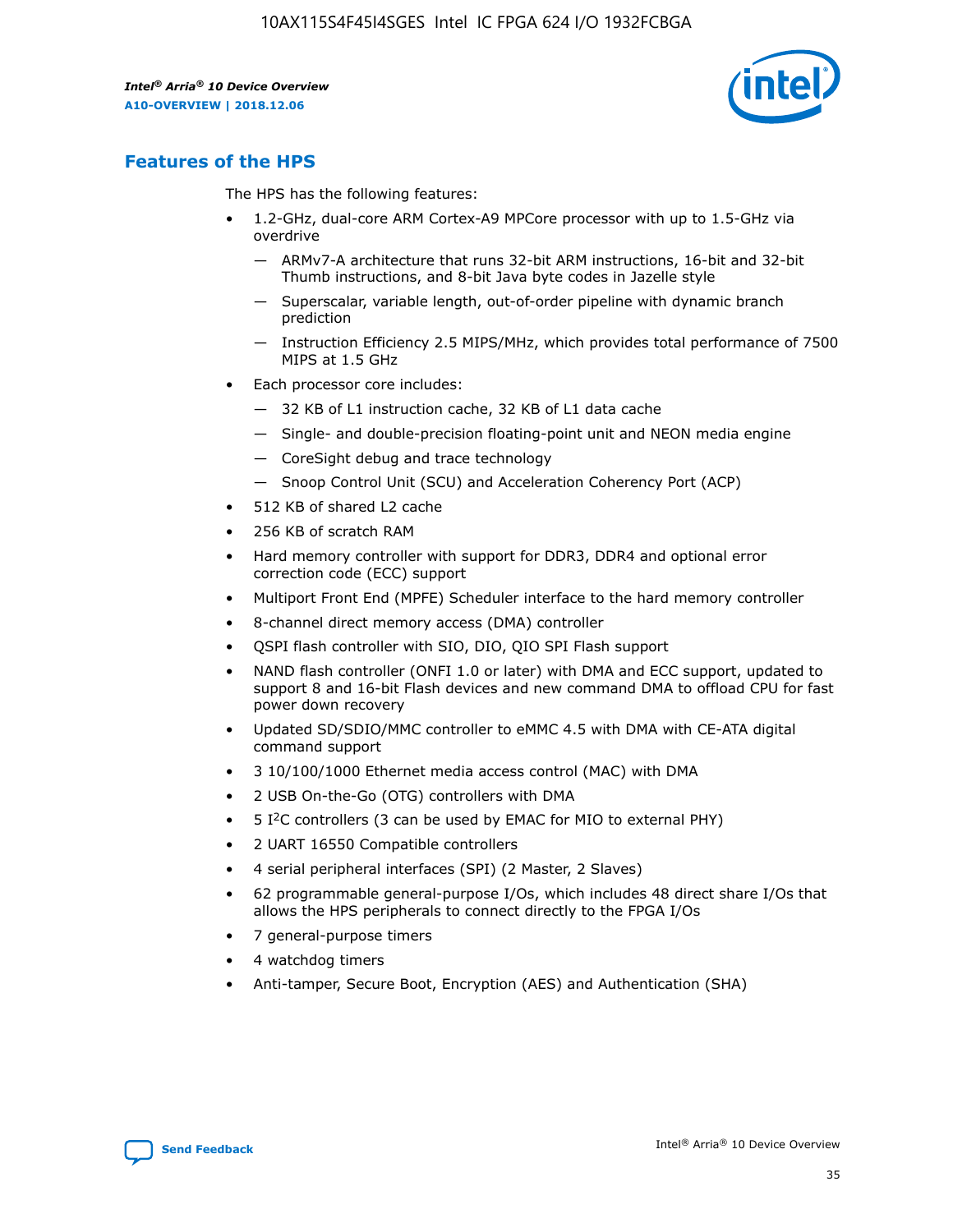

## **Features of the HPS**

The HPS has the following features:

- 1.2-GHz, dual-core ARM Cortex-A9 MPCore processor with up to 1.5-GHz via overdrive
	- ARMv7-A architecture that runs 32-bit ARM instructions, 16-bit and 32-bit Thumb instructions, and 8-bit Java byte codes in Jazelle style
	- Superscalar, variable length, out-of-order pipeline with dynamic branch prediction
	- Instruction Efficiency 2.5 MIPS/MHz, which provides total performance of 7500 MIPS at 1.5 GHz
- Each processor core includes:
	- 32 KB of L1 instruction cache, 32 KB of L1 data cache
	- Single- and double-precision floating-point unit and NEON media engine
	- CoreSight debug and trace technology
	- Snoop Control Unit (SCU) and Acceleration Coherency Port (ACP)
- 512 KB of shared L2 cache
- 256 KB of scratch RAM
- Hard memory controller with support for DDR3, DDR4 and optional error correction code (ECC) support
- Multiport Front End (MPFE) Scheduler interface to the hard memory controller
- 8-channel direct memory access (DMA) controller
- QSPI flash controller with SIO, DIO, QIO SPI Flash support
- NAND flash controller (ONFI 1.0 or later) with DMA and ECC support, updated to support 8 and 16-bit Flash devices and new command DMA to offload CPU for fast power down recovery
- Updated SD/SDIO/MMC controller to eMMC 4.5 with DMA with CE-ATA digital command support
- 3 10/100/1000 Ethernet media access control (MAC) with DMA
- 2 USB On-the-Go (OTG) controllers with DMA
- $\bullet$  5 I<sup>2</sup>C controllers (3 can be used by EMAC for MIO to external PHY)
- 2 UART 16550 Compatible controllers
- 4 serial peripheral interfaces (SPI) (2 Master, 2 Slaves)
- 62 programmable general-purpose I/Os, which includes 48 direct share I/Os that allows the HPS peripherals to connect directly to the FPGA I/Os
- 7 general-purpose timers
- 4 watchdog timers
- Anti-tamper, Secure Boot, Encryption (AES) and Authentication (SHA)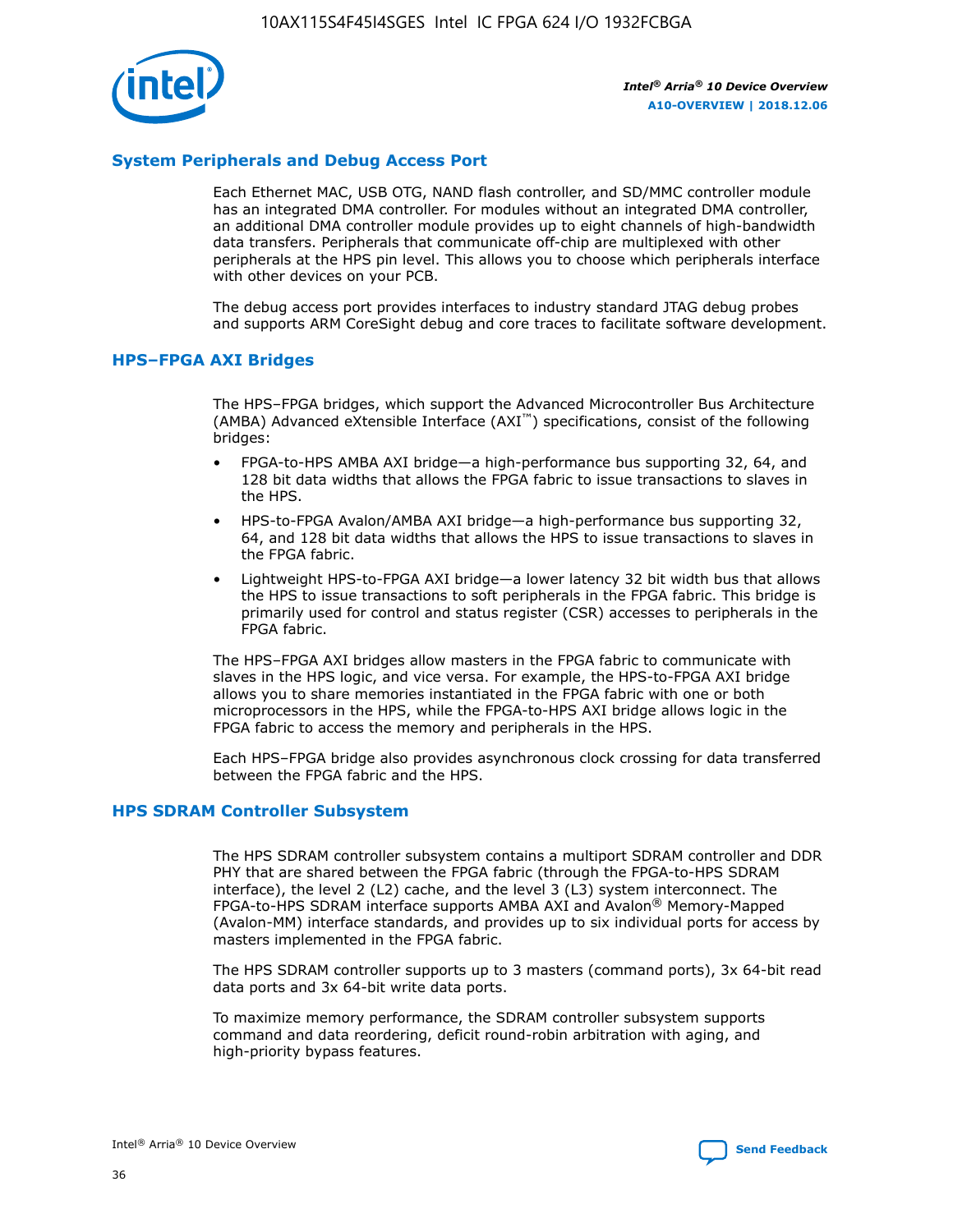

## **System Peripherals and Debug Access Port**

Each Ethernet MAC, USB OTG, NAND flash controller, and SD/MMC controller module has an integrated DMA controller. For modules without an integrated DMA controller, an additional DMA controller module provides up to eight channels of high-bandwidth data transfers. Peripherals that communicate off-chip are multiplexed with other peripherals at the HPS pin level. This allows you to choose which peripherals interface with other devices on your PCB.

The debug access port provides interfaces to industry standard JTAG debug probes and supports ARM CoreSight debug and core traces to facilitate software development.

## **HPS–FPGA AXI Bridges**

The HPS–FPGA bridges, which support the Advanced Microcontroller Bus Architecture (AMBA) Advanced eXtensible Interface (AXI™) specifications, consist of the following bridges:

- FPGA-to-HPS AMBA AXI bridge—a high-performance bus supporting 32, 64, and 128 bit data widths that allows the FPGA fabric to issue transactions to slaves in the HPS.
- HPS-to-FPGA Avalon/AMBA AXI bridge—a high-performance bus supporting 32, 64, and 128 bit data widths that allows the HPS to issue transactions to slaves in the FPGA fabric.
- Lightweight HPS-to-FPGA AXI bridge—a lower latency 32 bit width bus that allows the HPS to issue transactions to soft peripherals in the FPGA fabric. This bridge is primarily used for control and status register (CSR) accesses to peripherals in the FPGA fabric.

The HPS–FPGA AXI bridges allow masters in the FPGA fabric to communicate with slaves in the HPS logic, and vice versa. For example, the HPS-to-FPGA AXI bridge allows you to share memories instantiated in the FPGA fabric with one or both microprocessors in the HPS, while the FPGA-to-HPS AXI bridge allows logic in the FPGA fabric to access the memory and peripherals in the HPS.

Each HPS–FPGA bridge also provides asynchronous clock crossing for data transferred between the FPGA fabric and the HPS.

#### **HPS SDRAM Controller Subsystem**

The HPS SDRAM controller subsystem contains a multiport SDRAM controller and DDR PHY that are shared between the FPGA fabric (through the FPGA-to-HPS SDRAM interface), the level 2 (L2) cache, and the level 3 (L3) system interconnect. The FPGA-to-HPS SDRAM interface supports AMBA AXI and Avalon® Memory-Mapped (Avalon-MM) interface standards, and provides up to six individual ports for access by masters implemented in the FPGA fabric.

The HPS SDRAM controller supports up to 3 masters (command ports), 3x 64-bit read data ports and 3x 64-bit write data ports.

To maximize memory performance, the SDRAM controller subsystem supports command and data reordering, deficit round-robin arbitration with aging, and high-priority bypass features.

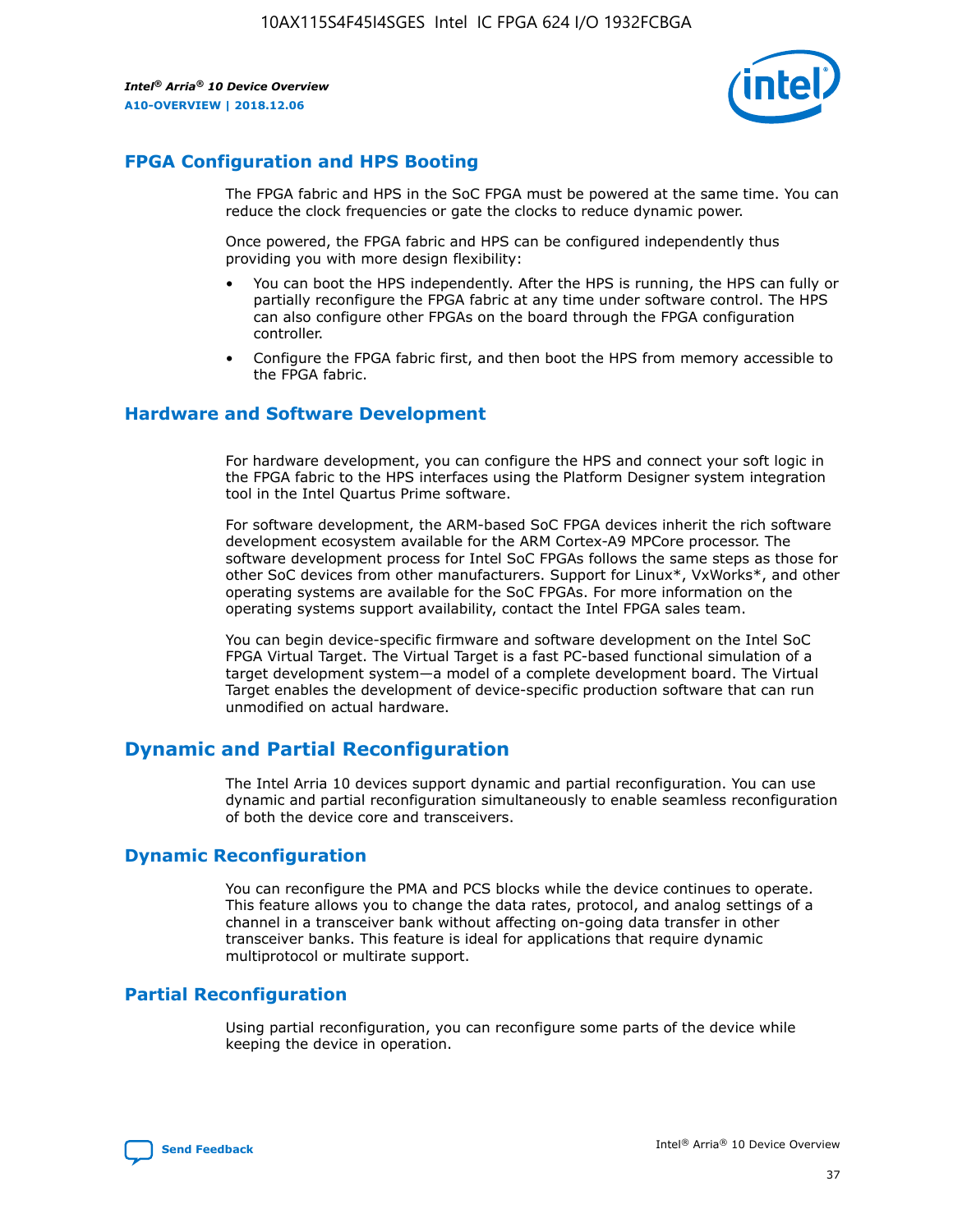

## **FPGA Configuration and HPS Booting**

The FPGA fabric and HPS in the SoC FPGA must be powered at the same time. You can reduce the clock frequencies or gate the clocks to reduce dynamic power.

Once powered, the FPGA fabric and HPS can be configured independently thus providing you with more design flexibility:

- You can boot the HPS independently. After the HPS is running, the HPS can fully or partially reconfigure the FPGA fabric at any time under software control. The HPS can also configure other FPGAs on the board through the FPGA configuration controller.
- Configure the FPGA fabric first, and then boot the HPS from memory accessible to the FPGA fabric.

## **Hardware and Software Development**

For hardware development, you can configure the HPS and connect your soft logic in the FPGA fabric to the HPS interfaces using the Platform Designer system integration tool in the Intel Quartus Prime software.

For software development, the ARM-based SoC FPGA devices inherit the rich software development ecosystem available for the ARM Cortex-A9 MPCore processor. The software development process for Intel SoC FPGAs follows the same steps as those for other SoC devices from other manufacturers. Support for Linux\*, VxWorks\*, and other operating systems are available for the SoC FPGAs. For more information on the operating systems support availability, contact the Intel FPGA sales team.

You can begin device-specific firmware and software development on the Intel SoC FPGA Virtual Target. The Virtual Target is a fast PC-based functional simulation of a target development system—a model of a complete development board. The Virtual Target enables the development of device-specific production software that can run unmodified on actual hardware.

## **Dynamic and Partial Reconfiguration**

The Intel Arria 10 devices support dynamic and partial reconfiguration. You can use dynamic and partial reconfiguration simultaneously to enable seamless reconfiguration of both the device core and transceivers.

## **Dynamic Reconfiguration**

You can reconfigure the PMA and PCS blocks while the device continues to operate. This feature allows you to change the data rates, protocol, and analog settings of a channel in a transceiver bank without affecting on-going data transfer in other transceiver banks. This feature is ideal for applications that require dynamic multiprotocol or multirate support.

## **Partial Reconfiguration**

Using partial reconfiguration, you can reconfigure some parts of the device while keeping the device in operation.

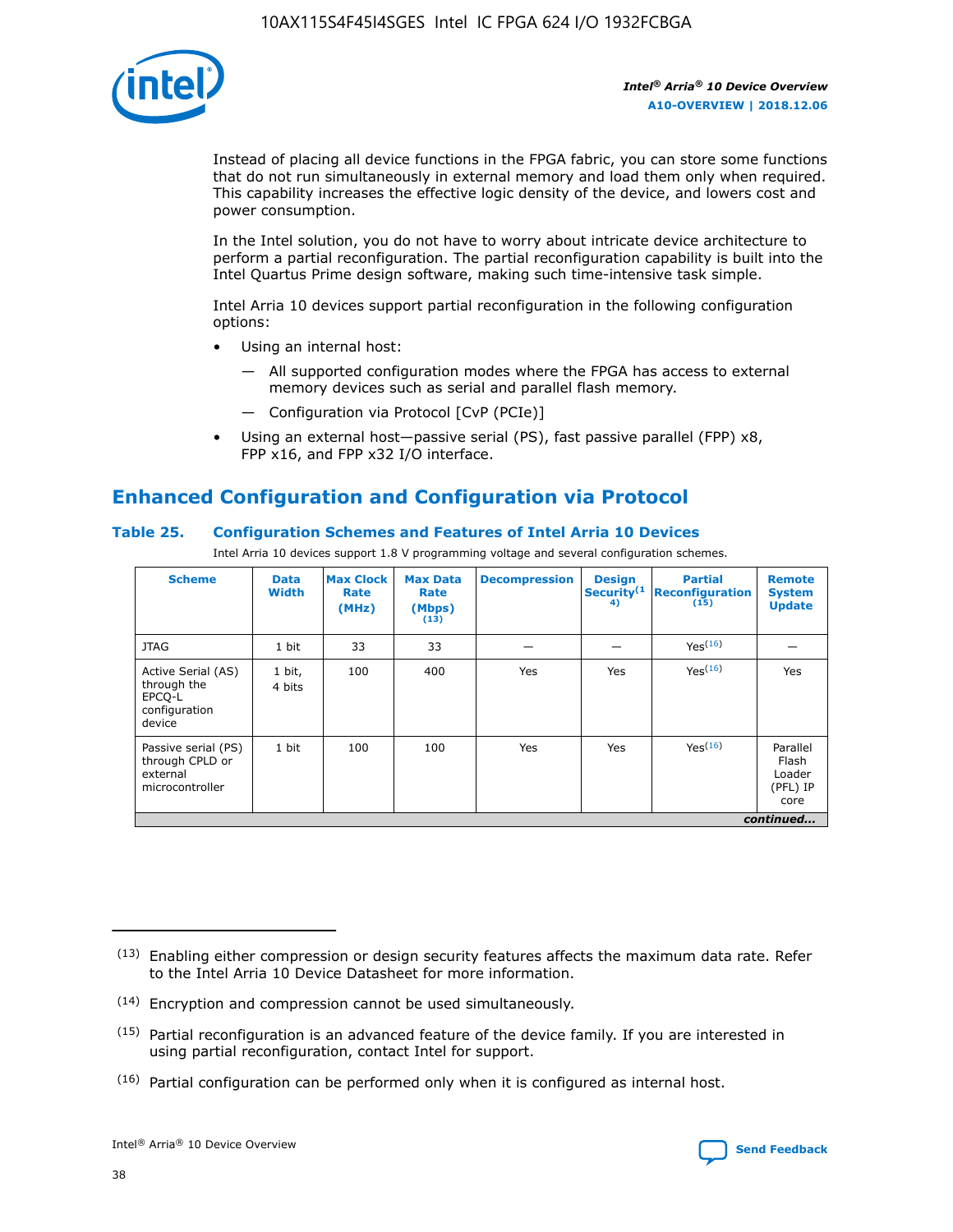

Instead of placing all device functions in the FPGA fabric, you can store some functions that do not run simultaneously in external memory and load them only when required. This capability increases the effective logic density of the device, and lowers cost and power consumption.

In the Intel solution, you do not have to worry about intricate device architecture to perform a partial reconfiguration. The partial reconfiguration capability is built into the Intel Quartus Prime design software, making such time-intensive task simple.

Intel Arria 10 devices support partial reconfiguration in the following configuration options:

- Using an internal host:
	- All supported configuration modes where the FPGA has access to external memory devices such as serial and parallel flash memory.
	- Configuration via Protocol [CvP (PCIe)]
- Using an external host—passive serial (PS), fast passive parallel (FPP) x8, FPP x16, and FPP x32 I/O interface.

# **Enhanced Configuration and Configuration via Protocol**

## **Table 25. Configuration Schemes and Features of Intel Arria 10 Devices**

Intel Arria 10 devices support 1.8 V programming voltage and several configuration schemes.

| <b>Scheme</b>                                                          | <b>Data</b><br><b>Width</b> | <b>Max Clock</b><br>Rate<br>(MHz) | <b>Max Data</b><br>Rate<br>(Mbps)<br>(13) | <b>Decompression</b> | <b>Design</b><br>Security <sup>(1</sup><br>4) | <b>Partial</b><br><b>Reconfiguration</b><br>(15) | <b>Remote</b><br><b>System</b><br><b>Update</b> |
|------------------------------------------------------------------------|-----------------------------|-----------------------------------|-------------------------------------------|----------------------|-----------------------------------------------|--------------------------------------------------|-------------------------------------------------|
| <b>JTAG</b>                                                            | 1 bit                       | 33                                | 33                                        |                      |                                               | Yes(16)                                          |                                                 |
| Active Serial (AS)<br>through the<br>EPCO-L<br>configuration<br>device | 1 bit,<br>4 bits            | 100                               | 400                                       | Yes                  | Yes                                           | $Y_{PS}(16)$                                     | Yes                                             |
| Passive serial (PS)<br>through CPLD or<br>external<br>microcontroller  | 1 bit                       | 100                               | 100                                       | Yes                  | Yes                                           | Yes(16)                                          | Parallel<br>Flash<br>Loader<br>(PFL) IP<br>core |
|                                                                        |                             |                                   |                                           |                      |                                               |                                                  | continued                                       |

<sup>(13)</sup> Enabling either compression or design security features affects the maximum data rate. Refer to the Intel Arria 10 Device Datasheet for more information.

<sup>(14)</sup> Encryption and compression cannot be used simultaneously.

 $<sup>(15)</sup>$  Partial reconfiguration is an advanced feature of the device family. If you are interested in</sup> using partial reconfiguration, contact Intel for support.

 $(16)$  Partial configuration can be performed only when it is configured as internal host.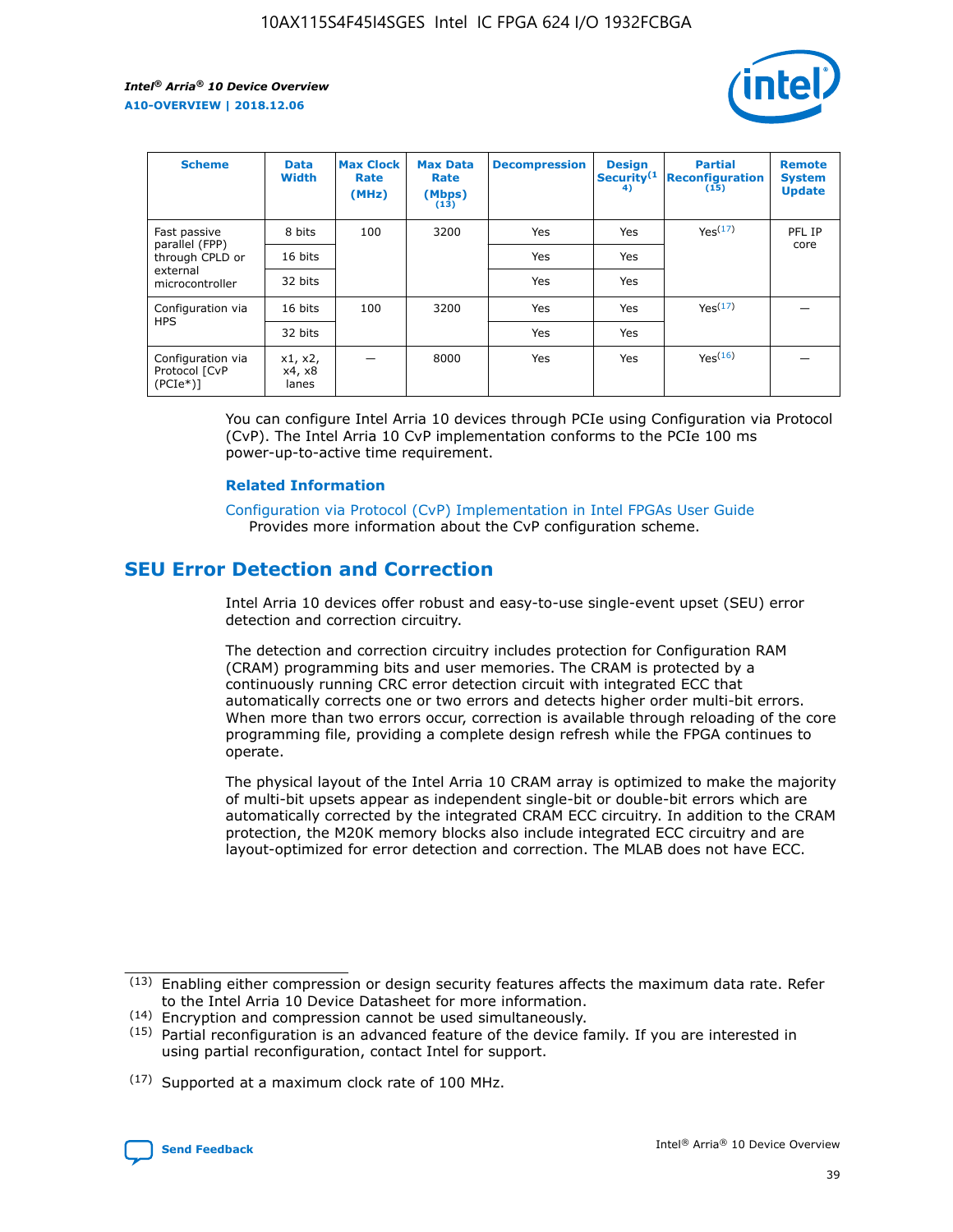

| <b>Scheme</b>                                    | <b>Data</b><br><b>Width</b> | <b>Max Clock</b><br>Rate<br>(MHz) | <b>Max Data</b><br>Rate<br>(Mbps)<br>(13) | <b>Decompression</b> | <b>Design</b><br>Security <sup>(1</sup><br>4) | <b>Partial</b><br><b>Reconfiguration</b><br>(15) | <b>Remote</b><br><b>System</b><br><b>Update</b> |
|--------------------------------------------------|-----------------------------|-----------------------------------|-------------------------------------------|----------------------|-----------------------------------------------|--------------------------------------------------|-------------------------------------------------|
| Fast passive                                     | 8 bits                      | 100                               | 3200                                      | <b>Yes</b>           | Yes                                           | Yes(17)                                          | PFL IP                                          |
| parallel (FPP)<br>through CPLD or                | 16 bits                     |                                   |                                           | Yes                  | Yes                                           |                                                  | core                                            |
| external<br>microcontroller                      | 32 bits                     |                                   |                                           | Yes                  | Yes                                           |                                                  |                                                 |
| Configuration via                                | 16 bits                     | 100                               | 3200                                      | Yes                  | Yes                                           | Yes <sup>(17)</sup>                              |                                                 |
| <b>HPS</b>                                       | 32 bits                     |                                   |                                           | Yes                  | Yes                                           |                                                  |                                                 |
| Configuration via<br>Protocol [CvP<br>$(PCIe^*)$ | x1, x2,<br>x4, x8<br>lanes  |                                   | 8000                                      | Yes                  | Yes                                           | Yes <sup>(16)</sup>                              |                                                 |

You can configure Intel Arria 10 devices through PCIe using Configuration via Protocol (CvP). The Intel Arria 10 CvP implementation conforms to the PCIe 100 ms power-up-to-active time requirement.

#### **Related Information**

[Configuration via Protocol \(CvP\) Implementation in Intel FPGAs User Guide](https://www.intel.com/content/www/us/en/programmable/documentation/dsu1441819344145.html#dsu1442269728522) Provides more information about the CvP configuration scheme.

## **SEU Error Detection and Correction**

Intel Arria 10 devices offer robust and easy-to-use single-event upset (SEU) error detection and correction circuitry.

The detection and correction circuitry includes protection for Configuration RAM (CRAM) programming bits and user memories. The CRAM is protected by a continuously running CRC error detection circuit with integrated ECC that automatically corrects one or two errors and detects higher order multi-bit errors. When more than two errors occur, correction is available through reloading of the core programming file, providing a complete design refresh while the FPGA continues to operate.

The physical layout of the Intel Arria 10 CRAM array is optimized to make the majority of multi-bit upsets appear as independent single-bit or double-bit errors which are automatically corrected by the integrated CRAM ECC circuitry. In addition to the CRAM protection, the M20K memory blocks also include integrated ECC circuitry and are layout-optimized for error detection and correction. The MLAB does not have ECC.

<sup>(17)</sup> Supported at a maximum clock rate of 100 MHz.



 $(13)$  Enabling either compression or design security features affects the maximum data rate. Refer to the Intel Arria 10 Device Datasheet for more information.

<sup>(14)</sup> Encryption and compression cannot be used simultaneously.

 $(15)$  Partial reconfiguration is an advanced feature of the device family. If you are interested in using partial reconfiguration, contact Intel for support.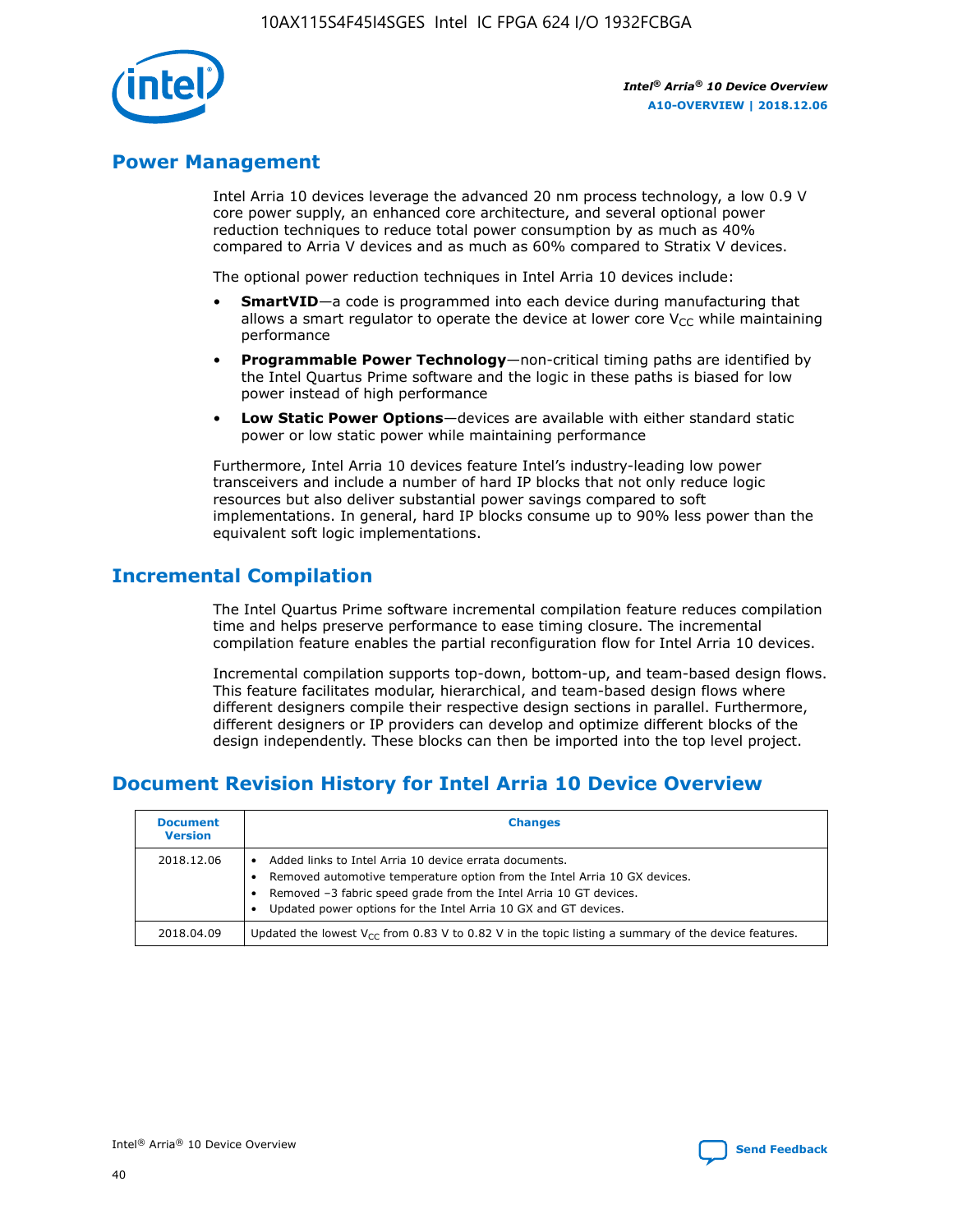

## **Power Management**

Intel Arria 10 devices leverage the advanced 20 nm process technology, a low 0.9 V core power supply, an enhanced core architecture, and several optional power reduction techniques to reduce total power consumption by as much as 40% compared to Arria V devices and as much as 60% compared to Stratix V devices.

The optional power reduction techniques in Intel Arria 10 devices include:

- **SmartVID**—a code is programmed into each device during manufacturing that allows a smart regulator to operate the device at lower core  $V_{CC}$  while maintaining performance
- **Programmable Power Technology**—non-critical timing paths are identified by the Intel Quartus Prime software and the logic in these paths is biased for low power instead of high performance
- **Low Static Power Options**—devices are available with either standard static power or low static power while maintaining performance

Furthermore, Intel Arria 10 devices feature Intel's industry-leading low power transceivers and include a number of hard IP blocks that not only reduce logic resources but also deliver substantial power savings compared to soft implementations. In general, hard IP blocks consume up to 90% less power than the equivalent soft logic implementations.

## **Incremental Compilation**

The Intel Quartus Prime software incremental compilation feature reduces compilation time and helps preserve performance to ease timing closure. The incremental compilation feature enables the partial reconfiguration flow for Intel Arria 10 devices.

Incremental compilation supports top-down, bottom-up, and team-based design flows. This feature facilitates modular, hierarchical, and team-based design flows where different designers compile their respective design sections in parallel. Furthermore, different designers or IP providers can develop and optimize different blocks of the design independently. These blocks can then be imported into the top level project.

## **Document Revision History for Intel Arria 10 Device Overview**

| <b>Document</b><br><b>Version</b> | <b>Changes</b>                                                                                                                                                                                                                                                              |
|-----------------------------------|-----------------------------------------------------------------------------------------------------------------------------------------------------------------------------------------------------------------------------------------------------------------------------|
| 2018.12.06                        | Added links to Intel Arria 10 device errata documents.<br>Removed automotive temperature option from the Intel Arria 10 GX devices.<br>Removed -3 fabric speed grade from the Intel Arria 10 GT devices.<br>Updated power options for the Intel Arria 10 GX and GT devices. |
| 2018.04.09                        | Updated the lowest $V_{CC}$ from 0.83 V to 0.82 V in the topic listing a summary of the device features.                                                                                                                                                                    |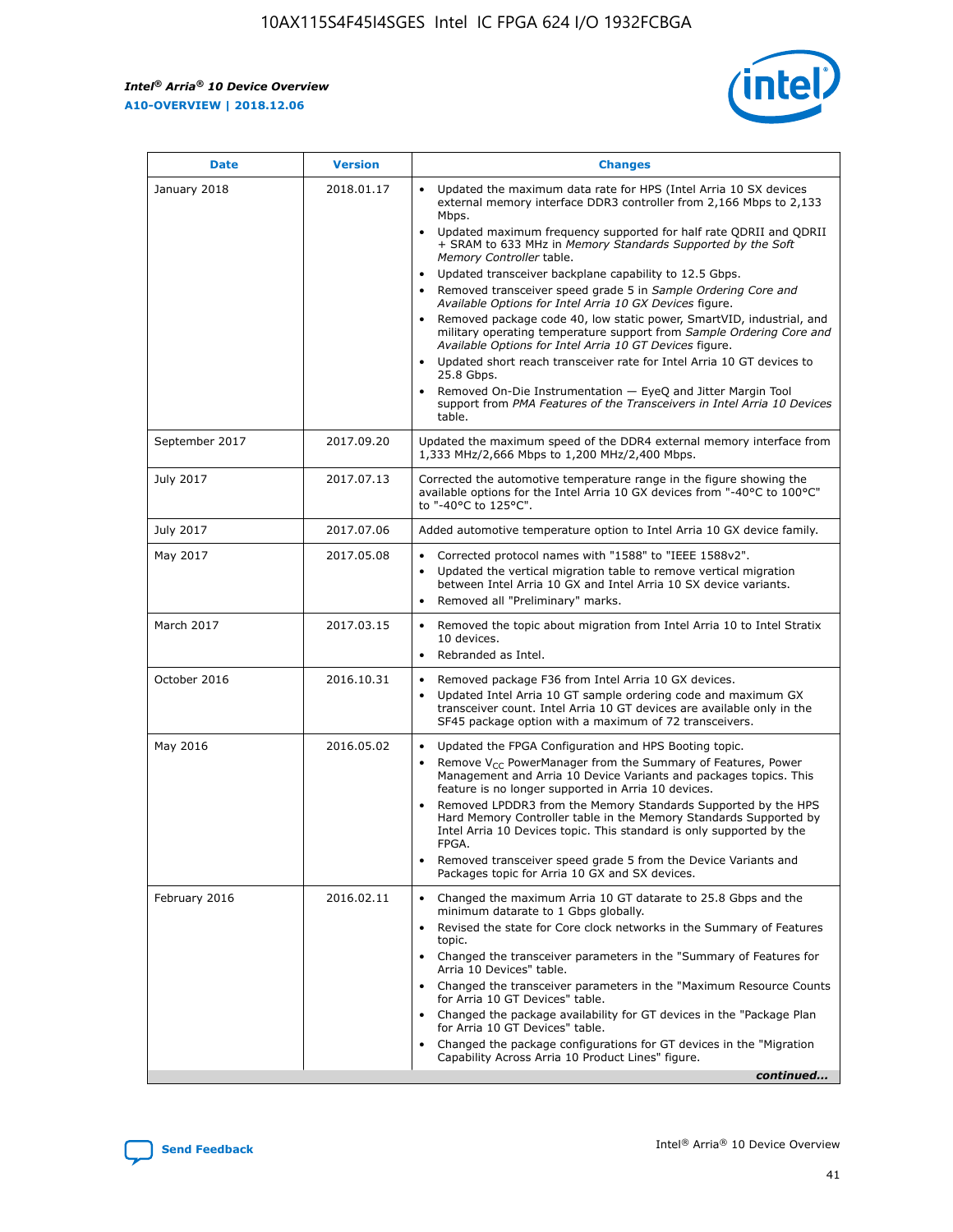*Intel® Arria® 10 Device Overview* **A10-OVERVIEW | 2018.12.06**



| <b>Date</b>    | <b>Version</b> | <b>Changes</b>                                                                                                                                                                                                                                                                                                                                                                                                                                                                                                                                                                                                                                                                                                                                                                                                                                                                                                                                                            |
|----------------|----------------|---------------------------------------------------------------------------------------------------------------------------------------------------------------------------------------------------------------------------------------------------------------------------------------------------------------------------------------------------------------------------------------------------------------------------------------------------------------------------------------------------------------------------------------------------------------------------------------------------------------------------------------------------------------------------------------------------------------------------------------------------------------------------------------------------------------------------------------------------------------------------------------------------------------------------------------------------------------------------|
| January 2018   | 2018.01.17     | Updated the maximum data rate for HPS (Intel Arria 10 SX devices<br>external memory interface DDR3 controller from 2,166 Mbps to 2,133<br>Mbps.<br>Updated maximum frequency supported for half rate QDRII and QDRII<br>+ SRAM to 633 MHz in Memory Standards Supported by the Soft<br>Memory Controller table.<br>Updated transceiver backplane capability to 12.5 Gbps.<br>$\bullet$<br>Removed transceiver speed grade 5 in Sample Ordering Core and<br>Available Options for Intel Arria 10 GX Devices figure.<br>Removed package code 40, low static power, SmartVID, industrial, and<br>military operating temperature support from Sample Ordering Core and<br>Available Options for Intel Arria 10 GT Devices figure.<br>Updated short reach transceiver rate for Intel Arria 10 GT devices to<br>25.8 Gbps.<br>Removed On-Die Instrumentation - EyeQ and Jitter Margin Tool<br>support from PMA Features of the Transceivers in Intel Arria 10 Devices<br>table. |
| September 2017 | 2017.09.20     | Updated the maximum speed of the DDR4 external memory interface from<br>1,333 MHz/2,666 Mbps to 1,200 MHz/2,400 Mbps.                                                                                                                                                                                                                                                                                                                                                                                                                                                                                                                                                                                                                                                                                                                                                                                                                                                     |
| July 2017      | 2017.07.13     | Corrected the automotive temperature range in the figure showing the<br>available options for the Intel Arria 10 GX devices from "-40°C to 100°C"<br>to "-40°C to 125°C".                                                                                                                                                                                                                                                                                                                                                                                                                                                                                                                                                                                                                                                                                                                                                                                                 |
| July 2017      | 2017.07.06     | Added automotive temperature option to Intel Arria 10 GX device family.                                                                                                                                                                                                                                                                                                                                                                                                                                                                                                                                                                                                                                                                                                                                                                                                                                                                                                   |
| May 2017       | 2017.05.08     | Corrected protocol names with "1588" to "IEEE 1588v2".<br>Updated the vertical migration table to remove vertical migration<br>between Intel Arria 10 GX and Intel Arria 10 SX device variants.<br>Removed all "Preliminary" marks.                                                                                                                                                                                                                                                                                                                                                                                                                                                                                                                                                                                                                                                                                                                                       |
| March 2017     | 2017.03.15     | Removed the topic about migration from Intel Arria 10 to Intel Stratix<br>10 devices.<br>Rebranded as Intel.<br>$\bullet$                                                                                                                                                                                                                                                                                                                                                                                                                                                                                                                                                                                                                                                                                                                                                                                                                                                 |
| October 2016   | 2016.10.31     | Removed package F36 from Intel Arria 10 GX devices.<br>Updated Intel Arria 10 GT sample ordering code and maximum GX<br>$\bullet$<br>transceiver count. Intel Arria 10 GT devices are available only in the<br>SF45 package option with a maximum of 72 transceivers.                                                                                                                                                                                                                                                                                                                                                                                                                                                                                                                                                                                                                                                                                                     |
| May 2016       | 2016.05.02     | Updated the FPGA Configuration and HPS Booting topic.<br>Remove V <sub>CC</sub> PowerManager from the Summary of Features, Power<br>Management and Arria 10 Device Variants and packages topics. This<br>feature is no longer supported in Arria 10 devices.<br>Removed LPDDR3 from the Memory Standards Supported by the HPS<br>Hard Memory Controller table in the Memory Standards Supported by<br>Intel Arria 10 Devices topic. This standard is only supported by the<br>FPGA.<br>Removed transceiver speed grade 5 from the Device Variants and<br>Packages topic for Arria 10 GX and SX devices.                                                                                                                                                                                                                                                                                                                                                                   |
| February 2016  | 2016.02.11     | Changed the maximum Arria 10 GT datarate to 25.8 Gbps and the<br>minimum datarate to 1 Gbps globally.<br>Revised the state for Core clock networks in the Summary of Features<br>$\bullet$<br>topic.<br>Changed the transceiver parameters in the "Summary of Features for<br>Arria 10 Devices" table.<br>• Changed the transceiver parameters in the "Maximum Resource Counts<br>for Arria 10 GT Devices" table.<br>• Changed the package availability for GT devices in the "Package Plan<br>for Arria 10 GT Devices" table.<br>Changed the package configurations for GT devices in the "Migration"<br>Capability Across Arria 10 Product Lines" figure.<br>continued                                                                                                                                                                                                                                                                                                  |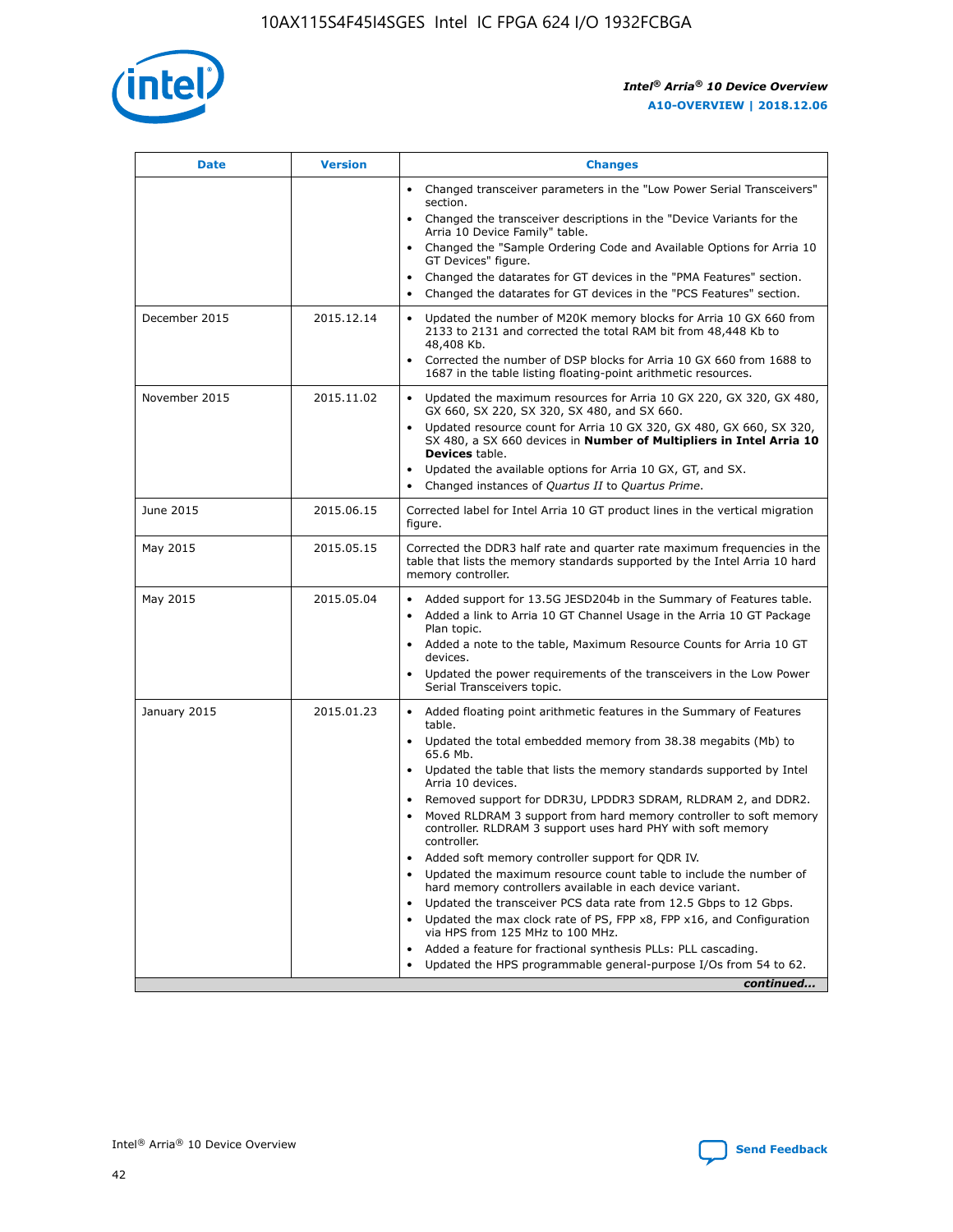

| <b>Date</b>   | <b>Version</b> | <b>Changes</b>                                                                                                                                                               |
|---------------|----------------|------------------------------------------------------------------------------------------------------------------------------------------------------------------------------|
|               |                | • Changed transceiver parameters in the "Low Power Serial Transceivers"<br>section.                                                                                          |
|               |                | • Changed the transceiver descriptions in the "Device Variants for the<br>Arria 10 Device Family" table.                                                                     |
|               |                | Changed the "Sample Ordering Code and Available Options for Arria 10<br>$\bullet$<br>GT Devices" figure.                                                                     |
|               |                | Changed the datarates for GT devices in the "PMA Features" section.                                                                                                          |
|               |                | Changed the datarates for GT devices in the "PCS Features" section.<br>$\bullet$                                                                                             |
| December 2015 | 2015.12.14     | Updated the number of M20K memory blocks for Arria 10 GX 660 from<br>2133 to 2131 and corrected the total RAM bit from 48,448 Kb to<br>48,408 Kb.                            |
|               |                | Corrected the number of DSP blocks for Arria 10 GX 660 from 1688 to<br>1687 in the table listing floating-point arithmetic resources.                                        |
| November 2015 | 2015.11.02     | Updated the maximum resources for Arria 10 GX 220, GX 320, GX 480,<br>$\bullet$<br>GX 660, SX 220, SX 320, SX 480, and SX 660.                                               |
|               |                | Updated resource count for Arria 10 GX 320, GX 480, GX 660, SX 320,<br>SX 480, a SX 660 devices in Number of Multipliers in Intel Arria 10<br><b>Devices</b> table.          |
|               |                | Updated the available options for Arria 10 GX, GT, and SX.                                                                                                                   |
|               |                | Changed instances of Quartus II to Quartus Prime.                                                                                                                            |
| June 2015     | 2015.06.15     | Corrected label for Intel Arria 10 GT product lines in the vertical migration<br>figure.                                                                                     |
| May 2015      | 2015.05.15     | Corrected the DDR3 half rate and quarter rate maximum frequencies in the<br>table that lists the memory standards supported by the Intel Arria 10 hard<br>memory controller. |
| May 2015      | 2015.05.04     | Added support for 13.5G JESD204b in the Summary of Features table.<br>$\bullet$<br>Added a link to Arria 10 GT Channel Usage in the Arria 10 GT Package<br>$\bullet$         |
|               |                | Plan topic.                                                                                                                                                                  |
|               |                | • Added a note to the table, Maximum Resource Counts for Arria 10 GT<br>devices.                                                                                             |
|               |                | Updated the power requirements of the transceivers in the Low Power<br>Serial Transceivers topic.                                                                            |
| January 2015  | 2015.01.23     | • Added floating point arithmetic features in the Summary of Features<br>table.                                                                                              |
|               |                | Updated the total embedded memory from 38.38 megabits (Mb) to<br>$\bullet$<br>65.6 Mb.                                                                                       |
|               |                | • Updated the table that lists the memory standards supported by Intel<br>Arria 10 devices.                                                                                  |
|               |                | Removed support for DDR3U, LPDDR3 SDRAM, RLDRAM 2, and DDR2.                                                                                                                 |
|               |                | Moved RLDRAM 3 support from hard memory controller to soft memory<br>controller. RLDRAM 3 support uses hard PHY with soft memory<br>controller.                              |
|               |                | Added soft memory controller support for QDR IV.<br>$\bullet$                                                                                                                |
|               |                | Updated the maximum resource count table to include the number of<br>hard memory controllers available in each device variant.                                               |
|               |                | Updated the transceiver PCS data rate from 12.5 Gbps to 12 Gbps.<br>$\bullet$                                                                                                |
|               |                | Updated the max clock rate of PS, FPP x8, FPP x16, and Configuration<br>via HPS from 125 MHz to 100 MHz.                                                                     |
|               |                | Added a feature for fractional synthesis PLLs: PLL cascading.                                                                                                                |
|               |                | Updated the HPS programmable general-purpose I/Os from 54 to 62.                                                                                                             |
|               |                | continued                                                                                                                                                                    |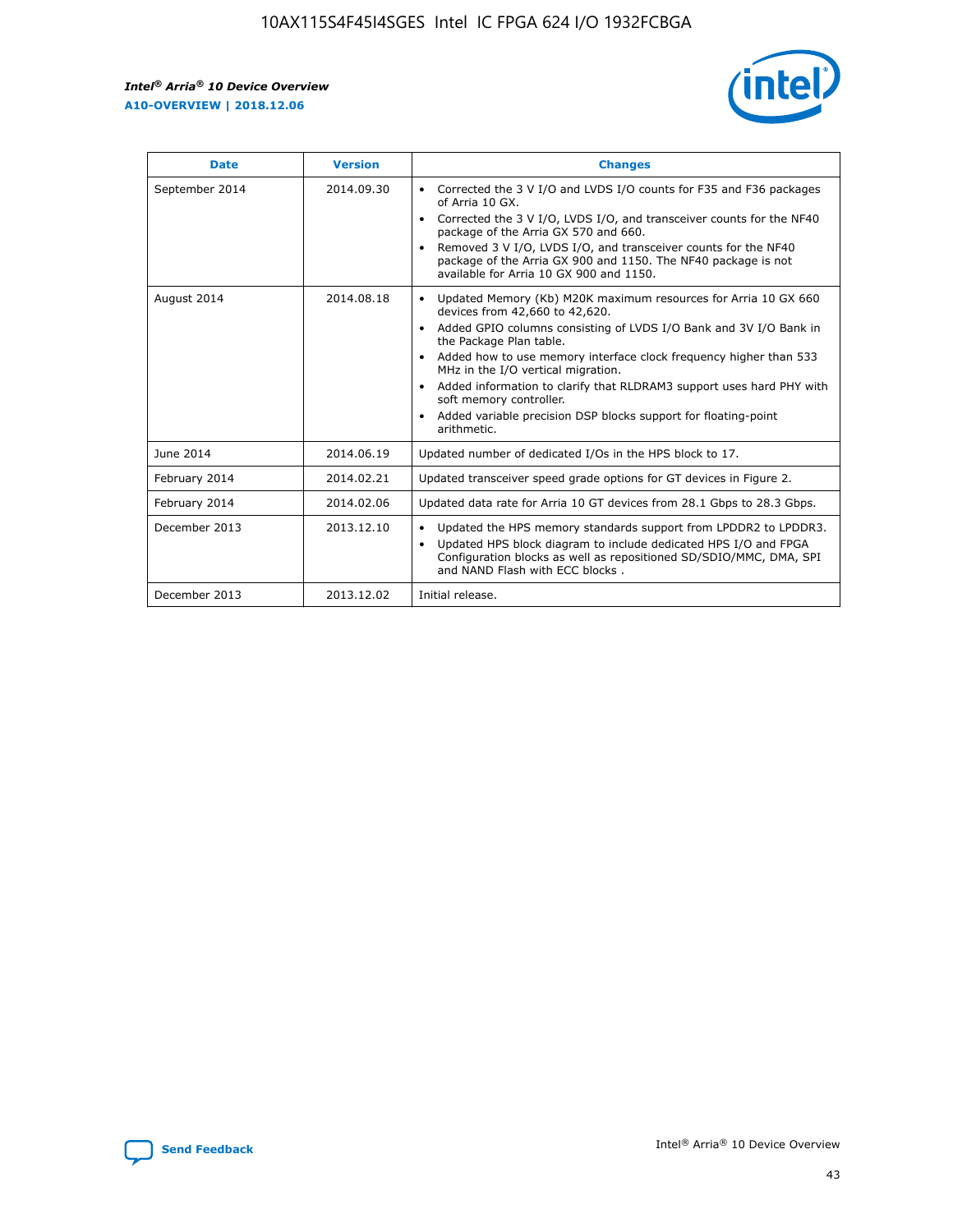r



| <b>Date</b>    | <b>Version</b> | <b>Changes</b>                                                                                                                                                                                                                                                                                                                                                                                                                                                                                                                                      |
|----------------|----------------|-----------------------------------------------------------------------------------------------------------------------------------------------------------------------------------------------------------------------------------------------------------------------------------------------------------------------------------------------------------------------------------------------------------------------------------------------------------------------------------------------------------------------------------------------------|
| September 2014 | 2014.09.30     | Corrected the 3 V I/O and LVDS I/O counts for F35 and F36 packages<br>$\bullet$<br>of Arria 10 GX.<br>Corrected the 3 V I/O, LVDS I/O, and transceiver counts for the NF40<br>$\bullet$<br>package of the Arria GX 570 and 660.<br>Removed 3 V I/O, LVDS I/O, and transceiver counts for the NF40<br>$\bullet$<br>package of the Arria GX 900 and 1150. The NF40 package is not<br>available for Arria 10 GX 900 and 1150.                                                                                                                          |
| August 2014    | 2014.08.18     | Updated Memory (Kb) M20K maximum resources for Arria 10 GX 660<br>devices from 42,660 to 42,620.<br>Added GPIO columns consisting of LVDS I/O Bank and 3V I/O Bank in<br>$\bullet$<br>the Package Plan table.<br>Added how to use memory interface clock frequency higher than 533<br>$\bullet$<br>MHz in the I/O vertical migration.<br>Added information to clarify that RLDRAM3 support uses hard PHY with<br>$\bullet$<br>soft memory controller.<br>Added variable precision DSP blocks support for floating-point<br>$\bullet$<br>arithmetic. |
| June 2014      | 2014.06.19     | Updated number of dedicated I/Os in the HPS block to 17.                                                                                                                                                                                                                                                                                                                                                                                                                                                                                            |
| February 2014  | 2014.02.21     | Updated transceiver speed grade options for GT devices in Figure 2.                                                                                                                                                                                                                                                                                                                                                                                                                                                                                 |
| February 2014  | 2014.02.06     | Updated data rate for Arria 10 GT devices from 28.1 Gbps to 28.3 Gbps.                                                                                                                                                                                                                                                                                                                                                                                                                                                                              |
| December 2013  | 2013.12.10     | Updated the HPS memory standards support from LPDDR2 to LPDDR3.<br>Updated HPS block diagram to include dedicated HPS I/O and FPGA<br>$\bullet$<br>Configuration blocks as well as repositioned SD/SDIO/MMC, DMA, SPI<br>and NAND Flash with ECC blocks.                                                                                                                                                                                                                                                                                            |
| December 2013  | 2013.12.02     | Initial release.                                                                                                                                                                                                                                                                                                                                                                                                                                                                                                                                    |